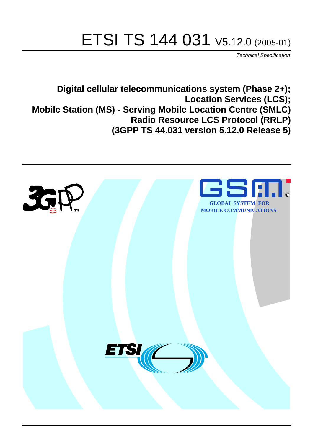# ETSI TS 144 031 V5.12.0 (2005-01)

Technical Specification

**Digital cellular telecommunications system (Phase 2+); Location Services (LCS); Mobile Station (MS) - Serving Mobile Location Centre (SMLC) Radio Resource LCS Protocol (RRLP) (3GPP TS 44.031 version 5.12.0 Release 5)**

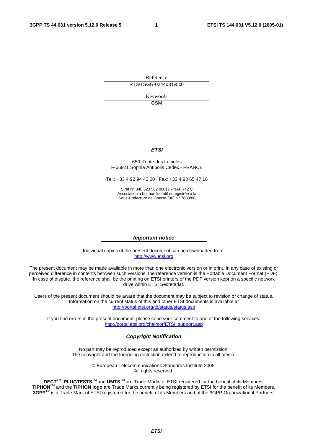Reference RTS/TSGG-0244031v5c0

> Keywords GSM

### **ETSI**

#### 650 Route des Lucioles F-06921 Sophia Antipolis Cedex - FRANCE

Tel.: +33 4 92 94 42 00 Fax: +33 4 93 65 47 16

Siret N° 348 623 562 00017 - NAF 742 C Association à but non lucratif enregistrée à la Sous-Préfecture de Grasse (06) N° 7803/88

#### **Important notice**

Individual copies of the present document can be downloaded from: [http://www.etsi.org](http://www.etsi.org/)

The present document may be made available in more than one electronic version or in print. In any case of existing or perceived difference in contents between such versions, the reference version is the Portable Document Format (PDF). In case of dispute, the reference shall be the printing on ETSI printers of the PDF version kept on a specific network drive within ETSI Secretariat.

Users of the present document should be aware that the document may be subject to revision or change of status. Information on the current status of this and other ETSI documents is available at <http://portal.etsi.org/tb/status/status.asp>

If you find errors in the present document, please send your comment to one of the following services: [http://portal.etsi.org/chaircor/ETSI\\_support.asp](http://portal.etsi.org/chaircor/ETSI_support.asp)

#### **Copyright Notification**

No part may be reproduced except as authorized by written permission. The copyright and the foregoing restriction extend to reproduction in all media.

> © European Telecommunications Standards Institute 2005. All rights reserved.

**DECT**TM, **PLUGTESTS**TM and **UMTS**TM are Trade Marks of ETSI registered for the benefit of its Members. **TIPHON**TM and the **TIPHON logo** are Trade Marks currently being registered by ETSI for the benefit of its Members. **3GPP**TM is a Trade Mark of ETSI registered for the benefit of its Members and of the 3GPP Organizational Partners.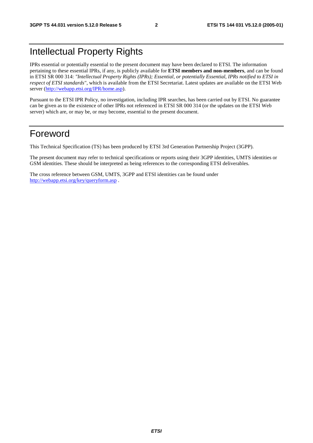# Intellectual Property Rights

IPRs essential or potentially essential to the present document may have been declared to ETSI. The information pertaining to these essential IPRs, if any, is publicly available for **ETSI members and non-members**, and can be found in ETSI SR 000 314: *"Intellectual Property Rights (IPRs); Essential, or potentially Essential, IPRs notified to ETSI in respect of ETSI standards"*, which is available from the ETSI Secretariat. Latest updates are available on the ETSI Web server (<http://webapp.etsi.org/IPR/home.asp>).

Pursuant to the ETSI IPR Policy, no investigation, including IPR searches, has been carried out by ETSI. No guarantee can be given as to the existence of other IPRs not referenced in ETSI SR 000 314 (or the updates on the ETSI Web server) which are, or may be, or may become, essential to the present document.

# Foreword

This Technical Specification (TS) has been produced by ETSI 3rd Generation Partnership Project (3GPP).

The present document may refer to technical specifications or reports using their 3GPP identities, UMTS identities or GSM identities. These should be interpreted as being references to the corresponding ETSI deliverables.

The cross reference between GSM, UMTS, 3GPP and ETSI identities can be found under <http://webapp.etsi.org/key/queryform.asp>.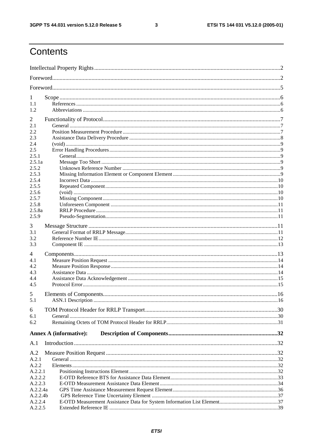$\mathbf{3}$ 

# Contents

| 1<br>1.1<br>1.2                                                                                                                           |  |
|-------------------------------------------------------------------------------------------------------------------------------------------|--|
| 2<br>2.1<br>2.2<br>2.3<br>2.4<br>2.5<br>2.5.1<br>2.5.1a<br>2.5.2<br>2.5.3<br>2.5.4<br>2.5.5<br>2.5.6<br>2.5.7<br>2.5.8<br>2.5.8a<br>2.5.9 |  |
| 3<br>3.1<br>3.2<br>3.3                                                                                                                    |  |
| 4<br>4.1<br>4.2<br>4.3<br>4.4<br>4.5                                                                                                      |  |
| 5<br>5.1                                                                                                                                  |  |
| 6<br>6.1<br>6.2                                                                                                                           |  |
| <b>Annex A (informative):</b>                                                                                                             |  |
| A.1                                                                                                                                       |  |
| A.2<br>A.2.1<br>A.2.2<br>A.2.2.1<br>A.2.2.2                                                                                               |  |
| A.2.2.3<br>A.2.2.4a<br>A.2.2.4b<br>A.2.2.4<br>A.2.2.5                                                                                     |  |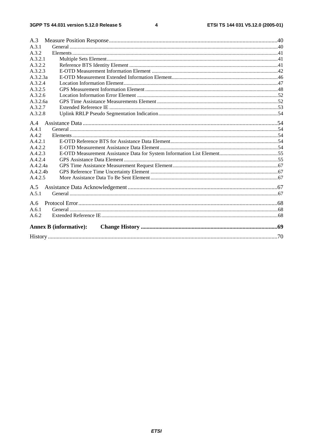$\overline{\mathbf{4}}$ 

| A.3                           |  |
|-------------------------------|--|
| A.3.1                         |  |
| A.3.2                         |  |
| A.3.2.1                       |  |
| A.3.2.2                       |  |
| A.3.2.3                       |  |
| A.3.2.3a                      |  |
| A.3.2.4                       |  |
| A.3.2.5                       |  |
| A.3.2.6                       |  |
| A.3.2.6a                      |  |
| A.3.2.7                       |  |
| A.3.2.8                       |  |
| A.4                           |  |
| A.4.1                         |  |
| A.4.2                         |  |
| A.4.2.1                       |  |
| A.4.2.2                       |  |
| A.4.2.3                       |  |
| A.4.2.4                       |  |
| A.4.2.4a                      |  |
| A.4.2.4 <sub>b</sub>          |  |
| A.4.2.5                       |  |
| A.5                           |  |
| A.5.1                         |  |
|                               |  |
| A.6                           |  |
| A.6.1                         |  |
| A.6.2                         |  |
| <b>Annex B</b> (informative): |  |
|                               |  |
|                               |  |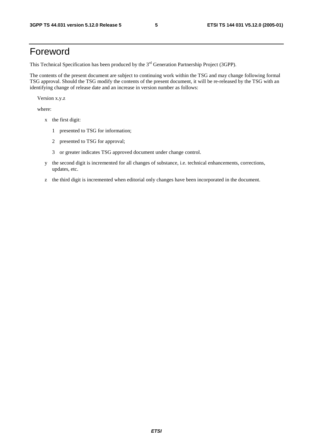# Foreword

This Technical Specification has been produced by the 3<sup>rd</sup> Generation Partnership Project (3GPP).

The contents of the present document are subject to continuing work within the TSG and may change following formal TSG approval. Should the TSG modify the contents of the present document, it will be re-released by the TSG with an identifying change of release date and an increase in version number as follows:

Version x.y.z

where:

- x the first digit:
	- 1 presented to TSG for information;
	- 2 presented to TSG for approval;
	- 3 or greater indicates TSG approved document under change control.
- y the second digit is incremented for all changes of substance, i.e. technical enhancements, corrections, updates, etc.
- z the third digit is incremented when editorial only changes have been incorporated in the document.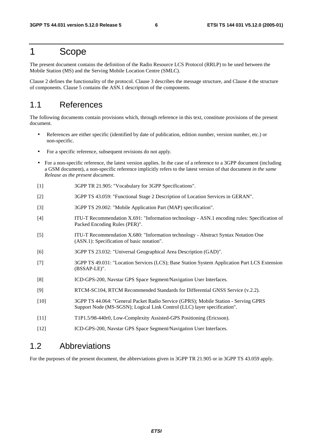# 1 Scope

The present document contains the definition of the Radio Resource LCS Protocol (RRLP) to be used between the Mobile Station (MS) and the Serving Mobile Location Centre (SMLC).

Clause 2 defines the functionality of the protocol. Clause 3 describes the message structure, and Clause 4 the structure of components. Clause 5 contains the ASN.1 description of the components.

# 1.1 References

The following documents contain provisions which, through reference in this text, constitute provisions of the present document.

- References are either specific (identified by date of publication, edition number, version number, etc.) or non-specific.
- For a specific reference, subsequent revisions do not apply.
- For a non-specific reference, the latest version applies. In the case of a reference to a 3GPP document (including a GSM document), a non-specific reference implicitly refers to the latest version of that document *in the same Release as the present document*.
- [1] 3GPP TR 21.905: "Vocabulary for 3GPP Specifications".
- [2] 3GPP TS 43.059: "Functional Stage 2 Description of Location Services in GERAN".
- [3] 3GPP TS 29.002: "Mobile Application Part (MAP) specification".
- [4] ITU-T Recommendation X.691: "Information technology ASN.1 encoding rules: Specification of Packed Encoding Rules (PER)".
- [5] ITU-T Recommendation X.680: "Information technology Abstract Syntax Notation One (ASN.1): Specification of basic notation".
- [6] 3GPP TS 23.032: "Universal Geographical Area Description (GAD)".
- [7] 3GPP TS 49.031: "Location Services (LCS); Base Station System Application Part LCS Extension (BSSAP-LE)".
- [8] ICD-GPS-200, Navstar GPS Space Segment/Navigation User Interfaces.
- [9] RTCM-SC104, RTCM Recommended Standards for Differential GNSS Service (v.2.2).
- [10] 3GPP TS 44.064: "General Packet Radio Service (GPRS); Mobile Station Serving GPRS Support Node (MS-SGSN); Logical Link Control (LLC) layer specification".
- [11] T1P1.5/98-440r0, Low-Complexity Assisted-GPS Positioning (Ericsson).
- [12] ICD-GPS-200, Navstar GPS Space Segment/Navigation User Interfaces.

# 1.2 Abbreviations

For the purposes of the present document, the abbreviations given in 3GPP TR 21.905 or in 3GPP TS 43.059 apply.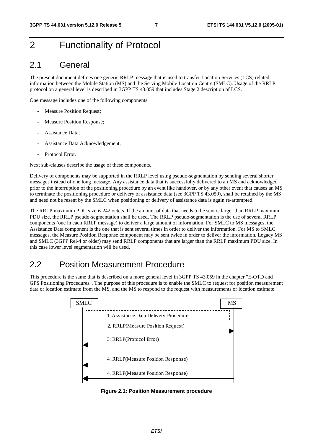# 2 Functionality of Protocol

# 2.1 General

The present document defines one generic RRLP message that is used to transfer Location Services (LCS) related information between the Mobile Station (MS) and the Serving Mobile Location Centre (SMLC). Usage of the RRLP protocol on a general level is described in 3GPP TS 43.059 that includes Stage 2 description of LCS.

One message includes one of the following components:

- Measure Position Request;
- Measure Position Response;
- Assistance Data;
- Assistance Data Acknowledgement;
- Protocol Error

Next sub-clauses describe the usage of these components.

Delivery of components may be supported in the RRLP level using pseudo-segmentation by sending several shorter messages instead of one long message. Any assistance data that is successfully delivered to an MS and acknowledged prior to the interruption of the positioning procedure by an event like handover, or by any other event that causes an MS to terminate the positioning procedure or delivery of assistance data (see 3GPP TS 43.059), shall be retained by the MS and need not be resent by the SMLC when positioning or delivery of assistance data is again re-attempted.

The RRLP maximum PDU size is 242 octets. If the amount of data that needs to be sent is larger than RRLP maximum PDU size, the RRLP pseudo-segmentation shall be used. The RRLP pseudo-segmentation is the use of several RRLP components (one in each RRLP message) to deliver a large amount of information. For SMLC to MS messages, the Assistance Data component is the one that is sent several times in order to deliver the information. For MS to SMLC messages, the Measure Position Response component may be sent twice in order to deliver the information. Legacy MS and SMLC (3GPP Rel-4 or older) may send RRLP components that are larger than the RRLP maximum PDU size. In this case lower level segmentation will be used.

# 2.2 Position Measurement Procedure

This procedure is the same that is described on a more general level in 3GPP TS 43.059 in the chapter "E-OTD and GPS Positioning Procedures". The purpose of this procedure is to enable the SMLC to request for position measurement data or location estimate from the MS, and the MS to respond to the request with measurements or location estimate.



**Figure 2.1: Position Measurement procedure**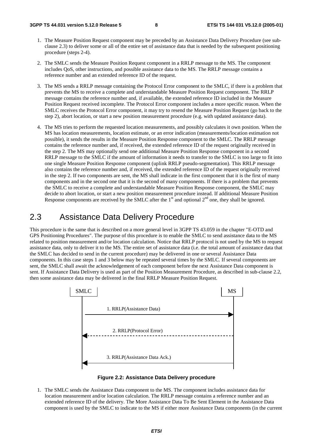- 1. The Measure Position Request component may be preceded by an Assistance Data Delivery Procedure (see subclause 2.3) to deliver some or all of the entire set of assistance data that is needed by the subsequent positioning procedure (steps 2-4).
- 2. The SMLC sends the Measure Position Request component in a RRLP message to the MS. The component includes QoS, other instructions, and possible assistance data to the MS. The RRLP message contains a reference number and an extended reference ID of the request.
- 3. The MS sends a RRLP message containing the Protocol Error component to the SMLC, if there is a problem that prevents the MS to receive a complete and understandable Measure Position Request component. The RRLP message contains the reference number and, if available, the extended reference ID included in the Measure Position Request received incomplete. The Protocol Error component includes a more specific reason. When the SMLC receives the Protocol Error component, it may try to resend the Measure Position Request (go back to the step 2), abort location, or start a new position measurement procedure (e.g. with updated assistance data).
- 4. The MS tries to perform the requested location measurements, and possibly calculates it own position. When the MS has location measurements, location estimate, or an error indication (measurements/location estimation not possible), it sends the results in the Measure Position Response component to the SMLC. The RRLP message contains the reference number and, if received, the extended reference ID of the request originally received in the step 2. The MS may optionally send one additional Measure Position Response component in a second RRLP message to the SMLC if the amount of information it needs to transfer to the SMLC is too large to fit into one single Measure Position Response component (uplink RRLP pseudo-segmentation). This RRLP message also contains the reference number and, if received, the extended reference ID of the request originally received in the step 2. If two components are sent, the MS shall indicate in the first component that it is the first of many components and in the second one that it is the second of many components. If there is a problem that prevents the SMLC to receive a complete and understandable Measure Position Response component, the SMLC may decide to abort location, or start a new position measurement procedure instead. If additional Measure Position Response components are received by the SMLC after the  $1<sup>st</sup>$  and optional  $2<sup>nd</sup>$  one, they shall be ignored.

# 2.3 Assistance Data Delivery Procedure

This procedure is the same that is described on a more general level in 3GPP TS 43.059 in the chapter "E-OTD and GPS Positioning Procedures". The purpose of this procedure is to enable the SMLC to send assistance data to the MS related to position measurement and/or location calculation. Notice that RRLP protocol is not used by the MS to request assistance data, only to deliver it to the MS. The entire set of assistance data (i.e. the total amount of assistance data that the SMLC has decided to send in the current procedure) may be delivered in one or several Assistance Data components. In this case steps 1 and 3 below may be repeated several times by the SMLC. If several components are sent, the SMLC shall await the acknowledgement of each component before the next Assistance Data component is sent. If Assistance Data Delivery is used as part of the Position Measurement Procedure, as described in sub-clause 2.2, then some assistance data may be delivered in the final RRLP Measure Position Request.





1. The SMLC sends the Assistance Data component to the MS. The component includes assistance data for location measurement and/or location calculation. The RRLP message contains a reference number and an extended reference ID of the delivery. The More Assistance Data To Be Sent Element in the Assistance Data component is used by the SMLC to indicate to the MS if either more Assistance Data components (in the current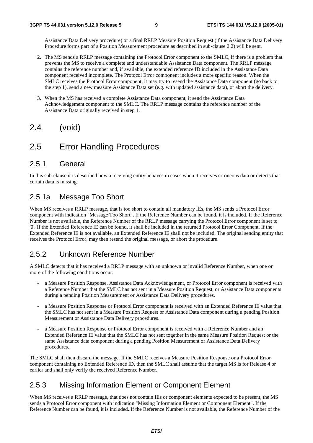Assistance Data Delivery procedure) or a final RRLP Measure Position Request (if the Assistance Data Delivery Procedure forms part of a Position Measurement procedure as described in sub-clause 2.2) will be sent.

- 2. The MS sends a RRLP message containing the Protocol Error component to the SMLC, if there is a problem that prevents the MS to receive a complete and understandable Assistance Data component. The RRLP message contains the reference number and, if available, the extended reference ID included in the Assistance Data component received incomplete. The Protocol Error component includes a more specific reason. When the SMLC receives the Protocol Error component, it may try to resend the Assistance Data component (go back to the step 1), send a new measure Assistance Data set (e.g. with updated assistance data), or abort the delivery.
- 3. When the MS has received a complete Assistance Data component, it send the Assistance Data Acknowledgement component to the SMLC. The RRLP message contains the reference number of the Assistance Data originally received in step 1.

# 2.4 (void)

# 2.5 Error Handling Procedures

### 2.5.1 General

In this sub-clause it is described how a receiving entity behaves in cases when it receives erroneous data or detects that certain data is missing.

### 2.5.1a Message Too Short

When MS receives a RRLP message, that is too short to contain all mandatory IEs, the MS sends a Protocol Error component with indication "Message Too Short". If the Reference Number can be found, it is included. If the Reference Number is not available, the Reference Number of the RRLP message carrying the Protocol Error component is set to '0'. If the Extended Reference IE can be found, it shall be included in the returned Protocol Error Component. If the Extended Reference IE is not available, an Extended Reference IE shall not be included. The original sending entity that receives the Protocol Error, may then resend the original message, or abort the procedure.

### 2.5.2 Unknown Reference Number

A SMLC detects that it has received a RRLP message with an unknown or invalid Reference Number, when one or more of the following conditions occur:

- a Measure Position Response, Assistance Data Acknowledgement, or Protocol Error component is received with a Reference Number that the SMLC has not sent in a Measure Position Request, or Assistance Data components during a pending Position Measurement or Assistance Data Delivery procedures.
- a Measure Position Response or Protocol Error component is received with an Extended Reference IE value that the SMLC has not sent in a Measure Position Request or Assistance Data component during a pending Position Measurement or Assistance Data Delivery procedures.
- a Measure Position Response or Protocol Error component is received with a Reference Number and an Extended Reference IE value that the SMLC has not sent together in the same Measure Position Request or the same Assistance data component during a pending Position Measurement or Assistance Data Delivery procedures.

The SMLC shall then discard the message. If the SMLC receives a Measure Position Response or a Protocol Error component containing no Extended Reference ID, then the SMLC shall assume that the target MS is for Release 4 or earlier and shall only verify the received Reference Number.

# 2.5.3 Missing Information Element or Component Element

When MS receives a RRLP message, that does not contain IEs or component elements expected to be present, the MS sends a Protocol Error component with indication "Missing Information Element or Component Element". If the Reference Number can be found, it is included. If the Reference Number is not available, the Reference Number of the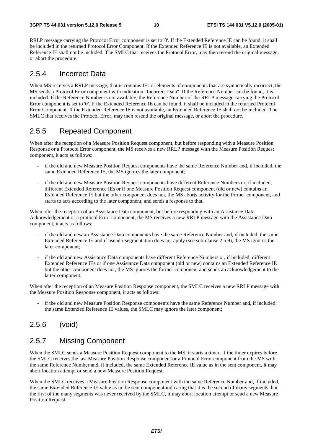RRLP message carrying the Protocol Error component is set to '0'. If the Extended Reference IE can be found, it shall be included in the returned Protocol Error Component. If the Extended Reference IE is not available, an Extended Reference IE shall not be included. The SMLC that receives the Protocol Error, may then resend the original message, or abort the procedure.

### 2.5.4 Incorrect Data

When MS receives a RRLP message, that is contains IEs or elements of components that are syntactically incorrect, the MS sends a Protocol Error component with indication "Incorrect Data". If the Reference Number can be found, it is included. If the Reference Number is not available, the Reference Number of the RRLP message carrying the Protocol Error component is set to '0'. If the Extended Reference IE can be found, it shall be included in the returned Protocol Error Component. If the Extended Reference IE is not available, an Extended Reference IE shall not be included. The SMLC that receives the Protocol Error, may then resend the original message, or abort the procedure.

### 2.5.5 Repeated Component

When after the reception of a Measure Position Request component, but before responding with a Measure Position Response or a Protocol Error component, the MS receives a new RRLP message with the Measure Position Request component, it acts as follows:

- if the old and new Measure Position Request components have the same Reference Number and, if included, the same Extended Reference IE, the MS ignores the later component;
- if the old and new Measure Position Request components have different Reference Numbers or, if included, different Extended Reference IEs or if one Measure Position Request component (old or new) contains an Extended Reference IE but the other component does not, the MS aborts activity for the former component, and starts to acts according to the later component, and sends a response to that.

When after the reception of an Assistance Data component, but before responding with an Assistance Data Acknowledgement or a protocol Error component, the MS receives a new RRLP message with the Assistance Data component, it acts as follows:

- if the old and new an Assistance Data components have the same Reference Number and, if included, the same Extended Reference IE and if pseudo-segmentation does not apply (see sub-clause 2.5.9), the MS ignores the later component;
- if the old and new Assistance Data components have different Reference Numbers or, if included, different Extended Reference IEs or if one Assistance Data component (old or new) contains an Extended Reference IE but the other component does not, the MS ignores the former component and sends an acknowledgement to the latter component.

When after the reception of an Measure Position Response component, the SMLC receives a new RRLP message with the Measure Position Response component, it acts as follows:

if the old and new Measure Position Response components have the same Reference Number and, if included, the same Extended Reference IE values, the SMLC may ignore the later component;

### 2.5.6 (void)

### 2.5.7 Missing Component

When the SMLC sends a Measure Position Request component to the MS, it starts a timer. If the timer expires before the SMLC receives the last Measure Position Response component or a Protocol Error component from the MS with the same Reference Number and, if included, the same Extended Reference IE value as in the sent component, it may abort location attempt or send a new Measure Position Request.

When the SMLC receives a Measure Position Response component with the same Reference Number and, if included, the same Extended Reference IE value as in the sent component indicating that it is the second of many segments, but the first of the many segments was never received by the SMLC, it may abort location attempt or send a new Measure Position Request.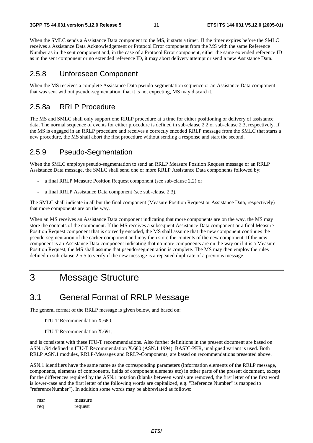When the SMLC sends a Assistance Data component to the MS, it starts a timer. If the timer expires before the SMLC receives a Assistance Data Acknowledgement or Protocol Error component from the MS with the same Reference Number as in the sent component and, in the case of a Protocol Error component, either the same extended reference ID as in the sent component or no extended reference ID, it may abort delivery attempt or send a new Assistance Data.

### 2.5.8 Unforeseen Component

When the MS receives a complete Assistance Data pseudo-segmentation sequence or an Assistance Data component that was sent without pseudo-segmentation, that it is not expecting, MS may discard it.

### 2.5.8a RRLP Procedure

The MS and SMLC shall only support one RRLP procedure at a time for either positioning or delivery of assistance data. The normal sequence of events for either procedure is defined in sub-clause 2.2 or sub-clause 2.3, respectively. If the MS is engaged in an RRLP procedure and receives a correctly encoded RRLP message from the SMLC that starts a new procedure, the MS shall abort the first procedure without sending a response and start the second.

### 2.5.9 Pseudo-Segmentation

When the SMLC employs pseudo-segmentation to send an RRLP Measure Position Request message or an RRLP Assistance Data message, the SMLC shall send one or more RRLP Assistance Data components followed by:

- a final RRLP Measure Position Request component (see sub-clause 2.2) or
- a final RRLP Assistance Data component (see sub-clause 2.3).

The SMLC shall indicate in all but the final component (Measure Position Request or Assistance Data, respectively) that more components are on the way.

When an MS receives an Assistance Data component indicating that more components are on the way, the MS may store the contents of the component. If the MS receives a subsequent Assistance Data component or a final Measure Position Request component that is correctly encoded, the MS shall assume that the new component continues the pseudo-segmentation of the earlier component and may then store the contents of the new component. If the new component is an Assistance Data component indicating that no more components are on the way or if it is a Measure Position Request, the MS shall assume that pseudo-segmentation is complete. The MS may then employ the rules defined in sub-clause 2.5.5 to verify if the new message is a repeated duplicate of a previous message.

# 3 Message Structure

# 3.1 General Format of RRLP Message

The general format of the RRLP message is given below, and based on:

- ITU-T Recommendation X.680:
- ITU-T Recommendation X.691:

and is consistent with these ITU-T recommendations. Also further definitions in the present document are based on ASN.1/94 defined in ITU-T Recommendation X.680 (ASN.1 1994). BASIC-PER, unaligned variant is used. Both RRLP ASN.1 modules, RRLP-Messages and RRLP-Components, are based on recommendations presented above.

ASN.1 identifiers have the same name as the corresponding parameters (information elements of the RRLP message, components, elements of components, fields of component elements etc) in other parts of the present document, except for the differences required by the ASN.1 notation (blanks between words are removed, the first letter of the first word is lower-case and the first letter of the following words are capitalized, e.g. "Reference Number" is mapped to "referenceNumber"). In addition some words may be abbreviated as follows:

| msr | measure |
|-----|---------|
| req | request |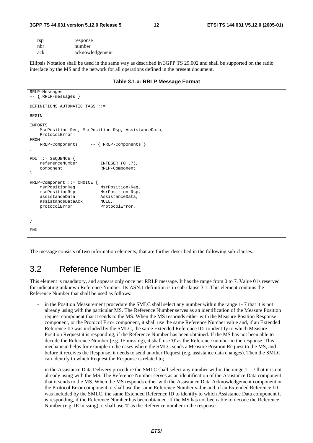#### **3GPP TS 44.031 version 5.12.0 Release 5 12 ETSI TS 144 031 V5.12.0 (2005-01)**

| rsp | response        |
|-----|-----------------|
| nbr | number          |
| ack | acknowledgement |

Ellipsis Notation shall be used in the same way as described in 3GPP TS 29.002 and shall be supported on the radio interface by the MS and the network for all operations defined in the present document.

#### **Table 3.1.a: RRLP Message Format**

```
RRLP-Messages 
-- { RRLP-messages } 
DEFINITIONS AUTOMATIC TAGS ::= 
BEGIN
IMPORTS 
    MsrPosition-Req, MsrPosition-Rsp, AssistanceData, 
     ProtocolError 
FROM 
     RRLP-Components -- { RRLP-Components } 
; 
PDU ::= SEQUENCE { 
     referenceNumber INTEGER (0..7), 
     component RRLP-Component 
} 
RRLP-Component ::= CHOICE {<br>msrPositionReq MsrPosition-Req,
   msrPositionReq<br>msrPositionRsp
                             MsrPosition-Rsp,
    assistanceData AssistanceData, 
    assistanceDataAck NULL,
    protocolError ProtocolError,
     ... 
} 
END
```
The message consists of two information elements, that are further described in the following sub-clauses.

# 3.2 Reference Number IE

This element is mandatory, and appears only once per RRLP message. It has the range from 0 to 7. Value 0 is reserved for indicating unknown Reference Number. Its ASN.1 definition is in sub-clause 3.1. This element contains the Reference Number that shall be used as follows:

- in the Position Measurement procedure the SMLC shall select any number within the range 1-7 that it is not already using with the particular MS. The Reference Number serves as an identification of the Measure Position request component that it sends to the MS. When the MS responds either with the Measure Position Response component, or the Protocol Error component, it shall use the same Reference Number value and, if an Extended Reference ID was included by the SMLC, the same Extended Reference ID to identify to which Measure Position Request it is responding, if the Reference Number has been obtained. If the MS has not been able to decode the Reference Number (e.g. IE missing), it shall use '0' as the Reference number in the response. This mechanism helps for example in the cases where the SMLC sends a Measure Position Request to the MS, and before it receives the Response, it needs to send another Request (e.g. assistance data changes). Then the SMLC can identify to which Request the Response is related to;
- in the Assistance Data Delivery procedure the SMLC shall select any number within the range  $1 7$  that it is not already using with the MS. The Reference Number serves as an identification of the Assistance Data component that it sends to the MS. When the MS responds either with the Assistance Data Acknowledgement component or the Protocol Error component, it shall use the same Reference Number value and, if an Extended Reference ID was included by the SMLC, the same Extended Reference ID to identify to which Assistance Data component it is responding, if the Reference Number has been obtained. If the MS has not been able to decode the Reference Number (e.g. IE missing), it shall use '0' as the Reference number in the response.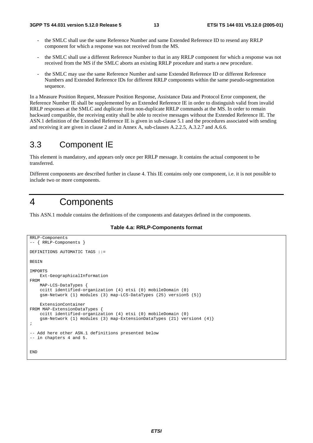- the SMLC shall use the same Reference Number and same Extended Reference ID to resend any RRLP component for which a response was not received from the MS.
- the SMLC shall use a different Reference Number to that in any RRLP component for which a response was not received from the MS if the SMLC aborts an existing RRLP procedure and starts a new procedure.
- the SMLC may use the same Reference Number and same Extended Reference ID or different Reference Numbers and Extended Reference IDs for different RRLP components within the same pseudo-segmentation sequence.

In a Measure Position Request, Measure Position Response, Assistance Data and Protocol Error component, the Reference Number IE shall be supplemented by an Extended Reference IE in order to distinguish valid from invalid RRLP responses at the SMLC and duplicate from non-duplicate RRLP commands at the MS. In order to remain backward compatible, the receiving entity shall be able to receive messages without the Extended Reference IE. The ASN.1 definition of the Extended Reference IE is given in sub-clause 5.1 and the procedures associated with sending and receiving it are given in clause 2 and in Annex A, sub-clauses A.2.2.5, A.3.2.7 and A.6.6.

# 3.3 Component IE

This element is mandatory, and appears only once per RRLP message. It contains the actual component to be transferred.

Different components are described further in clause 4. This IE contains only one component, i.e. it is not possible to include two or more components.

# 4 Components

This ASN.1 module contains the definitions of the components and datatypes defined in the components.

**Table 4.a: RRLP-Components format** 

```
RRLP-Components 
-- { RRLP-Components } 
DEFINITIONS AUTOMATIC TAGS ::= 
BEGIN 
IMPORTS 
     Ext-GeographicalInformation 
FROM 
     MAP-LCS-DataTypes { 
     ccitt identified-organization (4) etsi (0) mobileDomain (0) 
     gsm-Network (1) modules (3) map-LCS-DataTypes (25) version5 (5)} 
     ExtensionContainer 
FROM MAP-ExtensionDataTypes { 
     ccitt identified-organization (4) etsi (0) mobileDomain (0) 
     gsm-Network (1) modules (3) map-ExtensionDataTypes (21) version4 (4)} 
; 
-- Add here other ASN.1 definitions presented below 
-- in chapters 4 and 5. 
END
```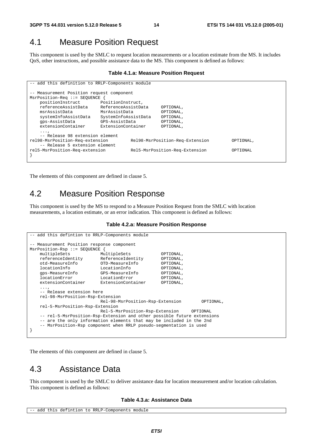# 4.1 Measure Position Request

This component is used by the SMLC to request location measurements or a location estimate from the MS. It includes QoS, other instructions, and possible assistance data to the MS. This component is defined as follows:

#### **Table 4.1.a: Measure Position Request**

```
-- add this definition to RRLP-Components module 
 -- Measurement Position request component 
MsrPosition-Req ::= SEQUENCE { 
    positionInstruct PositionInstruct, 
    referenceAssistData ReferenceAssistData OPTIONAL, 
                         MsrAssistData
    systemInfoAssistData SystemInfoAssistData OPTIONAL, 
    gps-AssistData GPS-AssistData OPTIONAL, 
    extensionContainer ExtensionContainer OPTIONAL, 
    ..., 
     -- Release 98 extension element 
rel98-MsrPosition-Req-extension Rel98-MsrPosition-Req-Extension OPTIONAL, 
    -- Release 5 extension element 
rel5-MsrPosition-Req-extension Rel5-MsrPosition-Req-Extension OPTIONAL 
}
```
The elements of this component are defined in clause 5.

# 4.2 Measure Position Response

This component is used by the MS to respond to a Measure Position Request from the SMLC with location measurements, a location estimate, or an error indication. This component is defined as follows:

#### **Table 4.2.a: Measure Position Response**

```
-- add this defintion to RRLP-Components module
-- Measurement Position response component 
MsrPosition-Rsp ::= SEQUENCE { 
   multipleSets MultipleSets OPTIONAL,<br>
referenceIdentity ReferenceIdentity OPTIONAL,
    referenceIdentity ReferenceIdentity OPTIONAL, 
 otd-MeasureInfo OTD-MeasureInfo OPTIONAL, 
 locationInfo LocationInfo OPTIONAL, 
    gps-MeasureInfo GPS-MeasureInfo OPTIONAL, 
    locationError LocationError OPTIONAL, 
    extensionContainer ExtensionContainer OPTIONAL, 
...,
    -- Release extension here 
    rel-98-MsrPosition-Rsp-Extension 
                           Rel-98-MsrPosition-Rsp-Extension OPTIONAL, 
    rel-5-MsrPosition-Rsp-Extension 
                           Rel-5-MsrPosition-Rsp-Extension OPTIONAL 
    -- rel-5-MsrPosition-Rsp-Extension and other possible future extensions 
    -- are the only information elements that may be included in the 2nd 
    -- MsrPosition-Rsp component when RRLP pseudo-segmentation is used 
}
```
The elements of this component are defined in clause 5.

# 4.3 Assistance Data

This component is used by the SMLC to deliver assistance data for location measurement and/or location calculation. This component is defined as follows:

#### **Table 4.3.a: Assistance Data**

```
-- add this defintion to RRLP-Components module
```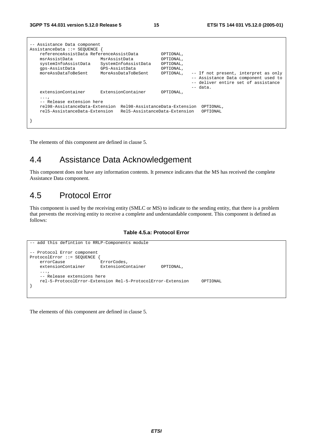| -- Assistance Data component            |                                |           |                                      |
|-----------------------------------------|--------------------------------|-----------|--------------------------------------|
| AssistanceData ::= SEOUENCE             |                                |           |                                      |
| referenceAssistData ReferenceAssistData |                                | OPTIONAL, |                                      |
| msrAssistData                           | MsrAssistData                  | OPTIONAL, |                                      |
| systemInfoAssistData                    | SystemInfoAssistData           | OPTIONAL, |                                      |
| qps-AssistData                          | GPS-AssistData                 | OPTIONAL, |                                      |
| moreAssDataToBeSent                     | MoreAssDataToBeSent            | OPTIONAL, | -- If not present, interpret as only |
|                                         |                                |           | -- Assistance Data component used to |
|                                         |                                |           | -- deliver entire set of assistance  |
|                                         |                                |           | -- data.                             |
| extensionContainer                      | ExtensionContainer             | OPTIONAL, |                                      |
| $\cdots$<br>-- Release extension here   |                                |           |                                      |
| rel98-AssistanceData-Extension          | Rel98-AssistanceData-Extension |           | OPTIONAL,                            |
| rel5-AssistanceData-Extension           | Rel5-AssistanceData-Extension  |           | OPTIONAL                             |
|                                         |                                |           |                                      |
|                                         |                                |           |                                      |

The elements of this component are defined in clause 5.

# 4.4 Assistance Data Acknowledgement

This component does not have any information contents. It presence indicates that the MS has received the complete Assistance Data component.

# 4.5 Protocol Error

This component is used by the receiving entity (SMLC or MS) to indicate to the sending entity, that there is a problem that prevents the receiving entity to receive a complete and understandable component. This component is defined as follows:

#### **Table 4.5.a: Protocol Error**

```
-- add this defintion to RRLP-Components module 
-- Protocol Error component 
ProtocolError ::= SEQUENCE {<br>errorCause ErrorCodes,
   errorCause extensionContainer ExtensionContainer OPTIONAL, 
     ..., 
     -- Release extensions here 
     rel-5-ProtocolError-Extension Rel-5-ProtocolError-Extension OPTIONAL 
}
```
The elements of this component are defined in clause 5.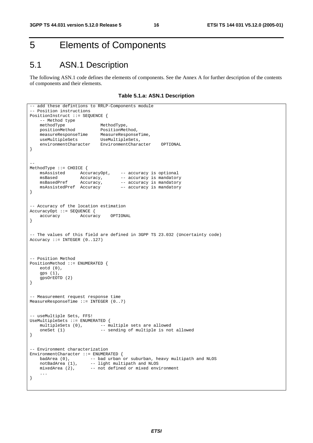# 5 Elements of Components

# 5.1 ASN.1 Description

The following ASN.1 code defines the elements of components. See the Annex A for further description of the contents of components and their elements.

**Table 5.1.a: ASN.1 Description** 

```
-- add these defintions to RRLP-Components module
-- Position instructions 
PositionInstruct ::= SEQUENCE { 
   -- Method type<br>methodType
   methodType MethodType,<br>positionMethod PositionMet<br>mosquesT
 positionMethod PositionMethod, 
 measureResponseTime MeasureResponseTime, 
 useMultipleSets UseMultipleSets, 
 environmentCharacter EnvironmentCharacter OPTIONAL 
} 
-- 
MethodType ::= CHOICE { 
 msAssisted AccuracyOpt, -- accuracy is optional 
msBased Mccuracy, -- accuracy is mandatory
msBasedPref Accuracy, -- accuracy is mandatory
    msAssistedPref Accuracy –- accuracy is mandatory 
} 
-- Accuracy of the location estimation 
AccuracyOpt ::= SEQUENCE {<br>accuracy Accurac
                    accuracy Accuracy OPTIONAL 
} 
-- The values of this field are defined in 3GPP TS 23.032 (Uncertainty code) 
Accuracy ::= INTEGR (0.127)-- Position Method 
PositionMethod ::= ENUMERATED { 
    eotd (0), 
    gps (1), 
    gpsOrEOTD (2) 
} 
-- Measurement request response time 
MeasureResponseTime ::= INTEGER (0..7) 
-- useMultiple Sets, FFS! 
UseMultipleSets ::= ENUMERATED { 
   multipleSets (0), \qquad - multiple sets are allowed
    oneSet (1) -- sending of multiple is not allowed
} 
-- Environment characterization 
EnvironmentCharacter ::= ENUMERATED {<br>badArea (0), -- bad urban
 badArea (0), -- bad urban or suburban, heavy multipath and NLOS 
notBadArea (1), -- light multipath and NLOS
 mixedArea (2), -- not defined or mixed environment 
     ... 
}
```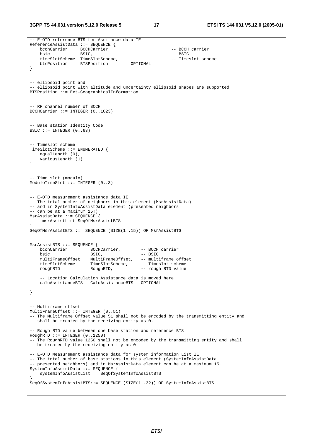```
-- E-OTD reference BTS for Assitance data IE 
ReferenceAssistData ::= SEQUENCE { 
   bcchCarrier BCCHCarrier, \overline{C} -- BCCH carrier
bsic BSIC, - BSIC,
 timeSlotScheme TimeSlotScheme, -- Timeslot scheme 
 btsPosition BTSPosition OPTIONAL 
} 
-- ellipsoid point and 
-- ellipsoid point with altitude and uncertainty ellipsoid shapes are supported 
BTSPosition ::= Ext-GeographicalInformation 
-- RF channel number of BCCH 
BCCHCarrier ::= INTEGER (0..1023) 
-- Base station Identity Code 
BSIC ::= INTEGER (0..63)-- Timeslot scheme 
TimeSlotScheme ::= ENUMERATED { 
   equalLength (0),
    variousLength (1) 
} 
-- Time slot (modulo) 
ModuloTimeSlot ::= INTEGER (0..3) 
-- E-OTD measurement assistance data IE 
-- The total number of neighbors in this element (MsrAssistData) 
-- and in SystemInfoAssistData element (presented neighbors 
-- can be at a maximum 15!) 
MsrAssistData ::= SEQUENCE { 
     msrAssistList SeqOfMsrAssistBTS 
} 
SeqOfMsrAssistBTS ::= SEQUENCE (SIZE(1..15)) OF MsrAssistBTS 
MsrAssistBTS ::= SEQUENCE { 
   bcchCarrier BCCHCarrier, -- BCCH carrier 
   bsic -- BSIC, -- BSIC<br>multiFrameOffset MultiFrameOffset, -- multi
                      MultiFrameOffset, -- multiframe offset
    timeSlotScheme TimeSlotScheme, -- Timeslot scheme 
    roughRTD RoughRTD, -- rough RTD value 
    -- Location Calculation Assistance data is moved here 
    calcAssistanceBTS CalcAssistanceBTS OPTIONAL 
} 
 - Multiframe offset
MultiFrameOffset ::= INTEGER (0..51) 
-- The Multiframe Offset value 51 shall not be encoded by the transmitting entity and 
-- shall be treated by the receiving entity as 0. 
 - Rough RTD value between one base station and reference BTS
RoughRTD :: = INTERER (0..1250)-- The RoughRTD value 1250 shall not be encoded by the transmitting entity and shall 
-- be treated by the receiving entity as 0. 
-- E-OTD Measurement assistance data for system information List IE 
-- The total number of base stations in this element (SystemInfoAssistData
-- presented neighbors) and in MsrAssistData element can be at a maximum 15. 
SystemInfoAssistData ::= SEQUENCE { 
                          SeqOfSystemInfoAssistBTS
} 
SeqOfSystemInfoAssistBTS::= SEQUENCE (SIZE(1..32)) OF SystemInfoAssistBTS
```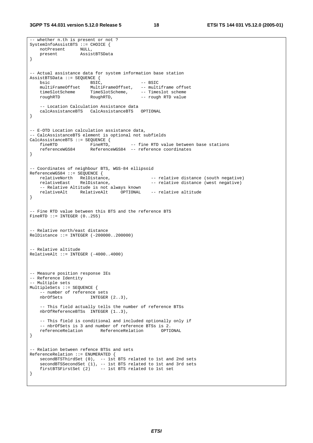**3GPP TS 44.031 version 5.12.0 Release 5 18 ETSI TS 144 031 V5.12.0 (2005-01)**

```
-- whether n.th is present or not ? 
SystemInfoAssistBTS ::= CHOICE { 
    notPresent NULL, 
    present AssistBTSData 
} 
-- Actual assistance data for system information base station 
AssistBTSData ::= SEQUENCE {<br>bsic BSIC.
   bsic -- BSIC<br>multiFrameOffset MultiFrameOffset, -- mult
                         MultiFrameOffset, -- multiframe offset
 timeSlotScheme TimeSlotScheme, -- Timeslot scheme 
 roughRTD RoughRTD, -- rough RTD value 
     -- Location Calculation Assistance data 
   calcAssistanceBTS CalcAssistanceBTS
} 
-- E-OTD Location calculation assistance data, 
-- CalcAssistanceBTS element is optional not subfields 
CalcAssistanceBTS ::= SEQUENCE {<br>fineRTD FineRTD,
   fineRTD FineRTD, -- fine RTD value between base stations<br>referenceWGS84 AeferenceWGS84 -- reference coordinates
                        ReferenceWGS84 -- reference coordinates
} 
-- Coordinates of neighbour BTS, WGS-84 ellipsoid 
ReferenceWGS84 ::= SEQUENCE { 
   relativeNorth RelDistance, \begin{array}{ccc} - & - & \text{relative distance (south negative)} \\ \text{relative distance (west negative)} \end{array}-- relative distance (west negative)
    -- Relative Altitude is not always known 
                    relativeAlt RelativeAlt OPTIONAL -- relative altitude 
} 
 -- Fine RTD value between this BTS and the reference BTS 
FineRTD ::= INTEGER (0..255)-- Relative north/east distance 
RelDistance ::= INTEGER (-200000..200000) 
-- Relative altitude 
RelativeAlt ::= INTER ( -4000..4000)-- Measure position response IEs 
-- Reference Identity 
-- Multiple sets 
MultipleSets ::= SEQUENCE { 
    -- number of reference sets 
                         INTEGR (2..3),
     -- This field actually tells the number of reference BTSs 
    nbrOfReferenceBTSs INTEGER (1..3), 
    -- This field is conditional and included optionally only if 
    -- nbrOfSets is 3 and number of reference BTSs is 2.<br>referenceRelation ReferenceRelation OPTIONAL
   referenceRelation ReferenceRelation
} 
-- Relation between refence BTSs and sets 
ReferenceRelation ::= ENUMERATED { 
   secondBTSThirdSet (0), -- 1st BTS related to 1st and 2nd sets
 secondBTSSecondSet (1), -- 1st BTS related to 1st and 3rd sets 
 firstBTSFirstSet (2) -- 1st BTS related to 1st set 
}
```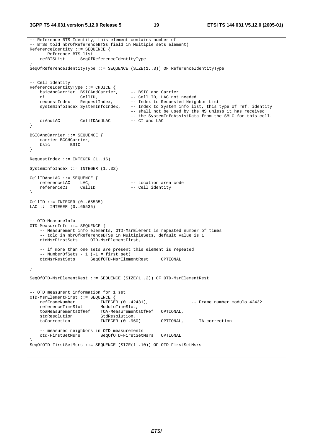```
-- Reference BTS Identity, this element contains number of 
 - BTSs told nbrOfReferenceBTSs field in Multiple sets element)
ReferenceIdentity ::= SEQUENCE { 
     -- Reference BTS list 
    refBTSList SeqOfReferenceIdentityType 
} 
SeqOfReferenceIdentityType ::= SEQUENCE (SIZE(1..3)) OF ReferenceIdentityType 
 - Cell identity
ReferenceIdentityType ::= CHOICE { 
   bsicAndCarrier BSICAndCarrier, -- BSIC and Carrier<br>ci CellID, -- Cell ID, LAC not needed
 ci CellID, -- Cell ID, LAC not needed 
requestIndex RequestIndex, -- Index to Requested Neighbor List
    systemInfoIndex SystemInfoIndex, -- Index to System info list, this type of ref. identity 
                                        -- shall not be used by the MS unless it has received 
                                       -- the SystemInfoAssistData from the SMLC for this cell.<br>-- CI and LAC
   ciAndLAC CellIDAndLAC
} 
BSICAndCarrier ::= SEQUENCE { 
    carrier BCCHCarrier, 
    bsic BSIC 
} 
RequestIndex ::= INTEGER (1..16)SystemInfoIndex ::= INTEGER (1..32) 
CellIDAndLAC ::= SEQUENCE { 
referenceLAC LAC, \qquad \qquad - Location area code
 referenceCI CellID -- Cell identity 
} 
CellID ::= INTEGER (0..65535) 
LAC ::= INTEGER (0..65535)-- OTD-MeasureInfo 
OTD-MeasureInfo ::= SEQUENCE { 
    -- Measurement info elements, OTD-MsrElement is repeated number of times 
    -- told in nbrOfReferenceBTSs in MultipleSets, default value is 1
    otdMsrFirstSets OTD-MsrElementFirst, 
    -- if more than one sets are present this element is repeated 
     -- NumberOfSets - 1 (-1 = first set) 
    otdMsrRestSets SeqOfOTD-MsrElementRest OPTIONAL 
} 
SeqOfOTD-MsrElementRest ::= SEQUENCE (SIZE(1..2)) OF OTD-MsrElementRest 
-- OTD measurent information for 1 set<br>OTD-MsrElementFirst ::= SEOUENCE {
OTD-MsrElementFirst ::= SEQUENCE { 
 refFrameNumber INTEGER (0..42431), -- Frame number modulo 42432 
 referenceTimeSlot ModuloTimeSlot, 
    toaMeasurementsOfRef TOA-MeasurementsOfRef OPTIONAL, 
   stdResolution StdResolution,<br>taCorrection TNTEGER (0 960)
                                                  OPTIONAL, -- TA correction
    -- measured neighbors in OTD measurements 
                           SeqOfOTD-FirstSetMsrs OPTIONAL
} 
SeqOfOTD-FirstSetMsrs ::= SEQUENCE (SIZE(1..10)) OF OTD-FirstSetMsrs
```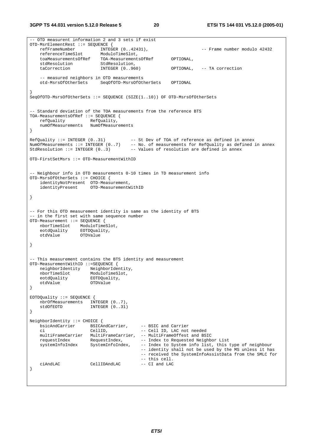-- OTD measurent information 2 and 3 sets if exist OTD-MsrElementRest ::= SEQUENCE { -- Frame number modulo 42432  $\begin{minipage}{0.5\textwidth} \centering \small \texttt{referenceTimeSlot} \small \texttt{ModulofimesU}, \small \texttt{toaMeasure} \small \texttt{mend} \small \texttt{toaMeasure} \small \texttt{mend} \end{minipage}$ TOA-MeasurementsOfRef OPTIONAL,<br>StdResolution, stdResolution StdResolution,<br>taCorrection TNTEGER (0 960) taCorrection INTEGER (0..960) OPTIONAL, -- TA correction -- measured neighbors in OTD measurements otd-MsrsOfOtherSets SeqOfOTD-MsrsOfOtherSets OPTIONAL } SeqOfOTD-MsrsOfOtherSets ::= SEQUENCE (SIZE(1..10)) OF OTD-MsrsOfOtherSets -- Standard deviation of the TOA measurements from the reference BTS TOA-MeasurementsOfRef ::= SEQUENCE { refQuality RefQuality, numOfMeasurements NumOfMeasurements } RefQuality ::= INTEGER (0..31) -- St Dev of TOA of reference as defined in annex NumOfMeasurements ::= INTEGER (0..7) -- No. of measurements for RefQuality as defined in annex StdResolution  $::=$  INTEGER  $(0..3)$  -- Values of resolution are defined in annex OTD-FirstSetMsrs ::= OTD-MeasurementWithID -- Neighbour info in OTD measurements 0-10 times in TD measurement info OTD-MsrsOfOtherSets ::= CHOICE { identityNotPresent OTD-Measurement,<br>identityPresent OTD-MeasurementW OTD-MeasurementWithID } -- For this OTD measurement identity is same as the identity of BTS -- in the first set with same sequence number OTD-Measurement ::= SEQUENCE { nborTimeSlot ModuloTimeSlot, eotdQuality EOTDQuality, otdValue OTDValue } -- This measurement contains the BTS identity and measurement OTD-MeasurementWithID ::=SEQUENCE { neighborIdentity NeighborIdentity, nborTimeSlot ModuloTimeSlot, neighboriuchter,<br>nborTimeSlot ModuloTimeSl<br>eotdQuality EOTDQuality, otdValue OTDValue } EOTDQuality ::= SEQUENCE { nbrOfMeasurements INTEGER (0..7),<br>stdOfFOTD INTEGER (0..31)  $INTEGER (0..31)$ } NeighborIdentity ::= CHOICE { bsicAndCarrier BSICAndCarrier, -- BSIC and Carrier -- Cell ID, LAC not needed multiFrameCarrier MultiFrameCarrier, -- MultiFrameOffest and BSIC requestIndex RequestIndex, -- Index to Requested Neighbor List systemInfoIndex SystemInfoIndex, -- Index to System info list, this type of neighbour -- identity shall not be used by the MS unless it has -- received the SystemInfoAssistData from the SMLC for -- this cell. ciAndLAC CellIDAndLAC -- CI and LAC }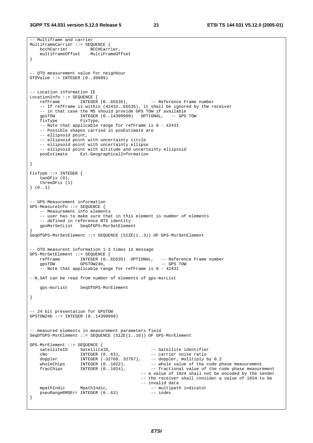-- Multiframe and carrier

```
MultiFrameCarrier ::= SEQUENCE { 
    bcchCarrier BCCHCarrier, 
     multiFrameOffset MultiFrameOffset 
} 
-- OTD measurement value for neighbour 
OTDValue ::= INTEGER (0..39999) 
-- Location information IE 
LocationInfo ::= SEQUENCE {<br>refFrame INTEGER (0..65535),
                                                   -- Reference Frame number
     -- If refFrame is within (42432..65535), it shall be ignored by the receiver 
    -- in that case the MS should provide GPS TOW if available<br>gpsTOW 1NTEGER (0..14399999) OPTIONAL, -- GPS TOW
 gpsTOW INTEGER (0..14399999) OPTIONAL, -- GPS TOW 
 fixType FixType, 
     -- Note that applicable range for refFrame is 0 - 42431 
     -- Possible shapes carried in posEstimate are 
     -- ellipsoid point, 
     -- ellipsoid point with uncertainty circle 
     -- ellipsoid point with uncertainty ellipse 
    -- ellipsoid point with altitude and uncertainty ellipsoid<br>posEstimate Ext-GeographicalInformation
                    Ext-GeographicalInformation
} 
FixType ::= INTEGER { 
     twoDFix (0), 
     threeDFix (1) 
} (0..1) 
-- GPS-Measurement information 
GPS-MeasureInfo ::= SEQUENCE { 
     -- Measurement info elements 
     -- user has to make sure that in this element is number of elements 
     -- defined in reference BTS identity 
     gpsMsrSetList SeqOfGPS-MsrSetElement 
} 
SeqOfGPS-MsrSetElement ::= SEQUENCE (SIZE(1..3)) OF GPS-MsrSetElement 
 -- OTD measurent information 1-3 times in message 
GPS-MsrSetElement ::= SEQUENCE { 
 refFrame INTEGER (0..65535) OPTIONAL, -- Reference Frame number 
 gpsTOW GPSTOW24b, -- GPS TOW 
     -- Note that applicable range for refFrame is 0 - 42431 
--N_SAT can be read from number of elements of gps-msrList 
    gps-msrList SeqOfGPS-MsrElement 
} 
 -- 24 bit presentation for GPSTOW 
GPSTOW24b ::= INTEGER (0..14399999) 
 -- measured elements in measurement parameters field 
SeqOfGPS-MsrElement ::= SEQUENCE (SIZE(1..16)) OF GPS-MsrElement 
GPS-MsrElement ::= SEQUENCE { 
    satelliteID SatelliteID, -- Satellite identifier<br>
cNo INTEGER (0..63), -- carrier noise ratio
 cNo INTEGER (0..63), -- carrier noise ratio 
 doppler INTEGER (-32768..32767), -- doppler, mulltiply by 0.2 
    doppler INTEGER (-32768..32767), -- doppler, multiply by 0.2<br>wholeChips INTEGER (0..1022), -- whole value of the code phase measurement<br>fracChips INTEGER (0..1024), -- fractional value of the code phase measure
                                                    -- fractional value of the code phase measurement
                                                 -- a value of 1024 shall not be encoded by the sender 
                                                 -- the receiver shall consider a value of 1024 to be 
    -- invalid data<br>mpathIndic MpathIndic, 1992-1994 -- multipath
                                                   -- multipath indicator<br>-- index
    pseuRangeRMSErr INTEGER (0..63)
}
```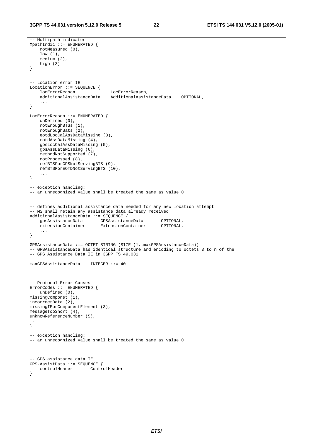```
-- Multipath indicator 
MpathIndic ::= ENUMERATED {
    notMeasured (0), 
    low (1), 
    medium (2), 
    high (3) 
} 
 -- Location error IE 
LocationError ::= SEQUENCE { 
 locErrorReason LocErrorReason, 
 additionalAssistanceData AdditionalAssistanceData OPTIONAL, 
     ... 
} 
LocErrorReason ::= ENUMERATED { 
   unDefined (0), 
    notEnoughBTSs (1), 
    notEnoughSats (2), 
    eotdLocCalAssDataMissing (3), 
    eotdAssDataMissing (4), 
    gpsLocCalAssDataMissing (5), 
    gpsAssDataMissing (6), 
    methodNotSupported (7), 
    notProcessed (8), 
    refBTSForGPSNotServingBTS (9), 
    refBTSForEOTDNotServingBTS (10), 
 ... 
} 
-- exception handling: 
-- an unrecognized value shall be treated the same as value 0
-- defines additional assistance data needed for any new location attempt 
-- MS shall retain any assistance data already received 
AdditionalAssistanceData ::= SEQUENCE { 
 gpsAssistanceData GPSAssistanceData OPTIONAL, 
 extensionContainer ExtensionContainer OPTIONAL, 
     ... 
} 
GPSAssistanceData ::= OCTET STRING (SIZE (1..maxGPSAssistanceData)) 
-- GPSAssistanceData has identical structure and encoding to octets 3 to n of the 
-- GPS Assistance Data IE in 3GPP TS 49.031 
maxGPSAssistanceData INTEGER ::= 40 
-- Protocol Error Causes 
ErrorCodes ::= ENUMERATED { 
    unDefined (0), 
missingComponet (1), 
incorrectData (2), 
missingIEorComponentElement (3), 
messageTooShort (4), 
unknowReferenceNumber (5), 
... 
} 
-- exception handling: 
-- an unrecognized value shall be treated the same as value 0 
-- GPS assistance data IE 
GPS-AssistData ::= SEQUENCE { 
     controlHeader ControlHeader 
}
```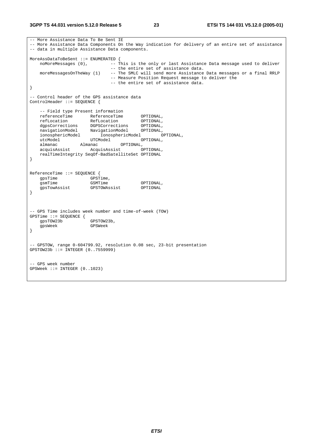-- More Assistance Data To Be Sent IE -- More Assistance Data Components On the Way indication for delivery of an entire set of assistance -- data in multiple Assistance Data components. MoreAssDataToBeSent ::= ENUMERATED { noMoreMessages (0), --- This is the only or last Assistance Data message used to deliver -- the entire set of assistance data.<br>moreMessagesOnTheWay (1) -- The SMLC will send more Assistance -- The SMLC will send more Assistance Data messages or a final RRLP -- Measure Position Request message to deliver the -- the entire set of assistance data. } -- Control header of the GPS assistance data ControlHeader ::= SEQUENCE { -- Field type Present information referenceTime ReferenceTime OPTIONAL, refLocation RefLocation OPTIONAL, dgpsCorrections DGPSCorrections OPTIONAL, navigationModel NavigationModel OPTIONAL, ionosphericModel IonosphericModel OPTIONAL, utcModel UTCModel OPTIONAL, almanac Almanac OPTIONAL, acquisAssist AcquisAssist OPTIONAL, realTimeIntegrity SeqOf-BadSatelliteSet OPTIONAL } ReferenceTime ::= SEQUENCE { gpsTime GPSTime, gsmTime GSMTime GSMTime OPTIONAL, gpsTowAssist GPSTOWAssist OPTIONAL } -- GPS Time includes week number and time-of-week (TOW) GPSTime ::= SEQUENCE { gpsTOW23b GPSTOW23b,<br>qpsWeek GPSWeek gpsWeek } -- GPSTOW, range 0-604799.92, resolution 0.08 sec, 23-bit presentation GPSTOW23b ::= INTEGER (0..7559999) -- GPS week number GPSWeek ::= INTEGER (0..1023)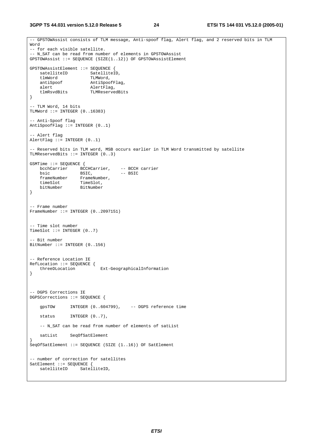**3GPP TS 44.031 version 5.12.0 Release 5 24 ETSI TS 144 031 V5.12.0 (2005-01)**

```
-- GPSTOWAssist consists of TLM message, Anti-spoof flag, Alert flag, and 2 reserved bits in TLM 
Word 
-- for each visible satellite. 
-- N_SAT can be read from number of elements in GPSTOWAssist 
GPSTOWAssist ::= SEQUENCE (SIZE(1..12)) OF GPSTOWAssistElement 
GPSTOWAssistElement ::= SEQUENCE { 
satelliteID SatelliteID,
tlmWord TLMWord,
   antiSpoof AntiSpoof<br>AntiSpoof AntiSpoofFlag,
    alert AlertFlag, 
                      tlmRsvdBits TLMReservedBits 
} 
-- TLM Word, 14 bits 
TLMWord ::= INTEGER (0..16383) 
-- Anti-Spoof flag 
AntiSpoofFlag ::= INTEGER (0..1)-- Alert flag 
AlertFlag ::= INTEGER (0..1) 
 -- Reserved bits in TLM word, MSB occurs earlier in TLM Word transmitted by satellite 
TLMReservedBits ::= INTEGER (0..3) 
GSMTime ::= SEQUENCE { 
 bcchCarrier BCCHCarrier, -- BCCH carrier 
bsic BSIC, - BSIC
 frameNumber FrameNumber, 
 timeSlot TimeSlot, 
 bitNumber BitNumber 
} 
 -- Frame number 
FrameNumber ::= INTEGER (0..2097151) 
-- Time slot number 
TimeSlot ::= INTEGER (0..7)-- Bit number 
BitNumber ::= INTEGER (0..156) 
-- Reference Location IE 
RefLocation ::= SEQUENCE { 
    threeDLocation Ext-GeographicalInformation 
} 
-- DGPS Corrections IE 
DGPSCorrections ::= SEQUENCE { 
    gpsTOW INTEGER (0..604799), -- DGPS reference time 
   status INTEGER (0..7),
    -- N_SAT can be read from number of elements of satList 
    satList SeqOfSatElement 
} 
SeqOfSatElement ::= SEQUENCE (SIZE (1..16)) OF SatElement
-- number of correction for satellites 
SatElement ::= SEQUENCE {
   satelliteID SatelliteID,
```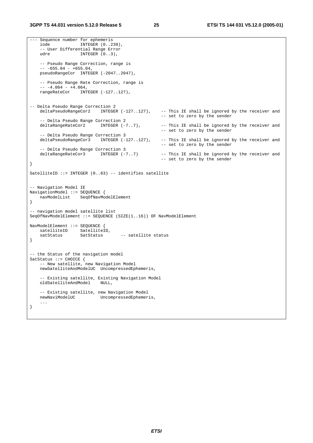--- Sequence number for ephemeris INTEGER (0..239), -- User Differential Range Error udre INTEGER (0..3), -- Pseudo Range Correction, range is  $-- -655.04 - +655.04,$ pseudoRangeCor INTEGER (-2047..2047), -- Pseudo Range Rate Correction, range is  $-- -4.064 - +4.064,$  rangeRateCor INTEGER (-127..127), -- Delta Pseudo Range Correction 2 deltaPseudoRangeCor2 INTEGER (-127..127), -- This IE shall be ignored by the receiver and -- set to zero by the sender -- Delta Pseudo Range Correction 2<br>deltaRangeRateCor2 INTEGER (-7..7), -- This IE shall be ignored by the receiver and -- set to zero by the sender -- Delta Pseudo Range Correction 3 deltaPseudoRangeCor3 INTEGER (-127..127), -- This IE shall be ignored by the receiver and -- set to zero by the sender -- Delta Pseudo Range Correction 3<br>deltaRangeRateCor3 INTEGER (-7..7) -- This IE shall be ignored by the receiver and -- set to zero by the sender } SatelliteID ::= INTEGER (0..63) -- identifies satellite -- Navigation Model IE NavigationModel ::= SEQUENCE { navModelList SeqOfNavModelElement } -- navigation model satellite list SeqOfNavModelElement ::= SEQUENCE (SIZE(1..16)) OF NavModelElement NavModelElement ::= SEQUENCE { satelliteID SatelliteID, satStatus SatStatus -- satellite status } -- the Status of the navigation model SatStatus ::= CHOICE { -- New satellite, new Navigation Model newSatelliteAndModelUC UncompressedEphemeris, -- Existing satellite, Existing Navigation Model oldSatelliteAndModel NULL, -- Existing satellite, new Navigation Model UncompressedEphemeris, ... }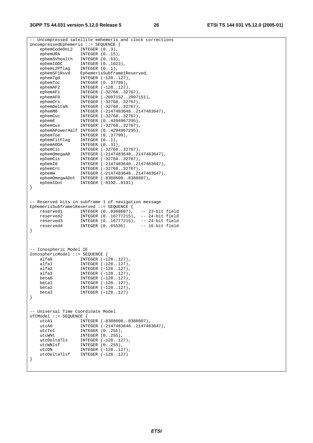-- Uncompressed satellite emhemeris and clock corrections UncompressedEphemeris ::= SEQUENCE { ephemCodeOnL2 INTEGER  $(0..3)$ , ephemURA INTEGER (0..15), ephemSVhealth INTEGER (0..63), ephemIODC INTEGER (0..1023), ephemL2Pflag INTEGER (0..1), ephemSF1Rsvd EphemerisSubframe1Reserved, ephemTgd INTEGER (-128..127), ephemToc INTEGER (0..37799), ephemAF2 INTEGER (-128..127), ephemAF1 INTEGER (-32768..32767), ephemAF0 INTEGER (-2097152..2097151), ephemCrs INTEGER (-32768..32767), ephemDeltaN INTEGER (-32768..32767), ephemM0 INTEGER (-2147483648..2147483647), ephemCuc INTEGER (-32768..32767), ephemE INTEGER (0..4294967295), ephemCus INTEGER (-32768..32767), ephemAPowerHalf INTEGER (0..4294967295), ephemToe INTEGER (0..37799), ephemFitFlag INTEGER (0..1), ephemAODA INTEGER (0..31), ephemCic INTEGER (-32768..32767), ephemOmegaA0 INTEGER (-2147483648..2147483647), ephemCis INTEGER (-32768..32767), ephemI0 INTEGER (-2147483648..2147483647), ephemCrc INTEGER (-32768..32767), ephemW INTEGER (-2147483648..2147483647), ephemOmegaADot INTEGER (-8388608..8388607), ephemIDot INTEGER (-8192..8191) } -- Reserved bits in subframe 1 of navigation message EphemerisSubframe1Reserved ::= SEQUENCE { reserved1 INTEGER (0..8388607), -- 23-bit field<br>reserved2 INTEGER (0..16777215), -- 24-bit field reserved2 INTEGER (0..16777215), -- 24-bit field reserved3 INTEGER (0..16777215), -- 24-bit field reserved4 INTEGER (0..65535) -- 16-bit field } -- Ionospheric Model IE IonosphericModel ::= SEQUENCE { alfa0 INTEGER (-128..127), alfa1 INTEGER (-128..127), alfa2 INTEGER (-128..127), alfa3 INTEGER (-128..127), beta0 INTEGER (-128..127), beta1 INTEGER (-128..127), beta1 INTEGER (-128..127),<br>beta2 INTEGER (-128..127),<br>beta3 INTEGER (-128..127) INTEGER (-128..127) } -- Universal Time Coordinate Model UTCModel ::= SEQUENCE { INTEGER (-8388608..8388607), utcA0 INTEGER (-2147483648..2147483647), utcTot INTEGER (0..255), utcWNt INTEGER (0..255), utcDeltaTls INTEGER (-128..127), utcWNlsf INTEGER (0..255), utcDN INTEGER (-128..127), utcDeltaTlsf INTEGER (-128..127) }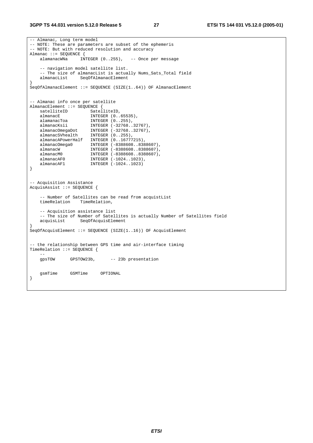#### **3GPP TS 44.031 version 5.12.0 Release 5 27 ETSI TS 144 031 V5.12.0 (2005-01)**

```
-- Almanac, Long term model 
-- NOTE: These are parameters are subset of the ephemeris 
-- NOTE: But with reduced resolution and accuracy 
Almanac ::= SEQUENCE {<br>alamanacWNa    INTEGER (0..255),
    alamanacWNa INTEGER (0..255), -- Once per message 
     -- navigation model satellite list. 
   -- The size of almanacList is actually Nums_Sats_Total field<br>almanacList SeqOfAlmanacElement
                  SeqOfAlmanacElement
} 
SeqOfAlmanacElement ::= SEQUENCE (SIZE(1..64)) OF AlmanacElement 
-- Almanac info once per satellite 
AlmanacElement ::= SEQUENCE { 
   satelliteID SatelliteID,
   almanacE INTEGER (0..65535),
 alamanacToa INTEGER (0..255), 
 almanacKsii INTEGER (-32768..32767), 
 almanacOmegaDot INTEGER (-32768..32767), 
 almanacSVhealth INTEGER (0..255), 
    almanacAPowerHalf INTEGER (0..16777215), 
 almanacOmega0 INTEGER (-8388608..8388607), 
 almanacW INTEGER (-8388608..8388607), 
 almanacM0 INTEGER (-8388608..8388607), 
 almanacAF0 INTEGER (-1024..1023), 
 almanacAF1 INTEGER (-1024..1023) 
} 
-- Acquisition Assistance 
AcquisAssist ::= SEQUENCE { 
    -- Number of Satellites can be read from acquistList 
    timeRelation TimeRelation, 
     -- Acquisition assistance list 
   -- The size of Number of Satellites is actually Number of Satellites field acquisList SeqOfAcquisElement
                   SeqOfAcquisElement
} 
SeqOfAcquisElement ::= SEQUENCE (SIZE(1..16)) OF AcquisElement 
-- the relationship between GPS time and air-interface timing 
TimeRelation ::= SEQUENCE { 
 -- 
    gpsTOW GPSTOW23b, -- 23b presentation 
    gsmTime GSMTime OPTIONAL 
}
```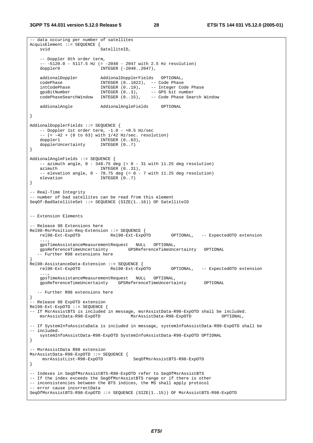-- data occuring per number of satellites AcquisElement ::= SEQUENCE { svid SatelliteID. -- Doppler 0th order term, -- -5120.0 - 5117.5 Hz (= -2048 - 2047 with 2.5 Hz resolution) doppler0 **INTEGER** (-2048..2047), addionalDoppler addionalDopplerFields OPTIONAL,<br>codePhase TNTEGER (0 1022) -- CodePhase codePhase INTEGER (0..1022), -- Code Phase intCodePhase INTEGER (0..19), -- Integer Code Phase gpsBitNumber INTEGER (0..3), -- GPS bit number codePhaseSearchWindow INTEGER (0..15), -- Code Phase Search Window addionalAngle AddionalAngleFields OPTIONAL } AddionalDopplerFields ::= SEQUENCE {  $--$  Doppler 1st order term,  $-1.0$  -  $+0.5$  Hz/sec  $--$  (=  $-42 + (0 to 63)$  with  $1/42$  Hz/sec. resolution) doppler1 INTEGER  $(0..63)$ , dopplerUncertainty INTEGER (0..7) } AddionalAngleFields ::= SEQUENCE { -- azimuth angle,  $0 - 348.75$  deg (=  $0 - 31$  with 11.25 deg resolution) azimuth INTEGER  $(0..31)$ . INTEGER (0..31), -- elevation angle,  $0 - 78.75$  deg  $(= 0 - 7 \text{ with } 11.25$  deg resolution) elevation INTEGER (0..7) } -- Real-Time Integrity -- number of bad satellites can be read from this element SeqOf-BadSatelliteSet ::= SEQUENCE (SIZE(1..16)) OF SatelliteID -- Extension Elements - Release 98 Extensions here Rel98-MsrPosition-Req-Extension ::= SEQUENCE {<br>rel98-Ext-ExpOTD Rel98-Ext-ExpOTD rel98-Ext-ExpOTD Rel98-Ext-ExpOTD OPTIONAL, -- ExpectedOTD extension ..., gpsTimeAssistanceMeasurementRequest NULL OPTIONAL, gpsReferenceTimeUncertainty GPSReferenceTimeUncertainty OPTIONAL -- Further R98 extensions here } Rel98-AssistanceData-Extension ::= SEQUENCE { rel98-Ext-ExpOTD Rel98-Ext-ExpOTD OPTIONAL, -- ExpectedOTD extension ..., gpsTimeAssistanceMeasurementRequest NULL OPTIONAL, gpsReferenceTimeUncertainty GPSReferenceTimeUncertainty OPTIONAL -- Further R98 extensions here } -- Release 98 ExpOTD extension Rel98-Ext-ExpOTD ::= SEQUENCE { -- If MsrAssistBTS is included in message, msrAssistData-R98-ExpOTD shall be included. msrAssistData-R98-ExpOTD -- If SystemInfoAssistaData is included in message, systemInfoAssistData-R98-ExpOTD shall be -- included. systemInfoAssistData-R98-ExpOTD SystemInfoAssistData-R98-ExpOTD OPTIONAL } -- MsrAssistData R98 extension MsrAssistData-R98-ExpOTD ::= SEQUENCE { msrAssistList-R98-ExpOTD SeqOfMsrAssistBTS-R98-ExpOTD } -- Indexes in SeqOfMsrAssistBTS-R98-ExpOTD refer to SeqOfMsrAssistBTS -- If the index exceeds the SegOfMsrAssistBTS range or if there is other -- inconsistencies between the BTS indices, the MS shall apply protocol -- error cause incorrectData SeqOfMsrAssistBTS-R98-ExpOTD ::= SEQUENCE (SIZE(1..15)) OF MsrAssistBTS-R98-ExpOTD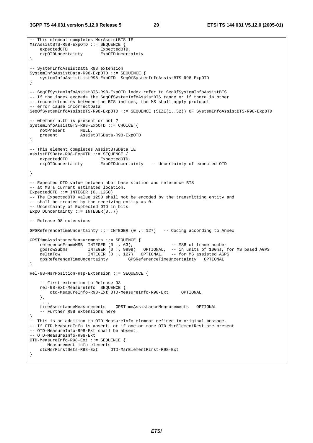**3GPP TS 44.031 version 5.12.0 Release 5 29 ETSI TS 144 031 V5.12.0 (2005-01)**

```
-- This element completes MsrAssistBTS IE 
MsrAssistBTS-R98-ExpOTD ::= SEQUENCE {<br>expectedOTD ExpectedOT
                            expectedOTD.
     expOTDUncertainty ExpOTDUncertainty 
} 
-- SystemInfoAssistData R98 extension 
SystemInfoAssistData-R98-ExpOTD ::= SEQUENCE { 
    systemInfoAssistListR98-ExpOTD SeqOfSystemInfoAssistBTS-R98-ExpOTD 
} 
-- SeqOfSystemInfoAssistBTS-R98-ExpOTD index refer to SeqOfSystemInfoAssistBTS 
-- If the index exceeds the SegOfSystemInfoAssistBTS range or if there is other
-- inconsistencies between the BTS indices, the MS shall apply protocol 
-- error cause incorrectData 
SeqOfSystemInfoAssistBTS-R98-ExpOTD ::= SEQUENCE (SIZE(1..32)) OF SystemInfoAssistBTS-R98-ExpOTD 
-- whether n.th is present or not ? 
SystemInfoAssistBTS-R98-ExpOTD ::= CHOICE { 
    notPresent NULL,<br>present Assis
                     present AssistBTSData-R98-ExpOTD 
} 
-- This element completes AssistBTSData IE 
AssistBTSData-R98-ExpOTD ::= SEQUENCE { 
   expectedOTD ExpectedOTD,<br>expOTDuncertainty ExpOTDUncert
                            ExpOTDUncertainty -- Uncertainty of expected OTD
} 
-- Expected OTD value between nbor base station and reference BTS 
-- at MS's current estimated location.
ExpectedOTD ::= INTEGER (0..1250)-- The ExpectedOTD value 1250 shall not be encoded by the transmitting entity and 
-- shall be treated by the receiving entity as 0. 
-- Uncertainty of Exptected OTD in bits 
ExpOTDUncertainty := INTEGER(0..7)
-- Release 98 extensions 
GPSReferenceTimeUncertainty ::= INTEGER (0 .. 127) -- Coding according to Annex 
GPSTimeAssistanceMeasurements ::= SEQUENCE {<br>referenceFrameMSB INTEGER (0 .. 63),
referenceFrameMSB INTEGER (0 . . 63), - THE MSB of frame number
 gpsTowSubms INTEGER (0 .. 9999) OPTIONAL, -- in units of 100ns, for MS based AGPS 
 deltaTow INTEGER (0 .. 127) OPTIONAL, -- for MS assisted AGPS 
     gpsReferenceTimeUncertainty GPSReferenceTimeUncertainty OPTIONAL 
} 
Rel-98-MsrPosition-Rsp-Extension ::= SEQUENCE { 
      -- First extension to Release 98 
     rel-98-Ext-MeasureInfo SEQUENCE { 
         otd-MeasureInfo-R98-Ext OTD-MeasureInfo-R98-Ext OPTIONAL 
     }, 
    ...,<br>timeAssistanceMeasurements
                                   timeAssistanceMeasurements GPSTimeAssistanceMeasurements OPTIONAL 
     -- Further R98 extensions here 
} 
-- This is an addition to OTD-MeasureInfo element defined in original message, 
-- If OTD-MeasureInfo is absent, or if one or more OTD-MsrElementRest are present 
-- OTD-MeasureInfo-R98-Ext shall be absent. 
-- OTD-MeasureInfo-R98-Ext 
OTD-MeasureInfo-R98-Ext ::= SEQUENCE { 
    -- Measurement info elements<br>otdMsrFirstSets-R98-Ext
                                OTD-MsrElementFirst-R98-Ext
}
```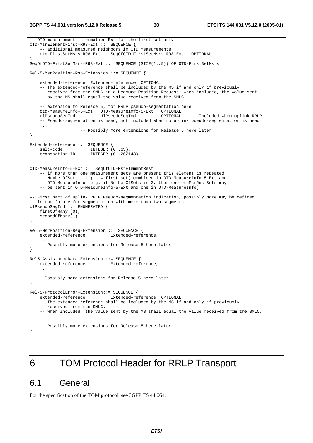```
-- OTD measurement information Ext for the first set only 
OTD-MsrElementFirst-R98-Ext ::= SEQUENCE { 
    -- additional measured neighbors in OTD measurements
     otd-FirstSetMsrs-R98-Ext SeqOfOTD-FirstSetMsrs-R98-Ext OPTIONAL 
} 
SeqOfOTD-FirstSetMsrs-R98-Ext ::= SEQUENCE (SIZE(1..5)) OF OTD-FirstSetMsrs 
Rel-5-MsrPosition-Rsp-Extension ::= SEQUENCE { 
     extended-reference Extended-reference OPTIONAL, 
     -- The extended-reference shall be included by the MS if and only if previously 
     -- received from the SMLC in a Measure Position Request. When included, the value sent 
     -- by the MS shall equal the value received from the SMLC. 
    -- extension to Release 5, for RRLP pseudo-segmentation here<br>otd-MeasureInfo-5-Ext OTD-MeasureInfo-5-Ext OPTIONAL,
    otd-MeasureInfo-5-Ext OTD-MeasureInfo-5-Ext
    ulPseudoSegInd UlPseudoSegInd OPTIONAL, -- Included when uplink RRLP 
     -- Pseudo-segmentation is used, not included when no uplink pseudo-segmentation is used 
     ... 
                     -- Possibly more extensions for Release 5 here later 
} 
Extended-reference ::= SEQUENCE { 
 smlc-code INTEGER (0..63), 
 transaction-ID INTEGER (0..262143) 
} 
OTD-MeasureInfo-5-Ext ::= SeqOfOTD-MsrElementRest 
     -- if more than one measurement sets are present this element is repeated 
     -- NumberOfSets - 1 (-1 = first set) combined in OTD-MeasureInfo-5-Ext and 
    -- OTD-MeasureInfo (e.g. if NumberOfSets is 3, then one otdMsrRestSets may
     -- be sent in OTD-MeasureInfo-5-Ext and one in OTD-MeasureInfo) 
-- First part of Uplink RRLP Pseudo-segmentation indication, possibly more may be defined 
-- in the future for segmentation with more than two segments.
UlPseudoSegInd ::= ENUMERATED { 
     firstOfMany (0), 
     secondOfMany(1) 
} 
Rel5-MsrPosition-Req-Extension ::= SEQUENCE { 
     extended-reference Extended-reference, 
 ... 
     -- Possibly more extensions for Release 5 here later 
} 
Rel5-AssistanceData-Extension ::= SEQUENCE { 
    extended-reference Extended-reference, 
 ... 
   -- Possibly more extensions for Release 5 here later 
} 
Rel-5-ProtocolError-Extension::= SEQUENCE { 
    extended-reference Extended-reference OPTIONAL, 
     -- The extended-reference shall be included by the MS if and only if previously 
     -- received from the SMLC. 
     -- When included, the value sent by the MS shall equal the value received from the SMLC. 
 ... 
     -- Possibly more extensions for Release 5 here later 
}
```
# 6 TOM Protocol Header for RRLP Transport

### 6.1 General

For the specification of the TOM protocol, see 3GPP TS 44.064.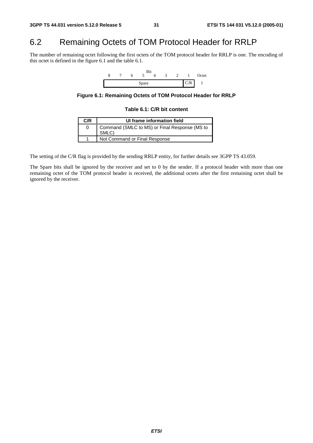# 6.2 Remaining Octets of TOM Protocol Header for RRLP

The number of remaining octet following the first octets of the TOM protocol header for RRLP is one. The encoding of this octet is defined in the figure 6.1 and the table 6.1.



**Figure 6.1: Remaining Octets of TOM Protocol Header for RRLP** 

#### **Table 6.1: C/R bit content**

| C/R | UI frame information field                             |
|-----|--------------------------------------------------------|
|     | Command (SMLC to MS) or Final Response (MS to<br>SMLC) |
|     | Not Command or Final Response                          |

The setting of the C/R flag is provided by the sending RRLP entity, for further details see 3GPP TS 43.059.

The Spare bits shall be ignored by the receiver and set to 0 by the sender. If a protocol header with more than one remaining octet of the TOM protocol header is received, the additional octets after the first remaining octet shall be ignored by the receiver.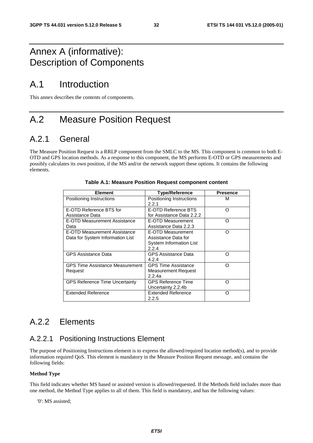# Annex A (informative): Description of Components

# A.1 Introduction

This annex describes the contents of components.

# A.2 Measure Position Request

# A.2.1 General

The Measure Position Request is a RRLP component from the SMLC to the MS. This component is common to both E-OTD and GPS location methods. As a response to this component, the MS performs E-OTD or GPS measurements and possibly calculates its own position, if the MS and/or the network support these options. It contains the following elements.

| <b>Element</b>                                                   | <b>Type/Reference</b>                                                               | <b>Presence</b> |
|------------------------------------------------------------------|-------------------------------------------------------------------------------------|-----------------|
| Positioning Instructions                                         | Positioning Instructions<br>2.2.1                                                   | м               |
| E-OTD Reference BTS for<br>Assistance Data                       | E-OTD Reference BTS<br>for Assistance Data 2.2.2                                    | Ω               |
| E-OTD Measurement Assistance<br>Data                             | E-OTD Measurement<br>Assistance Data 2.2.3                                          | ∩               |
| E-OTD Measurement Assistance<br>Data for System Information List | E-OTD Measurement<br>Assistance Data for<br><b>System Information List</b><br>2.2.4 | ∩               |
| <b>GPS Assistance Data</b>                                       | <b>GPS Assistance Data</b><br>4.2.4                                                 | ∩               |
| <b>GPS Time Assistance Measurement</b><br>Request                | <b>GPS Time Assistance</b><br>Measurement Request<br>2.2.4a                         | ∩               |
| <b>GPS Reference Time Uncertainty</b>                            | <b>GPS Reference Time</b><br>Uncertainty 2.2.4b                                     | ∩               |
| <b>Extended Reference</b>                                        | Extended Reference<br>2.2.5                                                         | ∩               |

| Table A.1: Measure Position Request component content |  |  |  |  |  |  |
|-------------------------------------------------------|--|--|--|--|--|--|
|-------------------------------------------------------|--|--|--|--|--|--|

# A.2.2 Elements

### A.2.2.1 Positioning Instructions Element

The purpose of Positioning Instructions element is to express the allowed/required location method(s), and to provide information required QoS. This element is mandatory in the Measure Position Request message, and contains the following fields:

#### **Method Type**

This field indicates whether MS based or assisted version is allowed/requested. If the Methods field includes more than one method, the Method Type applies to all of them. This field is mandatory, and has the following values:

'0': MS assisted;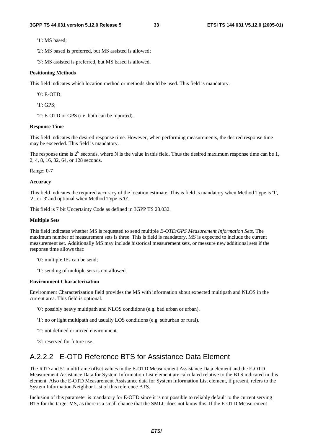'1': MS based;

'2': MS based is preferred, but MS assisted is allowed;

'3': MS assisted is preferred, but MS based is allowed.

#### **Positioning Methods**

This field indicates which location method or methods should be used. This field is mandatory.

'0': E-OTD;

'1': GPS;

'2': E-OTD or GPS (i.e. both can be reported).

#### **Response Time**

This field indicates the desired response time. However, when performing measurements, the desired response time may be exceeded. This field is mandatory.

The response time is  $2^N$  seconds, where N is the value in this field. Thus the desired maximum response time can be 1, 2, 4, 8, 16, 32, 64, or 128 seconds.

Range: 0-7

#### **Accuracy**

This field indicates the required accuracy of the location estimate. This is field is mandatory when Method Type is '1', '2', or '3' and optional when Method Type is '0'.

This field is 7 bit Uncertainty Code as defined in 3GPP TS 23.032.

#### **Multiple Sets**

This field indicates whether MS is requested to send multiple *E-OTD/GPS Measurement Information Sets*. The maximum number of measurement sets is three. This is field is mandatory. MS is expected to include the current measurement set. Additionally MS may include historical measurement sets, or measure new additional sets if the response time allows that:

'0': multiple IEs can be send;

'1': sending of multiple sets is not allowed.

#### **Environment Characterization**

Environment Characterization field provides the MS with information about expected multipath and NLOS in the current area. This field is optional.

- '0': possibly heavy multipath and NLOS conditions (e.g. bad urban or urban).
- '1': no or light multipath and usually LOS conditions (e.g. suburban or rural).
- '2': not defined or mixed environment.
- '3': reserved for future use.

### A.2.2.2 E-OTD Reference BTS for Assistance Data Element

The RTD and 51 multiframe offset values in the E-OTD Measurement Assistance Data element and the E-OTD Measurement Assistance Data for System Information List element are calculated relative to the BTS indicated in this element. Also the E-OTD Measurement Assistance data for System Information List element, if present, refers to the System Information Neighbor List of this reference BTS.

Inclusion of this parameter is mandatory for E-OTD since it is not possible to reliably default to the current serving BTS for the target MS, as there is a small chance that the SMLC does not know this. If the E-OTD Measurement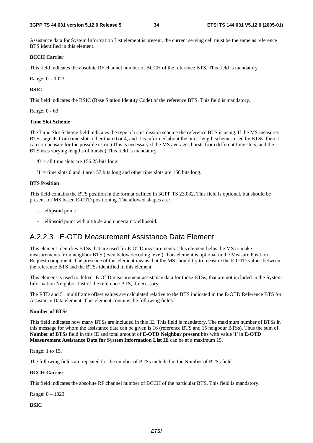Assistance data for System Information List element is present, the current serving cell must be the same as reference BTS identified in this element.

#### **BCCH Carrier**

This field indicates the absolute RF channel number of BCCH of the reference BTS. This field is mandatory.

Range: 0 – 1023

#### **BSIC**

This field indicates the BSIC (Base Station Identity Code) of the reference BTS. This field is mandatory.

Range: 0 - 63

#### **Time Slot Scheme**

The Time Slot Scheme field indicates the type of transmission scheme the reference BTS is using. If the MS measures BTSs signals from time slots other than 0 or 4, and it is informed about the burst length schemes used by BTSs, then it can compensate for the possible error. (This is necessary if the MS averages bursts from different time slots, and the BTS uses varying lengths of bursts.) This field is mandatory.

 $0'$  = all time slots are 156.25 bits long.

 $'1'$  = time slots 0 and 4 are 157 bits long and other time slots are 156 bits long.

#### **BTS Position**

This field contains the BTS position in the format defined in 3GPP TS 23.032. This field is optional, but should be present for MS based E-OTD positioning. The allowed shapes are:

- ellipsoid point;
- ellipsoid point with altitude and uncertainty ellipsoid.

### A.2.2.3 E-OTD Measurement Assistance Data Element

This element identifies BTSs that are used for E-OTD measurements. This element helps the MS to make measurements from neighbor BTS (even below decoding level). This element is optional in the Measure Position Request component. The presence of this element means that the MS should try to measure the E-OTD values between the reference BTS and the BTSs identified in this element.

This element is used to deliver E-OTD measurement assistance data for those BTSs, that are not included in the System Information Neighbor List of the reference BTS, if necessary.

The RTD and 51 multiframe offset values are calculated relative to the BTS indicated in the E-OTD Reference BTS for Assistance Data element. This element contains the following fields.

#### **Number of BTSs**

This field indicates how many BTSs are included in this IE. This field is mandatory. The maximum number of BTSs in this message for whom the assistance data can be given is 16 (reference BTS and 15 neigbour BTSs). Thus the sum of **Number of BTSs** field in this IE and total amount of **E-OTD Neighbor present** bits with value '1' in **E-OTD Measurement Assistance Data for System Information List IE** can be at a maximum 15.

Range: 1 to 15.

The following fields are repeated for the number of BTSs included in the Number of BTSs field.

#### **BCCH Carrier**

This field indicates the absolute RF channel number of BCCH of the particular BTS. This field is mandatory.

Range: 0 – 1023

**BSIC**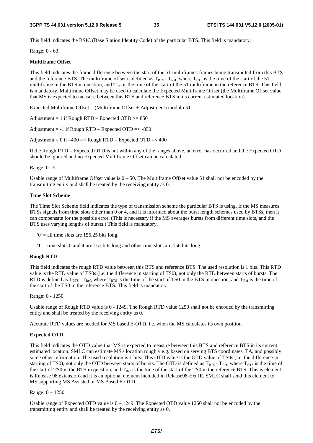This field indicates the BSIC (Base Station Identity Code) of the particular BTS. This field is mandatory.

Range: 0 - 63

#### **Multiframe Offset**

This field indicates the frame difference between the start of the 51 multiframes frames being transmitted from this BTS and the reference BTS. The multiframe offset is defined as  $T_{BTS}$  -  $T_{Ref}$ , where  $T_{BTS}$  is the time of the start of the 51 multiframe in the BTS in question, and  $T_{Ref}$  is the time of the start of the 51 multiframe in the reference BTS. This field is mandatory. Multiframe Offset may be used to calculate the Expected Multiframe Offset (the Multiframe Offset value that MS is expected to measure between this BTS and reference BTS in its current estimated location).

Expected Multiframe Offset = (Multiframe Offset + Adjustment) modulo  $51$ 

Adjustment = 1 if Rough RTD – Expected OTD  $>= 850$ 

Adjustment =  $-1$  if Rough RTD – Expected OTD =  $<-850$ 

Adjustment =  $0$  if  $-400$  =< Rough RTD – Expected OTD =<  $400$ 

If the Rough RTD – Expected OTD is not within any of the ranges above, an error has occurred and the Expected OTD should be ignored and no Expected Multiframe Offset can be calculated.

Range: 0 - 51

Usable range of Multiframe Offset value is  $0 - 50$ . The Multiframe Offset value 51 shall not be encoded by the transmitting entity and shall be treated by the receiving entity as 0.

#### **Time Slot Scheme**

The Time Slot Scheme field indicates the type of transmission scheme the particular BTS is using. If the MS measures BTSs signals from time slots other than 0 or 4, and it is informed about the burst length schemes used by BTSs, then it can compensate for the possible error. (This is necessary if the MS averages bursts from different time slots, and the BTS uses varying lengths of bursts.) This field is mandatory.

 $0'$  = all time slots are 156.25 bits long.

 $'1'$  = time slots 0 and 4 are 157 bits long and other time slots are 156 bits long.

#### **Rough RTD**

This field indicates the rough RTD value between this BTS and reference BTS. The used resolution is 1 bits. This RTD value is the RTD value of TS0s (i.e. the difference in starting of TS0), not only the RTD between starts of bursts. The RTD is defined as  $T_{BTS}$  -  $T_{Ref}$ , where  $T_{BTS}$  is the time of the start of TS0 in the BTS in question, and  $T_{Ref}$  is the time of the start of the TS0 in the reference BTS. This field is mandatory.

Range: 0 - 1250

Usable range of Rough RTD value is 0 - 1249. The Rough RTD value 1250 shall not be encoded by the transmitting entity and shall be treated by the receiving entity as 0.

Accurate RTD values are needed for MS based E-OTD, i.e. when the MS calculates its own position.

#### **Expected OTD**

This field indicates the OTD value that MS is expected to measure between this BTS and reference BTS in its current estimated location. SMLC can estimate MS's location roughly e.g. based on serving BTS coordinates, TA, and possibly some other information. The used resolution is 1 bits. This OTD value is the OTD value of TS0s (i.e. the difference in starting of TS0), not only the OTD between starts of bursts. The OTD is defined as  $T_{BTS}$  -  $T_{Ref}$ , where  $T_{BTS}$  is the time of the start of TS0 in the BTS in question, and  $T_{Ref}$  is the time of the start of the TS0 in the reference BTS. This is element is Release 98 extension and it is an optional element included in Release98-Ext IE. SMLC shall send this element to MS supporting MS Assisted or MS Based E-OTD.

Range: 0 – 1250

Usable range of Expected OTD value is  $0 - 1249$ . The Expected OTD value 1250 shall not be encoded by the transmitting entity and shall be treated by the receiving entity as 0.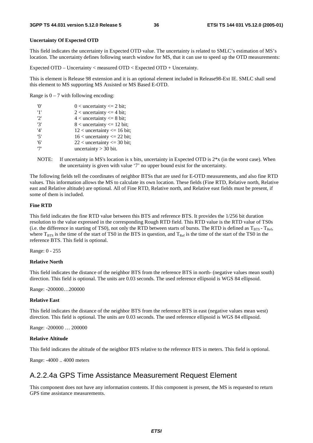#### **Uncertainty Of Expected OTD**

This field indicates the uncertainty in Expected OTD value. The uncertainty is related to SMLC's estimation of MS's location. The uncertainty defines following search window for MS, that it can use to speed up the OTD measurements:

Expected OTD – Uncertainty < measured OTD < Expected OTD + Uncertainty.

This is element is Release 98 extension and it is an optional element included in Release98-Ext IE. SMLC shall send this element to MS supporting MS Assisted or MS Based E-OTD.

Range is  $0 - 7$  with following encoding:

| 'O' | $0$ < uncertainty <= 2 bit;      |
|-----|----------------------------------|
| '1' | $2$ < uncertainty $\leq$ 4 bit;  |
| 2'  | $4$ < uncertainty $\leq 8$ bit;  |
| '3' | $8$ < uncertainty $\leq 12$ bit; |
| '4' | $12$ < uncertainty <= 16 bit;    |
| '5' | $16$ < uncertainty <= 22 bit;    |
| '6' | $22$ < uncertainty <= 30 bit;    |
| י7' | uncertainty $>$ 30 bit.          |

NOTE: If uncertainty in MS's location is x bits, uncertainty in Expected OTD is  $2*x$  (in the worst case). When the uncertainty is given with value '7' no upper bound exist for the uncertainty.

The following fields tell the coordinates of neighbor BTSs that are used for E-OTD measurements, and also fine RTD values. This information allows the MS to calculate its own location. These fields (Fine RTD, Relative north, Relative east and Relative altitude) are optional. All of Fine RTD, Relative north, and Relative east fields must be present, if some of them is included.

#### **Fine RTD**

This field indicates the fine RTD value between this BTS and reference BTS. It provides the 1/256 bit duration resolution to the value expressed in the corresponding Rough RTD field. This RTD value is the RTD value of TS0s (i.e. the difference in starting of TS0), not only the RTD between starts of bursts. The RTD is defined as  $T_{BTS}$  -  $T_{Ref}$ , where  $T_{BTS}$  is the time of the start of TS0 in the BTS in question, and  $T_{\text{Ref}}$  is the time of the start of the TS0 in the reference BTS. This field is optional.

Range: 0 - 255

#### **Relative North**

This field indicates the distance of the neighbor BTS from the reference BTS in north- (negative values mean south) direction. This field is optional. The units are 0.03 seconds. The used reference ellipsoid is WGS 84 ellipsoid.

Range: -200000…200000

#### **Relative East**

This field indicates the distance of the neighbor BTS from the reference BTS in east (negative values mean west) direction. This field is optional. The units are 0.03 seconds. The used reference ellipsoid is WGS 84 ellipsoid.

Range: -200000 … 200000

#### **Relative Altitude**

This field indicates the altitude of the neighbor BTS relative to the reference BTS in meters. This field is optional.

Range: -4000 .. 4000 meters

### A.2.2.4a GPS Time Assistance Measurement Request Element

This component does not have any information contents. If this component is present, the MS is requested to return GPS time assistance measurements.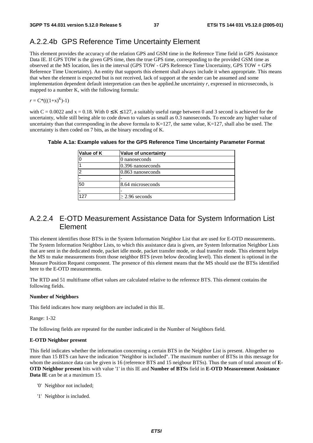### A.2.2.4b GPS Reference Time Uncertainty Element

This element provides the accuracy of the relation GPS and GSM time in the Reference Time field in GPS Assistance Data IE. If GPS TOW is the given GPS time, then the true GPS time, corresponding to the provided GSM time as observed at the MS location, lies in the interval (GPS TOW - GPS Reference Time Uncertainty, GPS TOW + GPS Reference Time Uncertainty). An entity that supports this element shall always include it when appropriate. This means that when the element is expected but is not received, lack of support at the sender can be assumed and some implementation dependent default interpretation can then be applied.he uncertainty *r*, expressed in microseconds, is mapped to a number K, with the following formula:

$$
r = C^*(( (1+x)^K )-1)
$$

with  $C = 0.0022$  and  $x = 0.18$ . With  $0 \le K \le 127$ , a suitably useful range between 0 and 3 second is achieved for the uncertainty, while still being able to code down to values as small as 0.3 nanoseconds. To encode any higher value of uncertainty than that corresponding in the above formula to  $K=127$ , the same value,  $K=127$ , shall also be used. The uncertainty is then coded on 7 bits, as the binary encoding of K.

#### **Table A.1a: Example values for the GPS Reference Time Uncertainty Parameter Format**

| Value of K | Value of uncertainty |
|------------|----------------------|
|            | 0 nanoseconds        |
|            | 0.396 nanoseconds    |
|            | $0.863$ nanoseconds  |
|            |                      |
| 50         | 8.64 microseconds    |
|            |                      |
| 127        | $\geq$ 2.96 seconds  |

# A.2.2.4 E-OTD Measurement Assistance Data for System Information List Element

This element identifies those BTSs in the System Information Neighbor List that are used for E-OTD measurements. The System Information Neighbor Lists, to which this assistance data is given, are System Information Neighbor Lists that are sent in the dedicated mode, packet idle mode, packet transfer mode, or dual transfer mode. This element helps the MS to make measurements from those neighbor BTS (even below decoding level). This element is optional in the Measure Position Request component. The presence of this element means that the MS should use the BTSs identified here to the E-OTD measurements.

The RTD and 51 multiframe offset values are calculated relative to the reference BTS. This element contains the following fields.

#### **Number of Neighbors**

This field indicates how many neighbors are included in this IE.

Range: 1-32

The following fields are repeated for the number indicated in the Number of Neighbors field.

#### **E-OTD Neighbor present**

This field indicates whether the information concerning a certain BTS in the Neighbor List is present. Altogether no more than 15 BTS can have the indication "Neighbor is included". The maximum number of BTSs in this message for whom the assistance data can be given is 16 (reference BTS and 15 neigbour BTSs). Thus the sum of total amount of **E-OTD Neighbor present** bits with value '1' in this IE and **Number of BTSs** field in **E-OTD Measurement Assistance Data IE** can be at a maximum 15.

- '0' Neighbor not included;
- '1' Neighbor is included.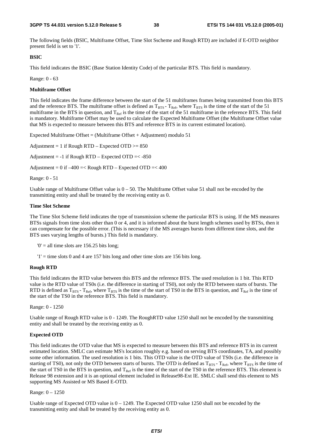The following fields (BSIC, Multiframe Offset, Time Slot Sscheme and Rough RTD) are included if E-OTD neighbor present field is set to '1'.

#### **BSIC**

This field indicates the BSIC (Base Station Identity Code) of the particular BTS. This field is mandatory.

Range: 0 - 63

#### **Multiframe Offset**

This field indicates the frame difference between the start of the 51 multiframes frames being transmitted from this BTS and the reference BTS. The multiframe offset is defined as  $T_{\rm BTS}$  -  $T_{\rm Ref}$ , where  $T_{\rm BTS}$  is the time of the start of the 51 multiframe in the BTS in question, and  $T_{Ref}$  is the time of the start of the 51 multiframe in the reference BTS. This field is mandatory. Multiframe Offset may be used to calculate the Expected Multiframe Offset (the Multiframe Offset value that MS is expected to measure between this BTS and reference BTS in its current estimated location).

Expected Multiframe Offset = (Multiframe Offset + Adjustment) modulo  $51$ 

Adjustment = 1 if Rough RTD – Expected OTD  $>= 850$ Adjustment =  $-1$  if Rough RTD – Expected OTD =  $< -850$ Adjustment =  $0$  if  $-400$  =< Rough RTD – Expected OTD =<  $400$ 

Range: 0 - 51

Usable range of Multiframe Offset value is  $0 - 50$ . The Multiframe Offset value 51 shall not be encoded by the transmitting entity and shall be treated by the receiving entity as 0.

#### **Time Slot Scheme**

The Time Slot Scheme field indicates the type of transmission scheme the particular BTS is using. If the MS measures BTSs signals from time slots other than 0 or 4, and it is informed about the burst length schemes used by BTSs, then it can compensate for the possible error. (This is necessary if the MS averages bursts from different time slots, and the BTS uses varying lengths of bursts.) This field is mandatory.

 $0' =$  all time slots are 156.25 bits long;

 $'1'$  = time slots 0 and 4 are 157 bits long and other time slots are 156 bits long.

#### **Rough RTD**

This field indicates the RTD value between this BTS and the reference BTS. The used resolution is 1 bit. This RTD value is the RTD value of TS0s (i.e. the difference in starting of TS0), not only the RTD between starts of bursts. The RTD is defined as  $T_{BTS}$  -  $T_{Ref}$ , where  $T_{BTS}$  is the time of the start of TS0 in the BTS in question, and  $T_{Ref}$  is the time of the start of the TS0 in the reference BTS. This field is mandatory.

Range: 0 - 1250

Usable range of Rough RTD value is 0 - 1249. The RoughRTD value 1250 shall not be encoded by the transmitting entity and shall be treated by the receiving entity as 0.

#### **Expected OTD**

This field indicates the OTD value that MS is expected to measure between this BTS and reference BTS in its current estimated location. SMLC can estimate MS's location roughly e.g. based on serving BTS coordinates, TA, and possibly some other information. The used resolution is 1 bits. This OTD value is the OTD value of TS0s (i.e. the difference in starting of TS0), not only the OTD between starts of bursts. The OTD is defined as  $T_{BTS}$ -  $T_{Ref}$ , where  $T_{BTS}$  is the time of the start of TS0 in the BTS in question, and  $T_{Ref}$  is the time of the start of the TS0 in the reference BTS. This element is Release 98 extension and it is an optional element included in Release98-Ext IE. SMLC shall send this element to MS supporting MS Assisted or MS Based E-OTD.

#### Range: 0 – 1250

Usable range of Expected OTD value is  $0 - 1249$ . The Expected OTD value 1250 shall not be encoded by the transmitting entity and shall be treated by the receiving entity as 0.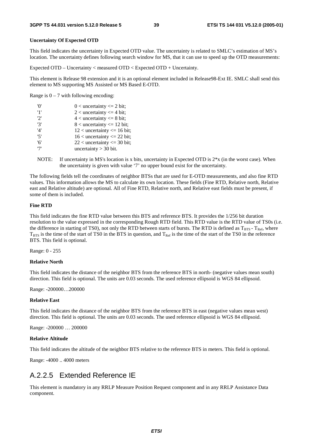#### **Uncertainty Of Expected OTD**

This field indicates the uncertainty in Expected OTD value. The uncertainty is related to SMLC's estimation of MS's location. The uncertainty defines following search window for MS, that it can use to speed up the OTD measurements:

Expected OTD – Uncertainty < measured OTD < Expected OTD + Uncertainty.

This element is Release 98 extension and it is an optional element included in Release98-Ext IE. SMLC shall send this element to MS supporting MS Assisted or MS Based E-OTD.

Range is  $0 - 7$  with following encoding:

| 'O' | $0$ < uncertainty <= 2 bit;      |
|-----|----------------------------------|
| '1' | $2$ < uncertainty $\leq$ 4 bit;  |
| 2'  | $4$ < uncertainty $\leq 8$ bit;  |
| '3' | $8$ < uncertainty $\leq 12$ bit; |
| '4' | $12$ < uncertainty <= 16 bit;    |
| '5' | $16$ < uncertainty <= 22 bit;    |
| '6' | $22$ < uncertainty <= 30 bit;    |
| י7' | uncertainty $>$ 30 bit.          |

NOTE: If uncertainty in MS's location is x bits, uncertainty in Expected OTD is  $2*x$  (in the worst case). When the uncertainty is given with value '7' no upper bound exist for the uncertainty.

The following fields tell the coordinates of neighbor BTSs that are used for E-OTD measurements, and also fine RTD values. This information allows the MS to calculate its own location. These fields (Fine RTD, Relative north, Relative east and Relative altitude) are optional. All of Fine RTD, Relative north, and Relative east fields must be present, if some of them is included.

#### **Fine RTD**

This field indicates the fine RTD value between this BTS and reference BTS. It provides the 1/256 bit duration resolution to the value expressed in the corresponding Rough RTD field. This RTD value is the RTD value of TS0s (i.e. the difference in starting of TS0), not only the RTD between starts of bursts. The RTD is defined as  $T_{BTS}$  -  $T_{Ref}$ , where  $T<sub>BTS</sub>$  is the time of the start of TS0 in the BTS in question, and  $T<sub>Ref</sub>$  is the time of the start of the TS0 in the reference BTS. This field is optional.

Range: 0 - 255

#### **Relative North**

This field indicates the distance of the neighbor BTS from the reference BTS in north- (negative values mean south) direction. This field is optional. The units are 0.03 seconds. The used reference ellipsoid is WGS 84 ellipsoid.

Range: -200000…200000

#### **Relative East**

This field indicates the distance of the neighbor BTS from the reference BTS in east (negative values mean west) direction. This field is optional. The units are 0.03 seconds. The used reference ellipsoid is WGS 84 ellipsoid.

Range: -200000 … 200000

#### **Relative Altitude**

This field indicates the altitude of the neighbor BTS relative to the reference BTS in meters. This field is optional.

Range: -4000 .. 4000 meters

### A.2.2.5 Extended Reference IE

This element is mandatory in any RRLP Measure Position Request component and in any RRLP Assistance Data component.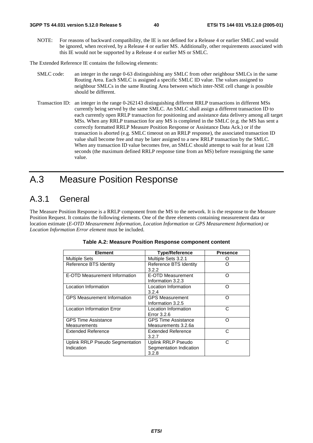NOTE: For reasons of backward compatibility, the IE is not defined for a Release 4 or earlier SMLC and would be ignored, when received, by a Release 4 or earlier MS. Additionally, other requirements associated with this IE would not be supported by a Release 4 or earlier MS or SMLC.

The Extended Reference IE contains the following elements:

- SMLC code: an integer in the range 0-63 distinguishing any SMLC from other neighbour SMLCs in the same Routing Area. Each SMLC is assigned a specific SMLC ID value. The values assigned to neighbour SMLCs in the same Routing Area between which inter-NSE cell change is possible should be different.
- Transaction ID: an integer in the range 0-262143 distinguishing different RRLP transactions in different MSs currently being served by the same SMLC. An SMLC shall assign a different transaction ID to each currently open RRLP transaction for positioning and assistance data delivery among all target MSs. When any RRLP transaction for any MS is completed in the SMLC (e.g. the MS has sent a correctly formatted RRLP Measure Position Response or Assistance Data Ack.) or if the transaction is aborted (e.g. SMLC timeout on an RRLP response), the associated transaction ID value shall become free and may be later assigned to a new RRLP transaction by the SMLC. When any transaction ID value becomes free, an SMLC should attempt to wait for at least 128 seconds (the maximum defined RRLP response time from an MS) before reassigning the same value.

# A.3 Measure Position Response

# A.3.1 General

The Measure Position Response is a RRLP component from the MS to the network. It is the response to the Measure Position Request. It contains the following elements. One of the three elements containing measurement data or location estimate (*E-OTD Measurement Information*, *Location Information* or *GPS Measurement Information)* or *Location Information Error element* must be included.

| <b>Element</b>                                    | <b>Type/Reference</b>                                  | <b>Presence</b> |
|---------------------------------------------------|--------------------------------------------------------|-----------------|
| <b>Multiple Sets</b>                              | Multiple Sets 3.2.1                                    | Ω               |
| Reference BTS Identity                            | Reference BTS Identity<br>3.2.2                        | ∩               |
| E-OTD Measurement Information                     | E-OTD Measurement<br>Information 3.2.3                 | O               |
| Location Information                              | Location Information<br>3.2.4                          | ∩               |
| <b>GPS Measurement Information</b>                | <b>GPS Measurement</b><br>Information 3.2.5            | O               |
| <b>Location Information Error</b>                 | Location Information<br>Error 3.2.6                    | С               |
| <b>GPS Time Assistance</b><br><b>Measurements</b> | <b>GPS Time Assistance</b><br>Measurements 3.2.6a      | റ               |
| <b>Extended Reference</b>                         | Extended Reference<br>3.2.7                            | C               |
| Uplink RRLP Pseudo Segmentation<br>Indication     | Uplink RRLP Pseudo<br>Segmentation Indication<br>3.2.8 | C               |

#### **Table A.2: Measure Position Response component content**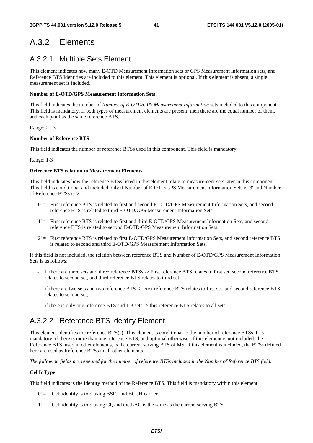# A.3.2 Elements

# A.3.2.1 Multiple Sets Element

This element indicates how many E-OTD Measurement Information sets or GPS Measurement Information sets, and Reference BTS Identities are included to this element. This element is optional. If this element is absent, a single measurement set is included.

#### **Number of E-OTD/GPS Measurement Information Sets**

This field indicates the number of *Number of E-OTD/GPS Measurement Information* sets included to this component. This field is mandatory. If both types of measurement elements are present, then there are the equal number of them, and each pair has the same reference BTS.

Range: 2 - 3

#### **Number of Reference BTS**

This field indicates the number of reference BTSs used in this component. This field is mandatory.

Range: 1-3

#### **Reference BTS relation to Measurement Elements**

This field indicates how the reference BTSs listed in this element relate to measurement sets later in this component. This field is conditional and included only if Number of E-OTD/GPS Measurement Information Sets is '3' and Number of Reference BTSs is '2'.

- '0' = First reference BTS is related to first and second E-OTD/GPS Measurement Information Sets, and second reference BTS is related to third E-OTD/GPS Measurement Information Sets.
- '1' = First reference BTS is related to first and third E-OTD/GPS Measurement Information Sets, and second reference BTS is related to second E-OTD/GPS Measurement Information Sets.
- '2' = First reference BTS is related to first E-OTD/GPS Measurement Information Sets, and second reference BTS is related to second and third E-OTD/GPS Measurement Information Sets.

If this field is not included, the relation between reference BTS and Number of E-OTD/GPS Measurement Information Sets is as follows:

- if there are three sets and three reference BTSs -> First reference BTS relates to first set, second reference BTS relates to second set, and third reference BTS relates to third set;
- if there are two sets and two reference BTS -> First reference BTS relates to first set, and second reference BTS relates to second set;
- if there is only one reference BTS and 1-3 sets -> this reference BTS relates to all sets.

# A.3.2.2 Reference BTS Identity Element

This element identifies the reference BTS(s). This element is conditional to the number of reference BTSs. It is mandatory, if there is more than one reference BTS, and optional otherwise. If this element is not included, the Reference BTS, used in other elements, is the current serving BTS of MS. If this element is included, the BTSs defined here are used as Reference BTSs in all other elements.

*The following fields are repeated for the number of reference BTSs included in the Number of Reference BTS field.* 

#### **CellIdType**

This field indicates is the identity method of the Reference BTS. This field is mandatory within this element.

- '0' = Cell identity is told using BSIC and BCCH carrier.
- '1' = Cell identity is told using CI, and the LAC is the same as the current serving BTS.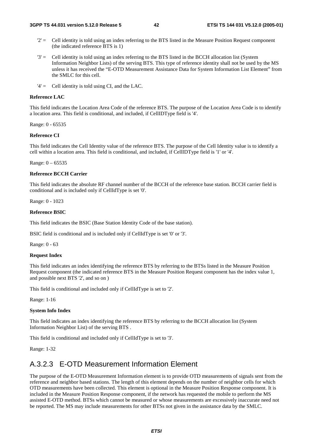- $2'$  = Cell identity is told using an index referring to the BTS listed in the Measure Position Request component (the indicated reference BTS is 1)
- '3' = Cell identity is told using an index referring to the BTS listed in the BCCH allocation list (System Information Neighbor Lists) of the serving BTS. This type of reference identity shall not be used by the MS unless it has received the "E-OTD Measurement Assistance Data for System Information List Element" from the SMLC for this cell.
- '4' = Cell identity is told using CI, and the LAC.

#### **Reference LAC**

This field indicates the Location Area Code of the reference BTS. The purpose of the Location Area Code is to identify a location area. This field is conditional, and included, if CellIDType field is '4'.

Range: 0 - 65535

#### **Reference CI**

This field indicates the Cell Identity value of the reference BTS. The purpose of the Cell Identity value is to identify a cell within a location area. This field is conditional, and included, if CellIDType field is '1' or '4'.

Range: 0 – 65535

#### **Reference BCCH Carrier**

This field indicates the absolute RF channel number of the BCCH of the reference base station. BCCH carrier field is conditional and is included only if CellIdType is set '0'.

Range: 0 - 1023

#### **Reference BSIC**

This field indicates the BSIC (Base Station Identity Code of the base station).

BSIC field is conditional and is included only if CellIdType is set '0' or '3'.

Range: 0 - 63

#### **Request Index**

This field indicates an index identifying the reference BTS by referring to the BTSs listed in the Measure Position Request component (the indicated reference BTS in the Measure Position Request component has the index value 1, and possible next BTS '2', and so on )

This field is conditional and included only if CellIdType is set to '2'.

Range: 1-16

#### **System Info Index**

This field indicates an index identifying the reference BTS by referring to the BCCH allocation list (System Information Neighbor List) of the serving BTS .

This field is conditional and included only if CellIdType is set to '3'.

Range: 1-32

### A.3.2.3 E-OTD Measurement Information Element

The purpose of the E-OTD Measurement Information element is to provide OTD measurements of signals sent from the reference and neighbor based stations. The length of this element depends on the number of neighbor cells for which OTD measurements have been collected. This element is optional in the Measure Position Response component. It is included in the Measure Position Response component, if the network has requested the mobile to perform the MS assisted E-OTD method. BTSs which cannot be measured or whose measurements are excessively inaccurate need not be reported. The MS may include measurements for other BTSs not given in the assistance data by the SMLC.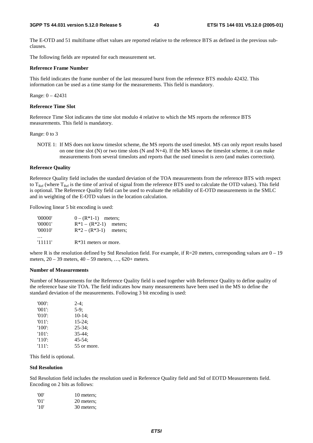The E-OTD and 51 multiframe offset values are reported relative to the reference BTS as defined in the previous subclauses.

The following fields are repeated for each measurement set.

#### **Reference Frame Number**

This field indicates the frame number of the last measured burst from the reference BTS modulo 42432. This information can be used as a time stamp for the measurements. This field is mandatory.

Range: 0 – 42431

#### **Reference Time Slot**

Reference Time Slot indicates the time slot modulo 4 relative to which the MS reports the reference BTS measurements. This field is mandatory.

#### Range: 0 to 3

NOTE 1: If MS does not know timeslot scheme, the MS reports the used timeslot. MS can only report results based on one time slot  $(N)$  or two time slots  $(N \text{ and } N+4)$ . If the MS knows the timeslot scheme, it can make measurements from several timeslots and reports that the used timeslot is zero (and makes correction).

#### **Reference Quality**

Reference Quality field includes the standard deviation of the TOA measurements from the reference BTS with respect to  $T_{\text{Ref}}$  (where  $T_{\text{Ref}}$  is the time of arrival of signal from the reference BTS used to calculate the OTD values). This field is optional. The Reference Quality field can be used to evaluate the reliability of E-OTD measurements in the SMLC and in weighting of the E-OTD values in the location calculation.

Following linear 5 bit encoding is used:

| '00000' | $0 - (R^*1-1)$ meters;    |  |
|---------|---------------------------|--|
| '00001' | $R*1 - (R*2-1)$ meters;   |  |
| '00010' | $R^*2 - (R^*3-1)$ meters; |  |
|         |                           |  |
| '11111' | $R*31$ meters or more.    |  |

where R is the resolution defined by Std Resolution field. For example, if  $R=20$  meters, corresponding values are  $0-19$ meters, 20 – 39 meters, 40 – 59 meters, …, 620+ meters.

#### **Number of Measurements**

Number of Measurements for the Reference Quality field is used together with Reference Quality to define quality of the reference base site TOA. The field indicates how many measurements have been used in the MS to define the standard deviation of the measurements. Following 3 bit encoding is used:

| $'000'$ : | $2-4:$      |
|-----------|-------------|
| $'001'$ : | $5-9$ ;     |
| $'010'$ : | $10-14$ ;   |
| $'011'$ : | $15 - 24$ ; |
| $'100'$ : | $25 - 34$ ; |
| $'101'$ : | $35 - 44:$  |
| $'110'$ : | $45 - 54$ : |
| '111':    | 55 or more. |

This field is optional.

#### **Std Resolution**

Std Resolution field includes the resolution used in Reference Quality field and Std of EOTD Measurements field. Encoding on 2 bits as follows:

| 'OO' | 10 meters: |
|------|------------|
| '01' | 20 meters; |
| '10' | 30 meters; |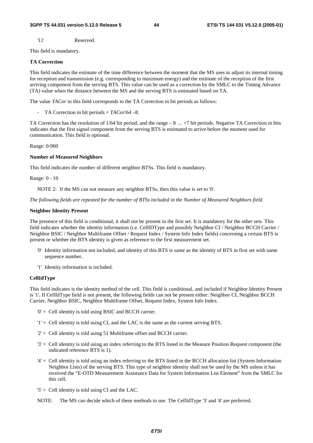'11' Reserved.

This field is mandatory.

#### **TA Correction**

This field indicates the estimate of the time difference between the moment that the MS uses to adjust its internal timing for reception and transmission (e.g. corresponding to maximum energy) and the estimate of the reception of the first arriving component from the serving BTS. This value can be used as a correction by the SMLC to the Timing Advance (TA) value when the distance between the MS and the serving BTS is estimated based on TA.

The value *TACor* in this field corresponds to the TA Correction in bit periods as follows:

- TA Correction in bit periods = *TACor*/64 –8.

TA Correction has the resolution of 1/64 bit period, and the range – 8 … +7 bit periods. Negative TA Correction in bits indicates that the first signal component from the serving BTS is estimated to arrive before the moment used for communication. This field is optional.

Range: 0-960

#### **Number of Measured Neighbors**

This field indicates the number of different neighbor BTSs. This field is mandatory.

Range: 0 - 10

NOTE 2: If the MS can not measure any neighbor BTSs, then this value is set to '0'.

*The following fields are repeated for the number of BTSs included in the Number of Measured Neighbors field.* 

#### **Neighbor Identity Present**

The presence of this field is conditional, it shall not be present in the first set. It is mandatory for the other sets. This field indicates whether the identity information (i.e. CellIDType and possibly Neighbor CI / Neighbor BCCH Carrier / Neighbor BSIC / Neighbor Multiframe Offset / Request Index / System Info Index fields) concerning a certain BTS is present or whether the BTS identity is given as reference to the first measurement set.

- '0' Identity information not included, and identity of this BTS is same as the identity of BTS in first set with same sequence number.
- '1' Identity information is included.

#### **CellIdType**

This field indicates is the identity method of the cell. This field is conditional, and included if Neighbor Identity Present is '1'**.** If CellIdType field is not present, the following fields can not be present either: Neighbor CI, Neighbor BCCH Carrier, Neighbor BSIC, Neighbor Multiframe Offset, Request Index, System Info Index.

- '0' = Cell identity is told using BSIC and BCCH carrier.
- '1' = Cell identity is told using CI, and the LAC is the same as the current serving BTS.
- '2' = Cell identity is told using 51 Multiframe offset and BCCH carrier.
- '3' = Cell identity is told using an index referring to the BTS listed in the Measure Position Request component (the indicated reference BTS is 1).
- '4' = Cell identity is told using an index referring to the BTS listed in the BCCH allocation list (System Information Neighbor Lists) of the serving BTS. This type of neighbor identity shall not be used by the MS unless it has received the "E-OTD Measurement Assistance Data for System Information List Element" from the SMLC for this cell.
- $5'$  = Cell identity is told using CI and the LAC.
- NOTE: The MS can decide which of these methods to use. The CellIdType '3' and '4' are preferred.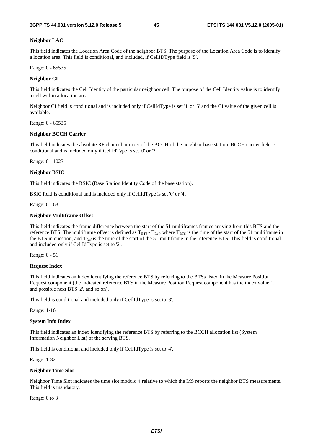#### **Neighbor LAC**

This field indicates the Location Area Code of the neighbor BTS. The purpose of the Location Area Code is to identify a location area. This field is conditional, and included, if CellIDType field is '5'.

Range: 0 - 65535

#### **Neighbor CI**

This field indicates the Cell Identity of the particular neighbor cell. The purpose of the Cell Identity value is to identify a cell within a location area.

Neighbor CI field is conditional and is included only if CellIdType is set '1' or '5' and the CI value of the given cell is available.

Range: 0 - 65535

#### **Neighbor BCCH Carrier**

This field indicates the absolute RF channel number of the BCCH of the neighbor base station. BCCH carrier field is conditional and is included only if CellIdType is set '0' or '2'.

Range: 0 - 1023

#### **Neighbor BSIC**

This field indicates the BSIC (Base Station Identity Code of the base station).

BSIC field is conditional and is included only if CellIdType is set '0' or '4'.

Range: 0 - 63

#### **Neighbor Multiframe Offset**

This field indicates the frame difference between the start of the 51 multiframes frames arriving from this BTS and the reference BTS. The multiframe offset is defined as  $T_{BTS}$  -  $T_{Ref}$ , where  $T_{BTS}$  is the time of the start of the 51 multiframe in the BTS in question, and  $T_{Ref}$  is the time of the start of the 51 multiframe in the reference BTS. This field is conditional and included only if CellIdType is set to '2'.

Range: 0 - 51

#### **Request Index**

This field indicates an index identifying the reference BTS by referring to the BTSs listed in the Measure Position Request component (the indicated reference BTS in the Measure Position Request component has the index value 1, and possible next BTS '2', and so on).

This field is conditional and included only if CellIdType is set to '3'.

Range: 1-16

#### **System Info Index**

This field indicates an index identifying the reference BTS by referring to the BCCH allocation list (System Information Neighbor List) of the serving BTS.

This field is conditional and included only if CellIdType is set to '4'.

Range: 1-32

#### **Neighbor Time Slot**

Neighbor Time Slot indicates the time slot modulo 4 relative to which the MS reports the neighbor BTS measurements. This field is mandatory.

Range: 0 to 3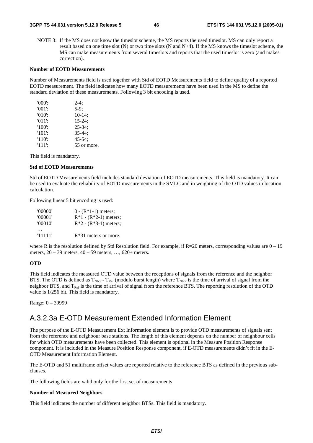NOTE 3: If the MS does not know the timeslot scheme, the MS reports the used timeslot. MS can only report a result based on one time slot (N) or two time slots (N and N+4). If the MS knows the timeslot scheme, the MS can make measurements from several timeslots and reports that the used timeslot is zero (and makes correction).

#### **Number of EOTD Measurements**

Number of Measurements field is used together with Std of EOTD Measurements field to define quality of a reported EOTD measurement. The field indicates how many EOTD measurements have been used in the MS to define the standard deviation of these measurements. Following 3 bit encoding is used.

| $'000$ .  | $2-4:$      |
|-----------|-------------|
| $'001$ :  | $5-9:$      |
| $'010'$ : | $10-14$ ;   |
| $'011'$ : | $15 - 24$ ; |
| $'100'$ : | $25 - 34$ ; |
| $'101'$ : | $35 - 44:$  |
| $'110'$ : | $45 - 54$ : |
| $'111'$ : | 55 or more. |

This field is mandatory.

#### **Std of EOTD Measurements**

Std of EOTD Measurements field includes standard deviation of EOTD measurements. This field is mandatory. It can be used to evaluate the reliability of EOTD measurements in the SMLC and in weighting of the OTD values in location calculation.

Following linear 5 bit encoding is used:

| '00000' | $0 - (R*1-1)$ meters;   |
|---------|-------------------------|
| '00001' | $R*1 - (R*2-1)$ meters; |
| '00010' | $R*2 - (R*3-1)$ meters; |
|         |                         |
| '11111' | $R*31$ meters or more.  |

where R is the resolution defined by Std Resolution field. For example, if  $R=20$  meters, corresponding values are  $0-19$ meters, 20 – 39 meters, 40 – 59 meters, …, 620+ meters.

#### **OTD**

This field indicates the measured OTD value between the receptions of signals from the reference and the neighbor BTS. The OTD is defined as  $T_{Nbor}$  -  $T_{Ref}$  (modulo burst length) where  $T_{Nbor}$  is the time of arrival of signal from the neighbor BTS, and  $T_{\text{Ref}}$  is the time of arrival of signal from the reference BTS. The reporting resolution of the OTD value is 1/256 bit. This field is mandatory.

Range: 0 – 39999

### A.3.2.3a E-OTD Measurement Extended Information Element

The purpose of the E-OTD Measurement Ext Information element is to provide OTD measurements of signals sent from the reference and neighbour base stations. The length of this element depends on the number of neighbour cells for which OTD measurements have been collected. This element is optional in the Measure Position Response component. It is included in the Measure Position Response component, if E-OTD measurements didn't fit in the E-OTD Measurement Information Element.

The E-OTD and 51 multiframe offset values are reported relative to the reference BTS as defined in the previous subclauses.

The following fields are valid only for the first set of measurements

#### **Number of Measured Neighbors**

This field indicates the number of different neighbor BTSs. This field is mandatory.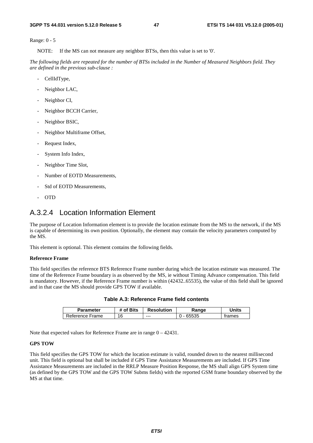Range: 0 - 5

NOTE: If the MS can not measure any neighbor BTSs, then this value is set to '0'.

*The following fields are repeated for the number of BTSs included in the Number of Measured Neighbors field. They are defined in the previous sub-clause :*

- CellIdType,
- Neighbor LAC,
- Neighbor CI,
- Neighbor BCCH Carrier,
- Neighbor BSIC,
- Neighbor Multiframe Offset,
- Request Index,
- System Info Index,
- Neighbor Time Slot,
- Number of EOTD Measurements,
- Std of EOTD Measurements,
- OTD

### A.3.2.4 Location Information Element

The purpose of Location Information element is to provide the location estimate from the MS to the network, if the MS is capable of determining its own position. Optionally, the element may contain the velocity parameters computed by the MS.

This element is optional. This element contains the following fields.

#### **Reference Frame**

This field specifies the reference BTS Reference Frame number during which the location estimate was measured. The time of the Reference Frame boundary is as observed by the MS, ie without Timing Advance compensation. This field is mandatory. However, if the Reference Frame number is within (42432..65535), the value of this field shall be ignored and in that case the MS should provide GPS TOW if available.

| <b>Parameter</b> | # of Bits | <b>Resolution</b> | Range | Units  |
|------------------|-----------|-------------------|-------|--------|
| Reference Frame  | 16        | ---               | 65535 | trames |

**Table A.3: Reference Frame field contents** 

Note that expected values for Reference Frame are in range 0 – 42431.

#### **GPS TOW**

This field specifies the GPS TOW for which the location estimate is valid, rounded down to the nearest millisecond unit. This field is optional but shall be included if GPS Time Assistance Measurements are included. If GPS Time Assistance Measurements are included in the RRLP Measure Position Response, the MS shall align GPS System time (as defined by the GPS TOW and the GPS TOW Subms fields) with the reported GSM frame boundary observed by the MS at that time.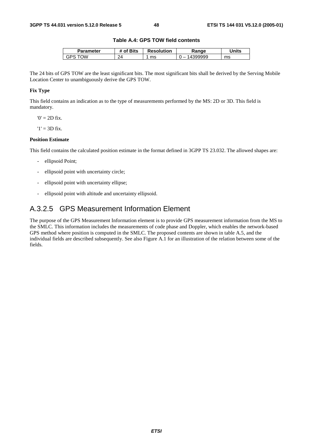#### **Table A.4: GPS TOW field contents**

| Parameter   | <b>Bits</b><br>. വ | <b>Resolution</b> | ₹anαe    | Jnits |
|-------------|--------------------|-------------------|----------|-------|
| ነለ/<br>''ان | ว⊿<br>- 1          | ms                | -<br>. . | ms    |

The 24 bits of GPS TOW are the least significant bits. The most significant bits shall be derived by the Serving Mobile Location Center to unambiguously derive the GPS TOW.

#### **Fix Type**

This field contains an indication as to the type of measurements performed by the MS: 2D or 3D. This field is mandatory.

 $0' = 2D$  fix.

 $'1' = 3D$  fix.

#### **Position Estimate**

This field contains the calculated position estimate in the format defined in 3GPP TS 23.032. The allowed shapes are:

- ellipsoid Point;
- ellipsoid point with uncertainty circle;
- ellipsoid point with uncertainty ellipse;
- ellipsoid point with altitude and uncertainty ellipsoid.

# A.3.2.5 GPS Measurement Information Element

The purpose of the GPS Measurement Information element is to provide GPS measurement information from the MS to the SMLC. This information includes the measurements of code phase and Doppler, which enables the network-based GPS method where position is computed in the SMLC. The proposed contents are shown in table A.5, and the individual fields are described subsequently. See also Figure A.1 for an illustration of the relation between some of the fields.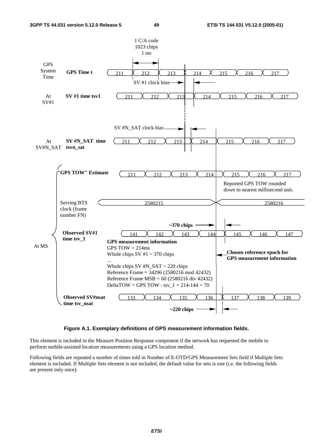

#### **Figure A.1. Exemplary definitions of GPS measurement information fields.**

This element is included in the Measure Position Response component if the network has requested the mobile to perform mobile-assisted location measurements using a GPS location method.

Following fields are repeated a number of times told in Number of E-OTD/GPS Measurement *Sets* field if Multiple Sets element is included. If Multiple Sets element is not included, the default value for sets is one (i.e. the following fields are present only once).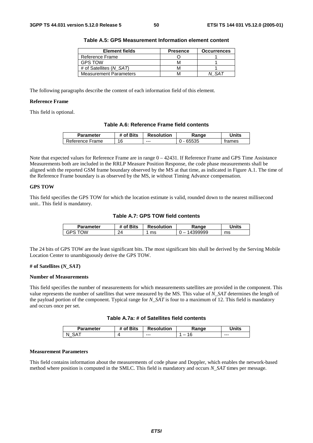| <b>Element fields</b>         | <b>Presence</b> | <b>Occurrences</b> |
|-------------------------------|-----------------|--------------------|
| Reference Frame               |                 |                    |
| <b>GPS TOW</b>                | м               |                    |
| # of Satellites (N SAT)       | м               |                    |
| <b>Measurement Parameters</b> | M               |                    |

**Table A.5: GPS Measurement Information element content** 

The following paragraphs describe the content of each information field of this element.

#### **Reference Frame**

This field is optional.

#### **Table A.6: Reference Frame field contents**

| <b>Parameter</b> | of Bits | <b>Resolution</b> | Range         | Jnits  |
|------------------|---------|-------------------|---------------|--------|
| Reference Frame  | 16      | $--$              | \$5535<br>hh. | trames |

Note that expected values for Reference Frame are in range  $0 - 42431$ . If Reference Frame and GPS Time Assistance Measurements both are included in the RRLP Measure Position Response, the code phase measurements shall be aligned with the reported GSM frame boundary observed by the MS at that time, as indicated in Figure A.1. The time of the Reference Frame boundary is as observed by the MS, ie without Timing Advance compensation.

#### **GPS TOW**

This field specifies the GPS TOW for which the location estimate is valid, rounded down to the nearest millisecond unit.. This field is mandatory.

**Table A.7: GPS TOW field contents** 

| Parameter  | of Bits | <b>Resolution</b> | Ranqe                              | <b>Jnits</b> |
|------------|---------|-------------------|------------------------------------|--------------|
| ⊤∩W<br>خ⊬ت | 24      | ms                | 399999<br>$\overline{\phantom{a}}$ | ms           |

The 24 bits of GPS TOW are the least significant bits. The most significant bits shall be derived by the Serving Mobile Location Center to unambiguously derive the GPS TOW.

#### **# of Satellites (***N\_SAT***)**

#### **Number of Measurements**

This field specifies the number of measurements for which measurements satellites are provided in the component. This value represents the number of satellites that were measured by the MS. This value of *N\_SAT* determines the length of the payload portion of the component. Typical range for *N\_SAT* is four to a maximum of 12. This field is mandatory and occurs once per set.

| Table A.7a: # of Satellites field contents |  |  |
|--------------------------------------------|--|--|
|--------------------------------------------|--|--|

| Parameter | <b>Bits</b><br>Οt | <b>Resolution</b> | .⊀anqe | <b>Inits</b> |
|-----------|-------------------|-------------------|--------|--------------|
| N         |                   | $- - -$           | -<br>U | $- - -$      |

#### **Measurement Parameters**

This field contains information about the measurements of code phase and Doppler, which enables the network-based method where position is computed in the SMLC. This field is mandatory and occurs *N\_SAT* times per message.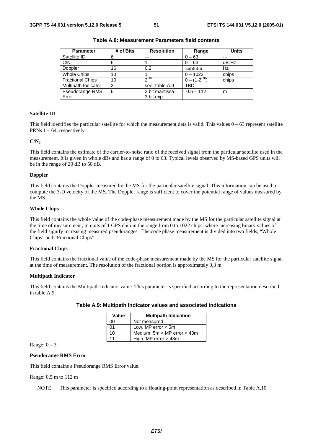| <b>Parameter</b>        | # of Bits      | <b>Resolution</b> | Range               | <b>Units</b> |
|-------------------------|----------------|-------------------|---------------------|--------------|
| Satellite ID            | 6              | $- - -$           | $0 - 63$            | ---          |
| C/N <sub>o</sub>        | 6              |                   | $0 - 63$            | dB-Hz        |
| Doppler                 | 16             | 0.2               | ±6553.6             | Hz           |
| <b>Whole Chips</b>      | 10             |                   | $0 - 1022$          | chips        |
| <b>Fractional Chips</b> | 10             | $2^{-10}$         | $0 - (1 - 2^{-10})$ | chips        |
| Multipath Indicator     | $\overline{2}$ | see Table A.9     | TBD                 | ---          |
| Pseudorange RMS         | 6              | 3 bit mantissa    | $0.5 - 112$         | m            |
| Error                   |                | 3 bit exp         |                     |              |

**Table A.8: Measurement Parameters field contents** 

#### **Satellite ID**

This field identifies the particular satellite for which the measurement data is valid. This values  $0 - 63$  represent satellite PRNs  $1 - 64$ , respectively.

#### $C/N_0$

This field contains the estimate of the carrier-to-noise ratio of the received signal from the particular satellite used in the measurement. It is given in whole dBs and has a range of 0 to 63. Typical levels observed by MS-based GPS units will be in the range of 20 dB to 50 dB.

#### **Doppler**

This field contains the Doppler measured by the MS for the particular satellite signal. This information can be used to compute the 3-D velocity of the MS. The Doppler range is sufficient to cover the potential range of values measured by the MS.

#### **Whole Chips**

This field contains the whole value of the code-phase measurement made by the MS for the particular satellite signal at the time of measurement, in units of 1 GPS chip in the range from 0 to 1022 chips, where increasing binary values of the field signify increasing measured pseudoranges. The code phase measurement is divided into two fields, "Whole Chips" and "Fractional Chips".

#### **Fractional Chips**

This field contains the fractional value of the code-phase measurement made by the MS for the particular satellite signal at the time of measurement. The resolution of the fractional portion is approximately 0,3 m.

#### **Multipath Indicator**

This field contains the Multipath Indicator value. This parameter is specified according to the representation described in table A.9.

| Value | <b>Multipath Indication</b>     |
|-------|---------------------------------|
| 00    | Not measured                    |
| 01    | Low, MP error $<$ 5m            |
| 10    | Medium, $5m < MP$ error $<$ 43m |
| 11    | High, MP error $>$ 43m          |

#### **Table A.9: Multipath Indicator values and associated indications**

Range:  $0 - 3$ 

#### **Pseudorange RMS Error**

This field contains a Pseudorange RMS Error value.

#### Range: 0,5 m to 112 m

NOTE: This parameter is specified according to a floating-point representation as described in Table A.10.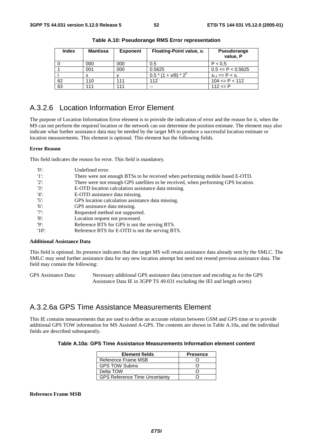| <b>Index</b> | Mantissa | <b>Exponent</b> | <b>Floating-Point value, x</b> | Pseudorange<br>value, P  |
|--------------|----------|-----------------|--------------------------------|--------------------------|
|              | 000      | 000             | 0.5                            | P < 0.5                  |
|              | 001      | 000             | 0.5625                         | $0.5 \leq P \leq 0.5625$ |
|              |          |                 | $0.5 * (1 + x/8) * 2^{y}$      | $x_{i-1}$ <= P < $x_i$   |
| 62           | 110      | 111             | 112                            | $104 \le P \le 112$      |
| 63           | 111      | 111             | $- -$                          | $112 \le P$              |

**Table A.10: Pseudorange RMS Error representation** 

### A.3.2.6 Location Information Error Element

The purpose of Location Information Error element is to provide the indication of error and the reason for it, when the MS can not perform the required location or the network can not determine the position estimate. The element may also indicate what further assistance data may be needed by the target MS to produce a successful location estimate or location measurements. This element is optional. This element has the following fields.

#### **Error Reason**

This field indicates the reason for error. This field is mandatory.

| $^{\prime}$ () <sup><math>\cdot</math></sup> | Undefined error.                                                                   |
|----------------------------------------------|------------------------------------------------------------------------------------|
| -'1':                                        | There were not enough BTSs to be received when performing mobile based E-OTD.      |
| $'2$ :                                       | There were not enough GPS satellites to be received, when performing GPS location. |
| $'3'$ :                                      | E-OTD location calculation assistance data missing.                                |
| $'4$ :                                       | E-OTD assistance data missing.                                                     |
| $'5$ :                                       | GPS location calculation assistance data missing.                                  |
| $'6$ :                                       | GPS assistance data missing.                                                       |
| $'7$ :                                       | Requested method not supported.                                                    |
| '8                                           | Location request not processed.                                                    |
| 'Q':                                         | Reference BTS for GPS is not the serving BTS.                                      |
| $'10'$ :                                     | Reference BTS for E-OTD is not the serving BTS.                                    |

#### **Additional Assistance Data**

This field is optional. Its presence indicates that the target MS will retain assistance data already sent by the SMLC. The SMLC may send further assistance data for any new location attempt but need not resend previous assistance data. The field may contain the following:

GPS Assistance Data: Necessary additional GPS assistance data (structure and encoding as for the GPS Assistance Data IE in 3GPP TS 49.031 excluding the IEI and length octets)

### A.3.2.6a GPS Time Assistance Measurements Element

This IE contains measurements that are used to define an accurate relation between GSM and GPS time or to provide additional GPS TOW information for MS Assisted A-GPS. The contents are shown in Table A.10a, and the individual fields are described subsequently.

#### **Table A.10a: GPS Time Assistance Measurements Information element content**

| <b>Element fields</b>                 | <b>Presence</b> |
|---------------------------------------|-----------------|
| Reference Frame MSB                   |                 |
| <b>GPS TOW Subms</b>                  |                 |
| Delta TOW                             |                 |
| <b>GPS Reference Time Uncertainty</b> |                 |

#### **Reference Frame MSB**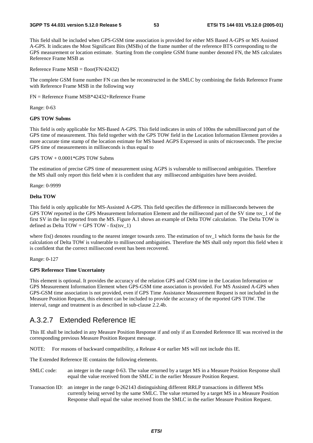#### **3GPP TS 44.031 version 5.12.0 Release 5 53 ETSI TS 144 031 V5.12.0 (2005-01)**

This field shall be included when GPS-GSM time association is provided for either MS Based A-GPS or MS Assisted A-GPS. It indicates the Most Significant Bits (MSBs) of the frame number of the reference BTS corresponding to the GPS measurement or location estimate. Starting from the complete GSM frame number denoted FN, the MS calculates Reference Frame MSB as

Reference Frame MSB = floor(FN/42432)

The complete GSM frame number FN can then be reconstructed in the SMLC by combining the fields Reference Frame with Reference Frame MSB in the following way

FN = Reference Frame MSB\*42432+Reference Frame

Range: 0-63

#### **GPS TOW Subms**

This field is only applicable for MS-Based A-GPS. This field indicates in units of 100ns the submillisecond part of the GPS time of measurement. This field together with the GPS TOW field in the Location Information Element provides a more accurate time stamp of the location estimate for MS based AGPS Expressed in units of microseconds. The precise GPS time of measurements in milliseconds is thus equal to

#### GPS TOW + 0.0001\*GPS TOW Subms

The estimation of precise GPS time of measurement using AGPS is vulnerable to millisecond ambiguities. Therefore the MS shall only report this field when it is confident that any millisecond ambiguities have been avoided.

Range: 0-9999

#### **Delta TOW**

This field is only applicable for MS-Assisted A-GPS. This field specifies the difference in milliseconds between the GPS TOW reported in the GPS Measurement Information Element and the millisecond part of the SV time tsv\_1 of the first SV in the list reported from the MS. Figure A.1 shows an example of Delta TOW calculation. The Delta TOW is defined as Delta  $TOW = GPS TOW - fix(tsv_1)$ 

where fix() denotes rounding to the nearest integer towards zero. The estimation of tsy  $\bar{1}$  which forms the basis for the calculation of Delta TOW is vulnerable to millisecond ambiguities. Therefore the MS shall only report this field when it is confident that the correct millisecond event has been recovered.

Range: 0-127

#### **GPS Reference Time Uncertainty**

This element is optional. It provides the accuracy of the relation GPS and GSM time in the Location Information or GPS Measurement Information Element when GPS-GSM time association is provided. For MS Assisted A-GPS when GPS-GSM time association is not provided, even if GPS Time Assistance Measurement Request is not included in the Measure Position Request, this element can be included to provide the accuracy of the reported GPS TOW. The interval, range and treatment is as described in sub-clause 2.2.4b.

### A.3.2.7 Extended Reference IE

This IE shall be included in any Measure Position Response if and only if an Extended Reference IE was received in the corresponding previous Measure Position Request message.

NOTE: For reasons of backward compatibility, a Release 4 or earlier MS will not include this IE.

The Extended Reference IE contains the following elements.

- SMLC code: an integer in the range 0-63. The value returned by a target MS in a Measure Position Response shall equal the value received from the SMLC in the earlier Measure Position Request.
- Transaction ID: an integer in the range 0-262143 distinguishing different RRLP transactions in different MSs currently being served by the same SMLC. The value returned by a target MS in a Measure Position Response shall equal the value received from the SMLC in the earlier Measure Position Request.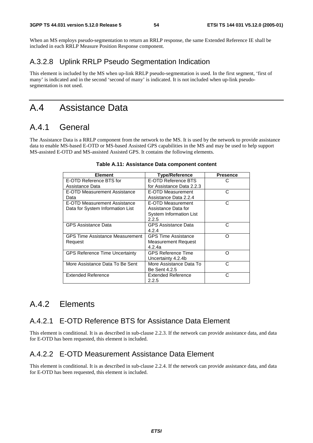When an MS employs pseudo-segmentation to return an RRLP response, the same Extended Reference IE shall be included in each RRLP Measure Position Response component.

# A.3.2.8 Uplink RRLP Pseudo Segmentation Indication

This element is included by the MS when up-link RRLP pseudo-segmentation is used. In the first segment, 'first of many' is indicated and in the second 'second of many' is indicated. It is not included when up-link pseudosegmentation is not used.

# A.4 Assistance Data

# A.4.1 General

The Assistance Data is a RRLP component from the network to the MS. It is used by the network to provide assistance data to enable MS-based E-OTD or MS-based Assisted GPS capabilities in the MS and may be used to help support MS-assisted E-OTD and MS-assisted Assisted GPS. It contains the following elements.

| <b>Element</b>                         | <b>Type/Reference</b>          | <b>Presence</b> |
|----------------------------------------|--------------------------------|-----------------|
| E-OTD Reference BTS for                | E-OTD Reference BTS            | C               |
| Assistance Data                        | for Assistance Data 2.2.3      |                 |
| E-OTD Measurement Assistance           | E-OTD Measurement              | C               |
| Data                                   | Assistance Data 2.2.4          |                 |
| E-OTD Measurement Assistance           | E-OTD Measurement              | C               |
| Data for System Information List       | Assistance Data for            |                 |
|                                        | <b>System Information List</b> |                 |
|                                        | 2.2.5                          |                 |
| <b>GPS Assistance Data</b>             | <b>GPS Assistance Data</b>     | C               |
|                                        | 4.2.4                          |                 |
| <b>GPS Time Assistance Measurement</b> | <b>GPS Time Assistance</b>     | റ               |
| Request                                | Measurement Request            |                 |
|                                        | 4.2.4a                         |                 |
| <b>GPS Reference Time Uncertainty</b>  | <b>GPS Reference Time</b>      | ∩               |
|                                        | Uncertainty 4.2.4b             |                 |
| More Assistance Data To Be Sent        | More Assistance Data To        | C               |
|                                        | <b>Be Sent 4.2.5</b>           |                 |
| <b>Extended Reference</b>              | <b>Extended Reference</b>      | С               |
|                                        | 2.2.5                          |                 |

#### **Table A.11: Assistance Data component content**

# A.4.2 Elements

# A.4.2.1 E-OTD Reference BTS for Assistance Data Element

This element is conditional. It is as described in sub-clause 2.2.3. If the network can provide assistance data, and data for E-OTD has been requested, this element is included.

### A.4.2.2 E-OTD Measurement Assistance Data Element

This element is conditional. It is as described in sub-clause 2.2.4. If the network can provide assistance data, and data for E-OTD has been requested, this element is included.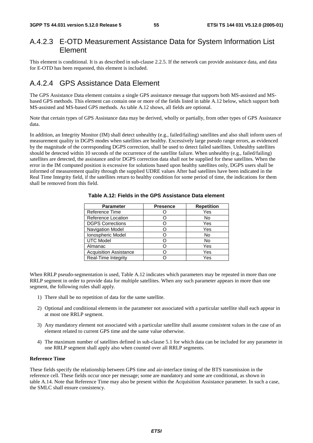### A.4.2.3 E-OTD Measurement Assistance Data for System Information List Element

This element is conditional. It is as described in sub-clause 2.2.5. If the network can provide assistance data, and data for E-OTD has been requested, this element is included.

# A.4.2.4 GPS Assistance Data Element

The GPS Assistance Data element contains a single GPS assistance message that supports both MS-assisted and MSbased GPS methods. This element can contain one or more of the fields listed in table A.12 below, which support both MS-assisted and MS-based GPS methods. As table A.12 shows, all fields are optional.

Note that certain types of GPS Assistance data may be derived, wholly or partially, from other types of GPS Assistance data.

In addition, an Integrity Monitor (IM) shall detect unhealthy (e.g., failed/failing) satellites and also shall inform users of measurement quality in DGPS modes when satellites are healthy. Excessively large pseudo range errors, as evidenced by the magnitude of the corresponding DGPS correction, shall be used to detect failed satellites. Unhealthy satellites should be detected within 10 seconds of the occurrence of the satellite failure. When unhealthy (e.g., failed/failing) satellites are detected, the assistance and/or DGPS correction data shall not be supplied for these satellites. When the error in the IM computed position is excessive for solutions based upon healthy satellites only, DGPS users shall be informed of measurement quality through the supplied UDRE values After bad satellites have been indicated in the Real Time Integrity field, if the satellites return to healthy condition for some period of time, the indications for them shall be removed from this field.

| <b>Parameter</b>              | <b>Presence</b> | <b>Repetition</b> |
|-------------------------------|-----------------|-------------------|
| Reference Time                |                 | Yes               |
| Reference Location            |                 | No                |
| <b>DGPS Corrections</b>       |                 | Yes               |
| <b>Navigation Model</b>       |                 | Yes               |
| Ionospheric Model             |                 | No                |
| <b>UTC Model</b>              |                 | No                |
| Almanac                       |                 | Yes               |
| <b>Acquisition Assistance</b> |                 | Yes               |
| Real-Time Integrity           |                 | Yes               |

**Table A.12: Fields in the GPS Assistance Data element** 

When RRLP pseudo-segmentation is used, Table A.12 indicates which parameters may be repeated in more than one RRLP segment in order to provide data for multiple satellites. When any such parameter appears in more than one segment, the following rules shall apply.

- 1) There shall be no repetition of data for the same satellite.
- 2) Optional and conditional elements in the parameter not associated with a particular satellite shall each appear in at most one RRLP segment.
- 3) Any mandatory element not associated with a particular satellite shall assume consistent values in the case of an element related to current GPS time and the same value otherwise.
- 4) The maximum number of satellites defined in sub-clause 5.1 for which data can be included for any parameter in one RRLP segment shall apply also when counted over all RRLP segments.

#### **Reference Time**

These fields specify the relationship between GPS time and air-interface timing of the BTS transmission in the reference cell. These fields occur once per message; some are mandatory and some are conditional, as shown in table A.14. Note that Reference Time may also be present within the Acquisition Assistance parameter. In such a case, the SMLC shall ensure consistency.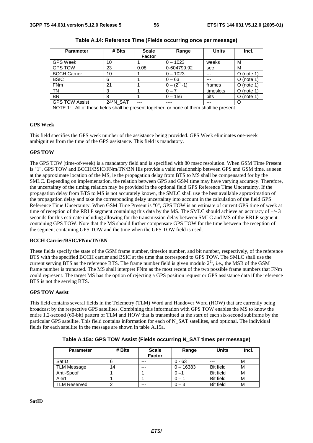| <b>Parameter</b>                                                                         | # Bits   | <b>Scale</b>  | Range            | <b>Units</b> | Incl.        |
|------------------------------------------------------------------------------------------|----------|---------------|------------------|--------------|--------------|
|                                                                                          |          | <b>Factor</b> |                  |              |              |
| <b>GPS Week</b>                                                                          | 10       |               | $0 - 1023$       | weeks        | M            |
| <b>GPS TOW</b>                                                                           | 23       | 0.08          | 0-604799.92      | sec          | M            |
| <b>BCCH Carrier</b>                                                                      | 10       |               | $0 - 1023$       | ---          | $O$ (note 1) |
| <b>BSIC</b>                                                                              | 6        |               | $0 - 63$         | ---          | $O$ (note 1) |
| <b>FNm</b>                                                                               | 21       |               | $0 - (2^{27}-1)$ | frames       | $O$ (note 1) |
| TN                                                                                       | 3        |               | $0 - 7$          | timeslots    | $O$ (note 1) |
| <b>BN</b>                                                                                | 8        |               | $0 - 156$        | bits         | $O$ (note 1) |
| <b>GPS TOW Assist</b>                                                                    | 24*N_SAT | ---           | ----             | ---          | O            |
| NOTE 1: All of these fields shall be present together, or none of them shall be present. |          |               |                  |              |              |

| Table A.14: Reference Time (Fields occurring once per message) |  |
|----------------------------------------------------------------|--|
|----------------------------------------------------------------|--|

#### **GPS Week**

This field specifies the GPS week number of the assistance being provided. GPS Week eliminates one-week ambiguities from the time of the GPS assistance. This field is mandatory.

#### **GPS TOW**

The GPS TOW (time-of-week) is a mandatory field and is specified with 80 msec resolution. When GSM Time Present is "1", GPS TOW and BCCH/BSIC/FNm/TN/BN IEs provide a valid relationship between GPS and GSM time, as seen at the approximate location of the MS, ie the propagation delay from BTS to MS shall be compensated for by the SMLC. Depending on implementation, the relation between GPS and GSM time may have varying accuracy. Therefore, the uncertainty of the timing relation may be provided in the optional field GPS Reference Time Uncertainty. If the propagation delay from BTS to MS is not accurately known, the SMLC shall use the best available approximation of the propagation delay and take the corresponding delay uncertainty into account in the calculation of the field GPS Reference Time Uncertainty. When GSM Time Present is "0", GPS TOW is an estimate of current GPS time of week at time of reception of the RRLP segment containing this data by the MS. The SMLC should achieve an accuracy of  $+/-3$ seconds for this estimate including allowing for the transmission delay between SMLC and MS of the RRLP segment containing GPS TOW. Note that the MS should further compensate GPS TOW for the time between the reception of the segment containing GPS TOW and the time when the GPS TOW field is used.

#### **BCCH Carrier/BSIC/FNm/TN/BN**

These fields specify the state of the GSM frame number, timeslot number, and bit number, respectively, of the reference BTS with the specified BCCH carrier and BSIC at the time that correspond to GPS TOW. The SMLC shall use the current serving BTS as the reference BTS. The frame number field is given modulo  $2^{21}$ , i.e., the MSB of the GSM frame number is truncated. The MS shall interpret FNm as the most recent of the two possible frame numbers that FNm could represent. The target MS has the option of rejecting a GPS position request or GPS assistance data if the reference BTS is not the serving BTS.

#### **GPS TOW Assist**

This field contains several fields in the Telemetry (TLM) Word and Handover Word (HOW) that are currently being broadcast by the respective GPS satellites. Combining this information with GPS TOW enables the MS to know the entire 1.2-second (60-bit) pattern of TLM and HOW that is transmitted at the start of each six-second subframe by the particular GPS satellite. This field contains information for each of N\_SAT satellites, and optional. The individual fields for each satellite in the message are shown in table A.15a.

| <b>Parameter</b>    | # Bits | <b>Scale</b><br><b>Factor</b> | Range       | <b>Units</b>     | Incl. |
|---------------------|--------|-------------------------------|-------------|------------------|-------|
| SatID               |        | ---                           | $0 - 63$    |                  | M     |
| TLM Message         | 14     | $---$                         | $0 - 16383$ | <b>Bit field</b> | м     |
| Anti-Spoof          |        |                               |             | <b>Bit field</b> | М     |
| Alert               |        |                               |             | <b>Bit field</b> | M     |
| <b>TLM Reserved</b> |        | $--$                          | - 3         | <b>Bit field</b> | M     |

**Table A.15a: GPS TOW Assist (Fields occurring N\_SAT times per message)**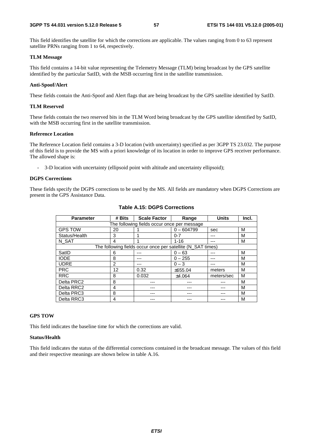This field identifies the satellite for which the corrections are applicable. The values ranging from 0 to 63 represent satellite PRNs ranging from 1 to 64, respectively.

#### **TLM Message**

This field contains a 14-bit value representing the Telemetry Message (TLM) being broadcast by the GPS satellite identified by the particular SatID, with the MSB occurring first in the satellite transmission.

#### **Anti-Spoof/Alert**

These fields contain the Anti-Spoof and Alert flags that are being broadcast by the GPS satellite identified by SatID.

#### **TLM Reserved**

These fields contain the two reserved bits in the TLM Word being broadcast by the GPS satellite identified by SatID, with the MSB occurring first in the satellite transmission.

#### **Reference Location**

The Reference Location field contains a 3-D location (with uncertainty) specified as per 3GPP TS 23.032. The purpose of this field is to provide the MS with a priori knowledge of its location in order to improve GPS receiver performance. The allowed shape is:

- 3-D location with uncertainty (ellipsoid point with altitude and uncertainty ellipsoid);

#### **DGPS Corrections**

These fields specify the DGPS corrections to be used by the MS. All fields are mandatory when DGPS Corrections are present in the GPS Assistance Data.

| <b>Parameter</b>                            | # Bits        | <b>Scale Factor</b>                                         | Range        | <b>Units</b> | Incl. |
|---------------------------------------------|---------------|-------------------------------------------------------------|--------------|--------------|-------|
| The following fields occur once per message |               |                                                             |              |              |       |
| <b>GPS TOW</b>                              | 20            |                                                             | $0 - 604799$ | sec          | M     |
| Status/Health                               | 3             |                                                             | $0 - 7$      | ---          | М     |
| N SAT                                       | 4             |                                                             | $1 - 16$     | ---          | M     |
|                                             |               | The following fields occur once per satellite (N_SAT times) |              |              |       |
| SatID                                       | 6             |                                                             | $0 - 63$     |              | М     |
| <b>IODE</b>                                 | 8             |                                                             | $0 - 255$    |              | м     |
| <b>UDRE</b>                                 | $\mathcal{P}$ | ---                                                         | $0 - 3$      |              | М     |
| <b>PRC</b>                                  | 12            | 0.32                                                        | ±655.04      | meters       | M     |
| <b>RRC</b>                                  | 8             | 0.032                                                       | ±4.064       | meters/sec   | M     |
| Delta PRC2                                  | 8             |                                                             |              |              | M     |
| Delta RRC2                                  | 4             |                                                             |              |              | М     |
| Delta PRC3                                  | 8             |                                                             |              |              | М     |
| Delta RRC3                                  | 4             |                                                             |              |              | М     |

#### **Table A.15: DGPS Corrections**

#### **GPS TOW**

This field indicates the baseline time for which the corrections are valid.

#### **Status/Health**

This field indicates the status of the differential corrections contained in the broadcast message. The values of this field and their respective meanings are shown below in table A.16.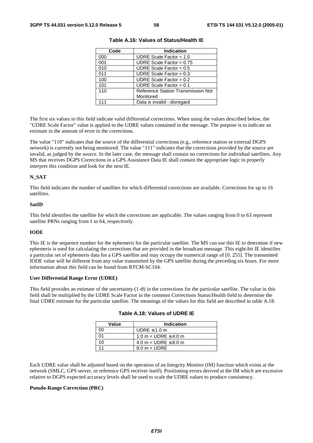| Code | <b>Indication</b>                         |
|------|-------------------------------------------|
| 000  | UDRE Scale Factor = $1.0$                 |
| 001  | UDRE Scale Factor = $0.75$                |
| 010  | UDRE Scale Factor = $0.5$                 |
| 011  | UDRE Scale Factor = $0.3$                 |
| 100  | UDRE Scale Factor = $0.2$                 |
| 101  | UDRE Scale Factor = $0.1$                 |
| 110  | <b>Reference Station Transmission Not</b> |
|      | Monitored                                 |
| 111  | Data is invalid - disregard               |

**Table A.16: Values of Status/Health IE** 

The first six values in this field indicate valid differential corrections. When using the values described below, the "UDRE Scale Factor" value is applied to the UDRE values contained in the message. The purpose is to indicate an estimate in the amount of error in the corrections.

The value "110" indicates that the source of the differential corrections (e.g., reference station or external DGPS network) is currently not being monitored. The value "111" indicates that the corrections provided by the source are invalid, as judged by the source. In the later case, the message shall contain no corrections for individual satellites. Any MS that receives DGPS Corrections in a GPS Assistance Data IE shall contain the appropriate logic to properly interpret this condition and look for the next IE.

#### **N\_SAT**

This field indicates the number of satellites for which differential corrections are available. Corrections for up to 16 satellites.

#### **SatID**

This field identifies the satellite for which the corrections are applicable. The values ranging from 0 to 63 represent satellite PRNs ranging from 1 to 64, respectively.

#### **IODE**

This IE is the sequence number for the ephemeris for the particular satellite. The MS can use this IE to determine if new ephemeris is used for calculating the corrections that are provided in the broadcast message. This eight-bit IE identifies a particular set of ephemeris data for a GPS satellite and may occupy the numerical range of [0, 255]. The transmitted IODE value will be different from any value transmitted by the GPS satellite during the preceding six hours. For more information about this field can be found from RTCM-SC104.

#### **User Differential Range Error (UDRE)**

This field provides an estimate of the uncertainty  $(1-\sigma)$  in the corrections for the particular satellite. The value in this field shall be multiplied by the UDRE Scale Factor in the common Corrections Status/Health field to determine the final UDRE estimate for the particular satellite. The meanings of the values for this field are described in table A.18.

| Value | <b>Indication</b>             |
|-------|-------------------------------|
|       | UDRE $\leq$ 1.0 m             |
|       | 1.0 m $<$ UDRE $\leq$ 4.0 m   |
|       | 4.0 m $<$ UDRE $\leq$ 8.0 m   |
|       | $8.0 \text{ m} < \text{UDRE}$ |

| Table A.18: Values of UDRE IE |  |  |  |  |  |
|-------------------------------|--|--|--|--|--|
|-------------------------------|--|--|--|--|--|

Each UDRE value shall be adjusted based on the operation of an Integrity Monitor (IM) function which exists at the network (SMLC, GPS server, or reference GPS receiver itself). Positioning errors derived at the IM which are excessive relative to DGPS expected accuracy levels shall be used to scale the UDRE values to produce consistency.

#### **Pseudo-Range Correction (PRC)**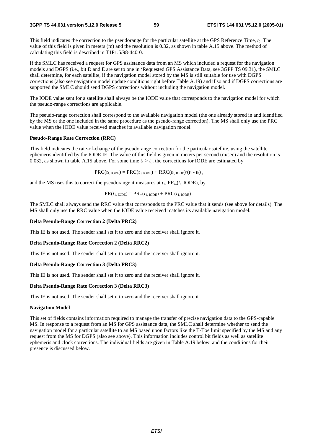This field indicates the correction to the pseudorange for the particular satellite at the GPS Reference Time, *t*0. The value of this field is given in meters (m) and the resolution is 0.32, as shown in table A.15 above. The method of calculating this field is described in T1P1.5/98-440r0.

If the SMLC has received a request for GPS assistance data from an MS which included a request for the navigation models and DGPS (i.e., bit D and E are set to one in 'Requested GPS Assistance Data, see 3GPP TS 09.31), the SMLC shall determine, for each satellite, if the navigation model stored by the MS is still suitable for use with DGPS corrections (also see navigation model update conditions right before Table A.19) and if so and if DGPS corrections are supported the SMLC should send DGPS corrections without including the navigation model.

The IODE value sent for a satellite shall always be the IODE value that corresponds to the navigation model for which the pseudo-range corrections are applicable.

The pseudo-range correction shall correspond to the available navigation model (the one already stored in and identified by the MS or the one included in the same procedure as the pseudo-range correction). The MS shall only use the PRC value when the IODE value received matches its available navigation model.

#### **Pseudo-Range Rate Correction (RRC)**

This field indicates the rate-of-change of the pseudorange correction for the particular satellite, using the satellite ephemeris identified by the IODE IE. The value of this field is given in meters per second (m/sec) and the resolution is 0.032, as shown in table A.15 above. For some time  $t_1 > t_0$ , the corrections for IODE are estimated by

 $PRC(t_{1,\text{IODE}}) = PRC(t_{0,\text{IODE}}) + RRC(t_{0,\text{IODE}}) \cdot (t_1 - t_0)$ ,

and the MS uses this to correct the pseudorange it measures at  $t_1$ ,  $PR_m(t_1 \text{ IODE})$ , by

$$
PR(t_{1,\text{IODE}}) = PR_{m}(t_{1,\text{IODE}}) + PRC(t_{1,\text{IODE}}).
$$

The SMLC shall always send the RRC value that corresponds to the PRC value that it sends (see above for details). The MS shall only use the RRC value when the IODE value received matches its available navigation model.

#### **Delta Pseudo-Range Correction 2 (Delta PRC2)**

This IE is not used. The sender shall set it to zero and the receiver shall ignore it.

#### **Delta Pseudo-Range Rate Correction 2 (Delta RRC2)**

This IE is not used. The sender shall set it to zero and the receiver shall ignore it.

#### **Delta Pseudo-Range Correction 3 (Delta PRC3)**

This IE is not used. The sender shall set it to zero and the receiver shall ignore it.

#### **Delta Pseudo-Range Rate Correction 3 (Delta RRC3)**

This IE is not used. The sender shall set it to zero and the receiver shall ignore it.

#### **Navigation Model**

This set of fields contains information required to manage the transfer of precise navigation data to the GPS-capable MS. In response to a request from an MS for GPS assistance data, the SMLC shall determine whether to send the navigation model for a particular satellite to an MS based upon factors like the T-Toe limit specified by the MS and any request from the MS for DGPS (also see above). This information includes control bit fields as well as satellite ephemeris and clock corrections. The individual fields are given in Table A.19 below, and the conditions for their presence is discussed below.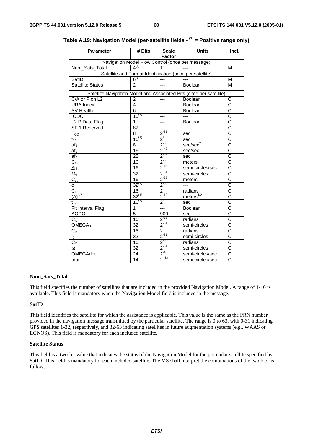| <b>Parameter</b>                      | # Bits          | <b>Scale</b><br><b>Factor</b> | <b>Units</b>                                                        | Incl.                 |
|---------------------------------------|-----------------|-------------------------------|---------------------------------------------------------------------|-----------------------|
|                                       |                 |                               | Navigation Model Flow Control (once per message)                    |                       |
| Num_Sats_Total                        | $4^{(1)}$       | 1                             |                                                                     | M                     |
|                                       |                 |                               | Satellite and Format Identification (once per satellite)            |                       |
| SatID                                 | $6^{(1)}$       | $---$                         |                                                                     | M                     |
| <b>Satellite Status</b>               | $\overline{2}$  | ---                           | Boolean                                                             | M                     |
|                                       |                 |                               | Satellite Navigation Model and Associated Bits (once per satellite) |                       |
| C/A or P on L2                        | 2               | ---                           | <b>Boolean</b>                                                      | С                     |
| <b>URA Index</b>                      | 4               | ---                           | Boolean                                                             | $\overline{\rm c}$    |
| SV Health                             | 6               | ---                           | <b>Boolean</b>                                                      | $\overline{\text{c}}$ |
| <b>IODC</b>                           | $10^{(1)}$      | ---                           | $---$                                                               | $\overline{\text{c}}$ |
| L <sub>2</sub> P Data Flag            | 1               | ---                           | Boolean                                                             | $\overline{\text{c}}$ |
| SF 1 Reserved                         | 87              | ---                           | $\overline{a}$                                                      | $\overline{\text{c}}$ |
| $T_{GD}$                              | $\overline{8}$  | $2^{-31}$                     | sec                                                                 | $\overline{\text{c}}$ |
| $t_{\text{o$                          | $16^{(1)}$      | $\frac{1}{2}$ <sup>4</sup>    | sec                                                                 | $\overline{c}$        |
| af <sub>2</sub>                       | 8               | $\frac{1}{2}$ -55             | sec/sec <sup>2</sup>                                                | $\overline{c}$        |
| af <sub>1</sub>                       | $\overline{16}$ | $\frac{1}{2}$ <sup>-43</sup>  | sec/sec                                                             | $\overline{\text{c}}$ |
| af <sub>0</sub>                       | 22              | $2^{-31}$                     | sec                                                                 | $\overline{\text{c}}$ |
| $\overline{C_{rs}}$                   | 16              | $\frac{2^{5}}{2^{43}}$        | meters                                                              | $\overline{\text{c}}$ |
| $\Delta n$                            | 16              |                               | semi-circles/sec                                                    | $\overline{\rm c}$    |
| $M_0$                                 | 32              | $2^{31}$                      | semi-circles                                                        | $\overline{\text{c}}$ |
| $\overline{C_{uc}}$                   | 16              | $\frac{2^{29}}{2^{33}}$       | meters                                                              | $\overline{\text{c}}$ |
| е                                     | $32^{(1)}$      |                               | $\overline{a}$                                                      | $\overline{\text{c}}$ |
| $\overline{C_{us}}$                   | 16              | $2^{-29}$                     | radians                                                             | $\overline{\text{c}}$ |
| $\overrightarrow{(\mathbf{A})}^{1/2}$ | $32^{(1)}$      | $2^{-19}$                     | $meters$ <sup><math>1/2</math></sup>                                | $\overline{\text{c}}$ |
| $\mathfrak{t}_{\text{oe}}$            | $16^{(1)}$      | 2 <sup>4</sup>                | sec                                                                 | $\overline{\text{c}}$ |
| Fit Interval Flag                     | $\overline{1}$  | $\overline{a}$                | Boolean                                                             | $\overline{\text{c}}$ |
| <b>AODO</b>                           | 5               | 900                           | sec                                                                 | $\overline{\text{c}}$ |
| $C_{ic}$                              | 16              | $2^{-29}$                     | radians                                                             | $\overline{C}$        |
| OMEGA <sub>0</sub>                    | $\overline{32}$ | $2^{31}$                      | semi-circles                                                        | $\overline{\text{c}}$ |
| $C_{is}$                              | 16              | $2^{-29}$                     | radians                                                             | $\overline{\text{c}}$ |
| i0                                    | $\overline{32}$ | $2^{-31}$                     | semi-circles                                                        | $\overline{\text{c}}$ |
| $\overline{C_{\underline{rc}}}$       | 16              | $2^{5}$                       | radians                                                             | $\overline{\text{c}}$ |
| ω                                     | $\overline{32}$ | $2^{31}$                      | semi-circles                                                        | $\overline{\text{c}}$ |
| <b>OMEGAdot</b>                       | 24              | $2^{-43}$                     | semi-circles/sec                                                    | $\overline{\text{c}}$ |
| Idot                                  | 14              | $2^{-43}$                     | semi-circles/sec                                                    | $\overline{\text{c}}$ |

# **Table A.19: Navigation Model (per-satellite fields - (1) = Positive range only)**

#### **Num\_Sats\_Total**

This field specifies the number of satellites that are included in the provided Navigation Model. A range of 1-16 is available. This field is mandatory when the Navigation Model field is included in the message.

#### **SatID**

This field identifies the satellite for which the assistance is applicable. This value is the same as the PRN number provided in the navigation message transmitted by the particular satellite. The range is 0 to 63, with 0-31 indicating GPS satellites 1-32, respectively, and 32-63 indicating satellites in future augmentation systems (e.g., WAAS or EGNOS). This field is mandatory for each included satellite.

#### **Satellite Status**

This field is a two-bit value that indicates the status of the Navigation Model for the particular satellite specified by SatID. This field is mandatory for each included satellite. The MS shall interpret the combinations of the two bits as follows.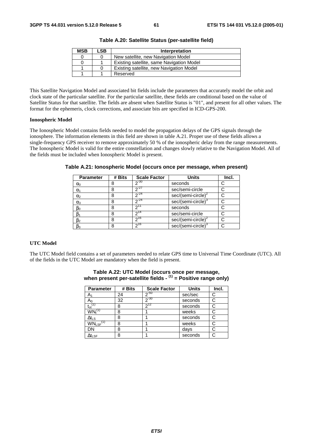| <b>MSB</b> | LSB. | Interpretation                            |
|------------|------|-------------------------------------------|
|            |      | New satellite, new Navigation Model       |
|            |      | Existing satellite, same Navigation Model |
|            |      | Existing satellite, new Navigation Model  |
|            |      | Reserved                                  |

**Table A.20: Satellite Status (per-satellite field)** 

This Satellite Navigation Model and associated bit fields include the parameters that accurately model the orbit and clock state of the particular satellite. For the particular satellite, these fields are conditional based on the value of Satellite Status for that satellite. The fields are absent when Satellite Status is "01", and present for all other values. The format for the ephemeris, clock corrections, and associate bits are specified in ICD-GPS-200.

#### **Ionospheric Model**

The Ionospheric Model contains fields needed to model the propagation delays of the GPS signals through the ionosphere. The information elements in this field are shown in table A.21. Proper use of these fields allows a single-frequency GPS receiver to remove approximately 50 % of the ionospheric delay from the range measurements. The Ionospheric Model is valid for the entire constellation and changes slowly relative to the Navigation Model. All of the fields must be included when Ionospheric Model is present.

| <b>Parameter</b> | # Bits | <b>Scale Factor</b> | <b>Units</b>                   | Incl. |
|------------------|--------|---------------------|--------------------------------|-------|
| $\alpha_0$       |        | $2^{-30}$           | seconds                        |       |
| $\alpha_1$       |        | $2^{27}$            | sec/semi-circle                |       |
| $\alpha_2$       |        | $2^{-24}$           | sec/(semi-circle) <sup>2</sup> |       |
| $\alpha_3$       |        | $2^{24}$            | sec/(semi-circle)              |       |
| $\beta_0$        |        |                     | seconds                        |       |
| $\beta_1$        | 8      | $2^{14}$            | sec/semi-circle                |       |
| $\beta_2$        | 8      | 216                 | $sec/(semi-circle)2$           |       |
| $\beta_3$        |        | $2^{16}$            | sec/(semi-circle) <sup>3</sup> |       |

**Table A.21: Ionospheric Model (occurs once per message, when present)** 

#### **UTC Model**

The UTC Model field contains a set of parameters needed to relate GPS time to Universal Time Coordinate (UTC). All of the fields in the UTC Model are mandatory when the field is present.

| <b>Parameter</b>          | # Bits | <b>Scale Factor</b> | <b>Units</b> | Incl. |
|---------------------------|--------|---------------------|--------------|-------|
| A1                        | 24     | $2^{-50}$           | sec/sec      | C     |
| A0                        | 32     | $2^{-30}$           | seconds      |       |
| $t_{ot}$ <sup>(1)</sup>   | 8      | $2^{12}$            | seconds      | C     |
| $WN_t^{(1)}$              | 8      |                     | weeks        |       |
| $\Delta t_{LS}$           | 8      |                     | seconds      |       |
| $WN_{LSF}$ <sup>(1)</sup> | 8      |                     | weeks        |       |
| DN                        | 8      |                     | days         |       |
| $\Delta t_{\text{LSF}}$   | 8      |                     | seconds      |       |

#### **Table A.22: UTC Model (occurs once per message, when present per-satellite fields - (1) = Positive range only)**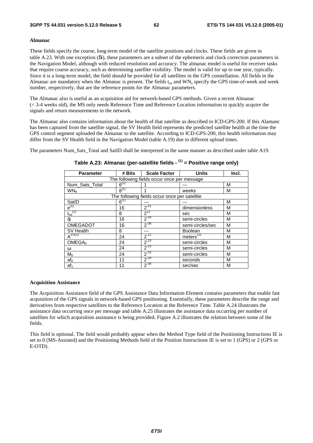#### **Almanac**

These fields specify the coarse, long-term model of the satellite positions and clocks. These fields are given in table A.23. With one exception (δi), these parameters are a subset of the ephemeris and clock correction parameters in the Navigation Model, although with reduced resolution and accuracy. The almanac model is useful for receiver tasks that require coarse accuracy, such as determining satellite visibility. The model is valid for up to one year, typically. Since it is a long-term model, the field should be provided for all satellites in the GPS constellation. All fields in the Almanac are mandatory when the Almanac is present. The fields  $t_{oa}$  and  $WN_a$  specify the GPS time-of-week and week number, respectively, that are the reference points for the Almanac parameters.

The Almanac also is useful as an acquisition aid for network-based GPS methods. Given a recent Almanac (< 3-4 weeks old), the MS only needs Reference Time and Reference Location information to quickly acquire the signals and return measurements to the network.

The Almanac also contains information about the health of that satellite as described in ICD-GPS-200. If this Alamanc has been captured from the satellite signal, the SV Health field represents the predicted satellite health at the time the GPS control segment uploaded the Almanac to the satellite. According to ICD-GPS-200, this health information may differ from the SV Health field in the Navigation Model (table A.19) due to different upload times.

The parameters Num Sats Total and SatID shall be interpreted in the same manner as described under table A19.

| <b>Parameter</b>                            | # Bits    | <b>Scale Factor</b>                           | <b>Units</b>     | Incl. |
|---------------------------------------------|-----------|-----------------------------------------------|------------------|-------|
| The following fields occur once per message |           |                                               |                  |       |
| Num_Sats_Total                              | $6^{(1)}$ |                                               |                  | M     |
| WN <sub>a</sub>                             | $8^{(1)}$ |                                               | weeks            | М     |
|                                             |           | The following fields occur once per satellite |                  |       |
| SatID                                       | $6^{(1)}$ |                                               |                  | M     |
| $e^{(1)}$                                   | 16        | $2^{-21}$                                     | dimensionless    | M     |
| $\mathfrak{t}_{\text{oa}}^{(1)}$            | 8         | $2^{12}$                                      | sec              | M     |
| δi                                          | 16        | $2^{-19}$                                     | semi-circles     | M     |
| <b>OMEGADOT</b>                             | 16        | $2^{-38}$                                     | semi-circles/sec | M     |
| SV Health                                   | 8         |                                               | <b>Boolean</b>   | M     |
| $A^{1/2(1)}$                                | 24        | $2^{-11}$                                     | meters $^{1/2}$  | М     |
| OMEGA <sub>0</sub>                          | 24        | $2^{-23}$                                     | semi-circles     | М     |
| ω                                           | 24        | $2^{-23}$                                     | semi-circles     | M     |
| $M_0$                                       | 24        | $2^{-23}$                                     | semi-circles     | M     |
| af <sub>0</sub>                             | 11        | $2^{-20}$                                     | seconds          | M     |
| af <sub>1</sub>                             | 11        | $2^{-38}$                                     | sec/sec          | M     |

#### **Table A.23: Almanac (per-satellite fields - (1) = Positive range only)**

#### **Acquisition Assistance**

The Acquisition Assistance field of the GPS Assistance Data Information Element contains parameters that enable fast acquisition of the GPS signals in network-based GPS positioning. Essentially, these parameters describe the range and derivatives from respective satellites to the Reference Location at the Reference Time. Table A.24 illustrates the assistance data occurring once per message and table A.25 illustrates the assistance data occurring per number of satellites for which acquisition assistance is being provided. Figure A.2 illustrates the relation between some of the fields.

This field is optional. The field would probably appear when the Method Type field of the Positioning Instructions IE is set to 0 (MS-Assisted) and the Positioning Methods field of the Position Instructions IE is set to 1 (GPS) or 2 (GPS or E-OTD).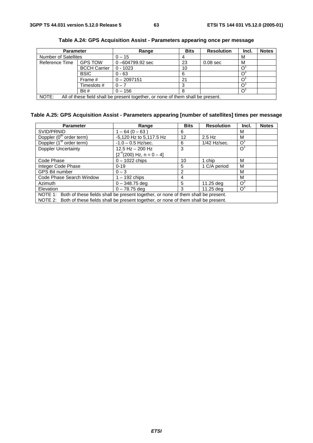| <b>Parameter</b>                                                                         |                     | Range               | <b>Bits</b> | <b>Resolution</b> | Incl. | <b>Notes</b> |
|------------------------------------------------------------------------------------------|---------------------|---------------------|-------------|-------------------|-------|--------------|
| <b>Number of Satellites</b>                                                              |                     | $0 - 15$            |             |                   | M     |              |
| Reference Time                                                                           | <b>GPS TOW</b>      | $0 - 604799.92$ sec | 23          | $0.08$ sec        | M     |              |
|                                                                                          | <b>BCCH Carrier</b> | $0 - 1023$          | 10          |                   |       |              |
|                                                                                          | <b>BSIC</b>         | $0 - 63$            | 6           |                   |       |              |
|                                                                                          | Frame #             | $0 - 2097151$       | 21          |                   |       |              |
|                                                                                          | Timeslots #         | $0 - 7$             |             |                   |       |              |
|                                                                                          | Bit #               | $0 - 156$           |             |                   |       |              |
| NOTE:<br>All of these field shall be present together, or none of them shall be present. |                     |                     |             |                   |       |              |

**Table A.24: GPS Acquisition Assist - Parameters appearing once per message** 

### **Table A.25: GPS Acquisition Assist - Parameters appearing [number of satellites] times per message**

| <b>Parameter</b>                                                                             | Range                      | <b>Bits</b> | <b>Resolution</b> | Incl.          | <b>Notes</b> |
|----------------------------------------------------------------------------------------------|----------------------------|-------------|-------------------|----------------|--------------|
| SVID/PRNID                                                                                   | $1 - 64 (0 - 63)$          | 6           |                   | M              |              |
| Doppler (0 <sup>th</sup> order term)                                                         | -5,120 Hz to 5,117.5 Hz    | 12          | $2.5$ Hz          | M              |              |
| Doppler (1 <sup>st</sup> order term)                                                         | $-1.0 - 0.5$ Hz/sec.       | 6           | 1/42 Hz/sec.      | $\overline{O}$ |              |
| <b>Doppler Uncertainty</b>                                                                   | 12.5 Hz $-$ 200 Hz         | 3           |                   | O <sup>1</sup> |              |
|                                                                                              | $[2-n(200) Hz, n = 0 – 4]$ |             |                   |                |              |
| Code Phase                                                                                   | $0 - 1022$ chips           | 10          | 1 chip            | M              |              |
| Integer Code Phase                                                                           | $0 - 19$                   | 5           | 1 C/A period      | M              |              |
| <b>GPS Bit number</b>                                                                        | $0 - 3$                    | 2           |                   | м              |              |
| Code Phase Search Window                                                                     | $1 - 192$ chips            | 4           |                   | м              |              |
| Azimuth                                                                                      | $0 - 348.75$ deg           | 5           | 11.25 deg         | $O^2$          |              |
| Elevation                                                                                    | $0 - 78.75$ deg            | 3           | 11.25 dea         | $O^2$          |              |
| Both of these fields shall be present together, or none of them shall be present.<br>NOTE 1: |                            |             |                   |                |              |
| NOTE 2: Both of these fields shall be present together, or none of them shall be present.    |                            |             |                   |                |              |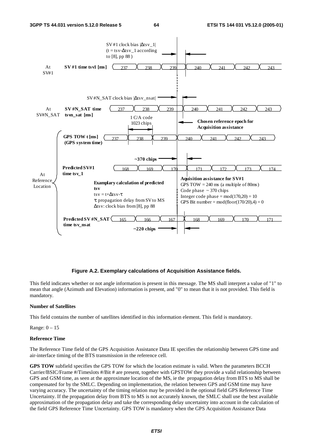

#### **Figure A.2. Exemplary calculations of Acquisition Assistance fields.**

This field indicates whether or not angle information is present in this message. The MS shall interpret a value of "1" to mean that angle (Azimuth and Elevation) information is present, and "0" to mean that it is not provided. This field is mandatory.

#### **Number of Satellites**

This field contains the number of satellites identified in this information element. This field is mandatory.

Range: 0 – 15

#### **Reference Time**

The Reference Time field of the GPS Acquisition Assistance Data IE specifies the relationship between GPS time and air-interface timing of the BTS transmission in the reference cell.

**GPS TOW** subfield specifies the GPS TOW for which the location estimate is valid. When the parameters BCCH Carrier/BSIC/Frame #/Timeslots #/Bit # are present, together with GPSTOW they provide a valid relationship between GPS and GSM time, as seen at the approximate location of the MS, ie the propagation delay from BTS to MS shall be compensated for by the SMLC. Depending on implementation, the relation between GPS and GSM time may have varying accuracy. The uncertainty of the timing relation may be provided in the optional field GPS Reference Time Uncertainty. If the propagation delay from BTS to MS is not accurately known, the SMLC shall use the best available approximation of the propagation delay and take the corresponding delay uncertainty into account in the calculation of the field GPS Reference Time Uncertainty. GPS TOW is mandatory when the GPS Acquisition Assistance Data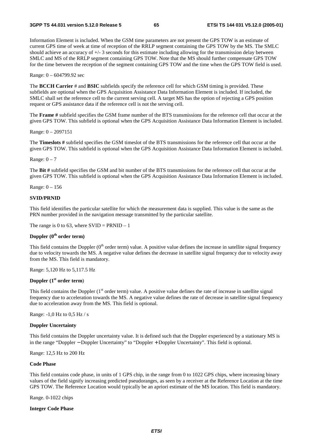Information Element is included. When the GSM time parameters are not present the GPS TOW is an estimate of current GPS time of week at time of reception of the RRLP segment containing the GPS TOW by the MS. The SMLC should achieve an accuracy of +/- 3 seconds for this estimate including allowing for the transmission delay between SMLC and MS of the RRLP segment containing GPS TOW. Note that the MS should further compensate GPS TOW for the time between the reception of the segment containing GPS TOW and the time when the GPS TOW field is used.

Range: 0 – 604799.92 sec

The **BCCH Carrier** # and **BSIC** subfields specify the reference cell for which GSM timing is provided. These subfields are optional when the GPS Acquisition Assistance Data Information Element is included. If included, the SMLC shall set the reference cell to the current serving cell. A target MS has the option of rejecting a GPS position request or GPS assistance data if the reference cell is not the serving cell.

The **Frame #** subfield specifies the GSM frame number of the BTS transmissions for the reference cell that occur at the given GPS TOW. This subfield is optional when the GPS Acquisition Assistance Data Information Element is included.

Range: 0 – 2097151

The **Timeslots #** subfield specifies the GSM timeslot of the BTS transmissions for the reference cell that occur at the given GPS TOW. This subfield is optional when the GPS Acquisition Assistance Data Information Element is included.

Range:  $0 - 7$ 

The **Bit #** subfield specifies the GSM and bit number of the BTS transmissions for the reference cell that occur at the given GPS TOW. This subfield is optional when the GPS Acquisition Assistance Data Information Element is included.

Range: 0 – 156

#### **SVID/PRNID**

This field identifies the particular satellite for which the measurement data is supplied. This value is the same as the PRN number provided in the navigation message transmitted by the particular satellite.

The range is 0 to 63, where  $SVID = PRNID - 1$ 

#### **Doppler (0th order term)**

This field contains the Doppler  $(0<sup>th</sup>$  order term) value. A positive value defines the increase in satellite signal frequency due to velocity towards the MS. A negative value defines the decrease in satellite signal frequency due to velocity away from the MS. This field is mandatory.

Range: 5,120 Hz to 5,117.5 Hz

#### **Doppler (1st order term**)

This field contains the Doppler  $(1<sup>st</sup>$  order term) value. A positive value defines the rate of increase in satellite signal frequency due to acceleration towards the MS. A negative value defines the rate of decrease in satellite signal frequency due to acceleration away from the MS. This field is optional.

Range: -1,0 Hz to 0,5 Hz / s

#### **Doppler Uncertainty**

This field contains the Doppler uncertainty value. It is defined such that the Doppler experienced by a stationary MS is in the range "Doppler − Doppler Uncertainty" to "Doppler + Doppler Uncertainty". This field is optional.

Range: 12,5 Hz to 200 Hz

#### **Code Phase**

This field contains code phase, in units of 1 GPS chip, in the range from 0 to 1022 GPS chips, where increasing binary values of the field signify increasing predicted pseudoranges, as seen by a receiver at the Reference Location at the time GPS TOW. The Reference Location would typically be an apriori estimate of the MS location. This field is mandatory.

Range. 0-1022 chips

#### **Integer Code Phase**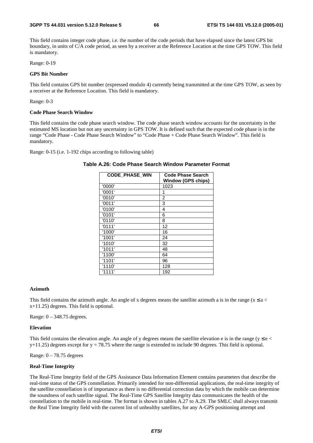This field contains integer code phase, i.e. the number of the code periods that have elapsed since the latest GPS bit boundary, in units of C/A code period, as seen by a receiver at the Reference Location at the time GPS TOW. This field is mandatory.

Range: 0-19

#### **GPS Bit Number**

This field contains GPS bit number (expressed modulo 4) currently being transmitted at the time GPS TOW, as seen by a receiver at the Reference Location. This field is mandatory.

Range: 0-3

#### **Code Phase Search Window**

This field contains the code phase search window. The code phase search window accounts for the uncertainty in the estimated MS location but not any uncertainty in GPS TOW. It is defined such that the expected code phase is in the range "Code Phase - Code Phase Search Window" to "Code Phase + Code Phase Search Window". This field is mandatory.

Range: 0-15 (i.e. 1-192 chips according to following table)

| <b>CODE PHASE WIN</b> | <b>Code Phase Search</b><br><b>Window (GPS chips)</b> |
|-----------------------|-------------------------------------------------------|
| '0000'                | 1023                                                  |
| '0001'                | 1                                                     |
| '0010'                | 2                                                     |
| '0011'                | 3                                                     |
| '0100'                | 4                                                     |
| '0101'                | 6                                                     |
| '0110'                | 8                                                     |
| '0111'                | 12                                                    |
| '1000'                | 16                                                    |
| '1001'                | 24                                                    |
| '1010'                | 32                                                    |
| '1011'                | 48                                                    |
| '1100'                | 64                                                    |
| '1101'                | 96                                                    |
| '1110'                | 128                                                   |
| '1111'                | 192                                                   |

#### **Table A.26: Code Phase Search Window Parameter Format**

#### **Azimuth**

This field contains the azimuth angle. An angle of x degrees means the satellite azimuth a is in the range ( $x \le a$  < x+11.25) degrees. This field is optional.

Range: 0 – 348.75 degrees.

#### **Elevation**

This field contains the elevation angle. An angle of y degrees means the satellite elevation e is in the range ( $y \le e$  $y+11.25$ ) degrees except for  $y = 78.75$  where the range is extended to include 90 degrees. This field is optional.

Range:  $0 - 78.75$  degrees

#### **Real-Time Integrity**

The Real-Time Integrity field of the GPS Assistance Data Information Element contains parameters that describe the real-time status of the GPS constellation. Primarily intended for non-differential applications, the real-time integrity of the satellite constellation is of importance as there is no differential correction data by which the mobile can determine the soundness of each satellite signal. The Real-Time GPS Satellite Integrity data communicates the health of the constellation to the mobile in real-time. The format is shown in tables A.27 to A.29. The SMLC shall always transmit the Real Time Integrity field with the current list of unhealthy satellites, for any A-GPS positioning attempt and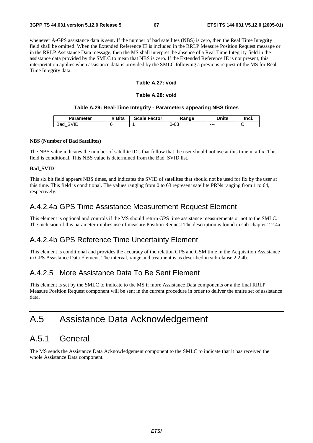whenever A-GPS assistance data is sent. If the number of bad satellites (NBS) is zero, then the Real Time Integrity field shall be omitted. When the Extended Reference IE is included in the RRLP Measure Position Request message or in the RRLP Assistance Data message, then the MS shall interpret the absence of a Real Time Integrity field in the assistance data provided by the SMLC to mean that NBS is zero. If the Extended Reference IE is not present, this interpretation applies when assistance data is provided by the SMLC following a previous request of the MS for Real Time Integrity data.

#### **Table A.27: void**

#### **Table A.28: void**

#### **Table A.29: Real-Time Integrity - Parameters appearing NBS times**

| Parameter   | <b>Bits</b> | <b>Scale Factor</b> | Range | <b>Units</b> | Incl. |
|-------------|-------------|---------------------|-------|--------------|-------|
| SVID<br>Bad |             |                     | 0-63  | $- - -$      |       |

#### **NBS (Number of Bad Satellites)**

The NBS value indicates the number of satellite ID's that follow that the user should not use at this time in a fix. This field is conditional. This NBS value is determined from the Bad\_SVID list.

#### **Bad\_SVID**

This six bit field appears NBS times, and indicates the SVID of satellites that should not be used for fix by the user at this time. This field is conditional. The values ranging from 0 to 63 represent satellite PRNs ranging from 1 to 64, respectively.

### A.4.2.4a GPS Time Assistance Measurement Request Element

This element is optional and controls if the MS should return GPS time assistance measurements or not to the SMLC. The inclusion of this parameter implies use of measure Position Request The description is found in sub-chapter 2.2.4a.

### A.4.2.4b GPS Reference Time Uncertainty Element

This element is conditional and provides the accuracy of the relation GPS and GSM time in the Acquisition Assistance in GPS Assistance Data Element. The interval, range and treatment is as described in sub-clause 2.2.4b.

### A.4.2.5 More Assistance Data To Be Sent Element

This element is set by the SMLC to indicate to the MS if more Assistance Data components or a the final RRLP Measure Position Request component will be sent in the current procedure in order to deliver the entire set of assistance data.

# A.5 Assistance Data Acknowledgement

# A.5.1 General

The MS sends the Assistance Data Acknowledgement component to the SMLC to indicate that it has received the whole Assistance Data component.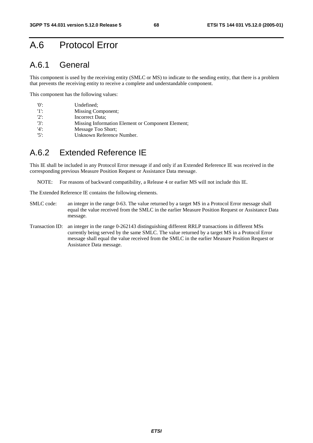# A.6 Protocol Error

# A.6.1 General

This component is used by the receiving entity (SMLC or MS) to indicate to the sending entity, that there is a problem that prevents the receiving entity to receive a complete and understandable component.

This component has the following values:

| $^{\prime}$ () <sup><math>\cdot</math></sup> | Undefined:                                        |
|----------------------------------------------|---------------------------------------------------|
| -115                                         | Missing Component;                                |
| $'2$ :                                       | Incorrect Data:                                   |
| $'3'$ :                                      | Missing Information Element or Component Element; |
| $'4'$ :                                      | Message Too Short:                                |
| $15$ .                                       | Unknown Reference Number.                         |

# A.6.2 Extended Reference IE

This IE shall be included in any Protocol Error message if and only if an Extended Reference IE was received in the corresponding previous Measure Position Request or Assistance Data message.

NOTE: For reasons of backward compatibility, a Release 4 or earlier MS will not include this IE.

The Extended Reference IE contains the following elements.

- SMLC code: an integer in the range 0-63. The value returned by a target MS in a Protocol Error message shall equal the value received from the SMLC in the earlier Measure Position Request or Assistance Data message.
- Transaction ID: an integer in the range 0-262143 distinguishing different RRLP transactions in different MSs currently being served by the same SMLC. The value returned by a target MS in a Protocol Error message shall equal the value received from the SMLC in the earlier Measure Position Request or Assistance Data message.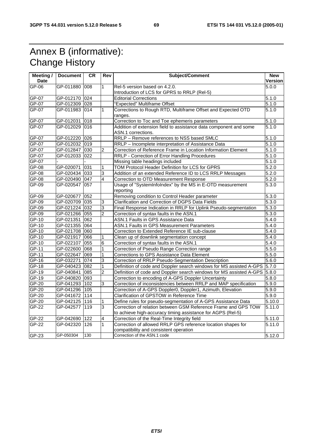# Annex B (informative): Change History

| Meeting /   | <b>Document</b> | CR.              | Rev            | <b>Subject/Comment</b>                                                                  | <b>New</b>          |
|-------------|-----------------|------------------|----------------|-----------------------------------------------------------------------------------------|---------------------|
| <b>Date</b> |                 |                  |                |                                                                                         | Version             |
| GP-06       | GP-011880 008   |                  | 1              | Rel-5 version based on 4.2.0.                                                           | 5.0.0               |
|             |                 |                  |                | Introduction of LCS for GPRS to RRLP (Rel-5)                                            |                     |
| GP-07       | GP-012170 024   |                  |                | <b>Editorial Corrections</b>                                                            | 5.1.0               |
| GP-07       | GP-012309 028   |                  |                | "Expected" Multiframe Offset                                                            | 5.1.0               |
| $GP-07$     | GP-011983 014   |                  | 1              | Corrections to Rough RTD, Multiframe Offset and Expected OTD                            | 5.1.0               |
|             |                 |                  |                | ranges.                                                                                 |                     |
| GP-07       | GP-012031       | 018              |                | Correction to Toc and Toe ephemeris parameters                                          | 5.1.0               |
| $GP-07$     | GP-012029       | 016              |                | Addition of extension field to assistance data component and some<br>ASN.1 corrections. | 5.1.0               |
| GP-07       | GP-012220 026   |                  |                | RRLP - Remove references to NSS based SMLC                                              | 5.1.0               |
| $GP-07$     | GP-012032 019   |                  |                | RRLP - Incomplete interpretation of Assistance Data                                     | 5.1.0               |
| GP-07       | GP-012847       | 030              | $\overline{2}$ | Correction of Reference Frame in Location Information Element                           | $\overline{5.1.0}$  |
| GP-07       | GP-012033 022   |                  |                | RRLP - Correction of Error Handling Procedures                                          | 5.1.0               |
| GP-07       |                 |                  |                | Missing table headings included                                                         | 5.1.0               |
| GP-08       | GP-020071       | 031              | 1              | TOM Protocol Header Definition for LCS for GPRS                                         | 5.2.0               |
| $GP-08$     | GP-020434 033   |                  | 3              | Addition of an extended Reference ID to LCS RRLP Messages                               | 5.2.0               |
| GP-08       | GP-020490 047   |                  | $\overline{4}$ | Correction to OTD Measurement Response                                                  | 5.2.0               |
| $GP-09$     | GP-020547       | $\overline{057}$ |                |                                                                                         | 5.3.0               |
|             |                 |                  |                | Usage of "SystemInfoIndex" by the MS in E-OTD measurement<br>reporting                  |                     |
| GP-09       | GP-020677       | 052              |                | Removing condition to Control Header parameter                                          | 5.3.0               |
| GP-09       | GP-020709 035   |                  | 3              | Clarification and Correction of DGPS Data Fields                                        | 5.3.0               |
| $GP-09$     | GP-021224 032   |                  | 3              | Final Response Indication in RRLP for Uplink Pseudo-segmentation                        | 5.3.0               |
| GP-09       | GP-021266 055   |                  | $\overline{2}$ | Correction of syntax faults in the ASN.1                                                | 5.3.0               |
| $GP-10$     | GP-021351       | 062              |                | ASN.1 Faults in GPS Assistance Data                                                     | $\frac{1}{5.4.0}$   |
| $GP-10$     | GP-021355       | 064              |                | <b>ASN.1 Faults in GPS Measurement Parameters</b>                                       | 5.4.0               |
| $GP-10$     | GP-021708 060   |                  |                | Correction to Extended Reference IE sub-clause                                          | 5.4.0               |
| $GP-10$     | GP-021917       | 066              | 1              | Clean up of downlink segmentation concept                                               | 5.4.0               |
| $GP-10$     | GP-022107       | 055              | 6              | Correction of syntax faults in the ASN.1                                                | 5.4.0               |
| $GP-11$     | GP-022600 068   |                  | 1              | Correction of Pseudo Range Correction range                                             | 5.5.0               |
| GP-11       | GP-022647 069   |                  | 1              | Corrections to GPS Assistance Data Element                                              | 5.5.0               |
| $GP-16$     | GP-032271       | 074              | 3              | Correction of RRLP Pseudo-Segmentation Description                                      | 5.6.0               |
| $GP-18$     | GP-040423 082   |                  | 1              | Definition of code and Doppler search windows for MS assisted A-GPS                     | 5.7.0               |
| GP-19       | GP-040841       | 085              | $\overline{c}$ | Definition of code and Doppler search windows for MS assisted A-GPS 5.8.0               |                     |
| $GP-19$     | GP-040820 093   |                  |                | Correction to encoding of A-GPS Doppler Uncertainty                                     | 5.8.0               |
| GP-20       | GP-041293       | 102              | 3              | Correction of inconsistencies between RRLP and MAP specification                        | 5.9.0               |
| GP-20       | GP-041296 105   |                  |                | Correction of A-GPS Doppler0, Doppler1, Azimuth, Elevation                              | 5.9.0               |
| GP-20       | GP-041672       | 114              |                | Clarification of GPSTOW in Reference Time                                               | $\overline{5.9.0}$  |
| $GP-20$     | GP-042125       | 116              | 1              | Define rules for pseudo-segmentation of A-GPS Assistance Data                           | 5.10.0              |
| GP-22       | GP-042577       | 119              | 3              | Correction of relation between GSM Reference Frame and GPS TOW                          | 5.11.0              |
|             |                 |                  |                | to achieve high-accuracy timing assistance for AGPS (Rel-5)                             |                     |
| GP-22       | GP-042690       | 1122             | 4              | Correction of the Real-Time Integrity field                                             | 5.11.0              |
| GP-22       | GP-042320       | 126              | 1              | Correction of allowed RRLP GPS reference location shapes for                            | $\overline{5.1}1.0$ |
|             |                 |                  |                | compatibility and consistent operation                                                  |                     |
| GP-23       | GP-050304       | 130              |                | Correction of the ASN.1 code                                                            | 5.12.0              |